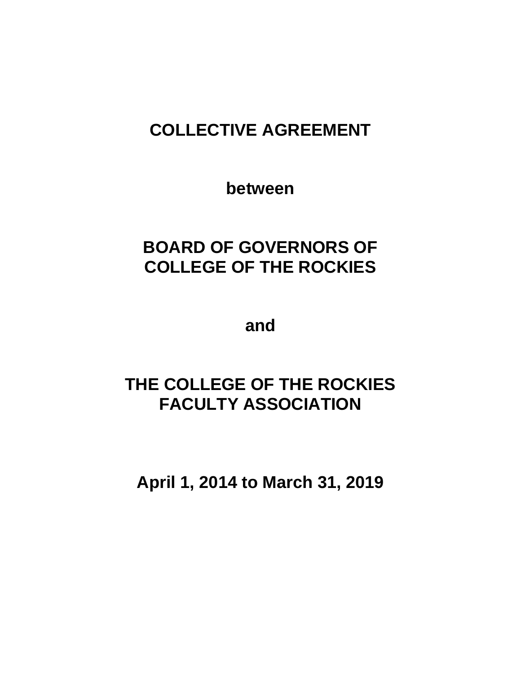# **COLLECTIVE AGREEMENT**

**between**

# **BOARD OF GOVERNORS OF COLLEGE OF THE ROCKIES**

**and**

# **THE COLLEGE OF THE ROCKIES FACULTY ASSOCIATION**

**April 1, 2014 to March 31, 2019**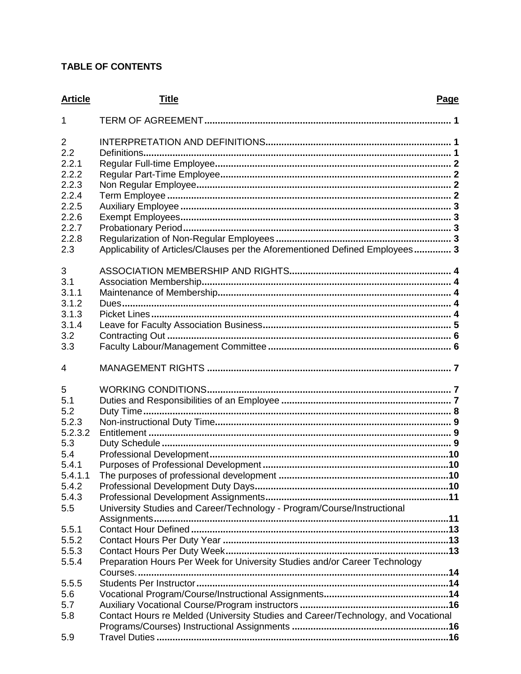# **TABLE OF CONTENTS**

| <b>Article</b>                                                                                 | <b>Title</b><br>Page                                                              |  |
|------------------------------------------------------------------------------------------------|-----------------------------------------------------------------------------------|--|
| 1                                                                                              |                                                                                   |  |
| 2<br>2.2<br>2.2.1<br>2.2.2<br>2.2.3<br>2.2.4<br>2.2.5<br>2.2.6<br>2.2.7<br>2.2.8<br>2.3        | Applicability of Articles/Clauses per the Aforementioned Defined Employees 3      |  |
| 3<br>3.1<br>3.1.1<br>3.1.2<br>3.1.3<br>3.1.4<br>3.2<br>3.3                                     |                                                                                   |  |
| 4                                                                                              |                                                                                   |  |
| 5<br>5.1<br>5.2<br>5.2.3<br>5.2.3.2<br>5.3<br>5.4<br>5.4.1<br>5.4.1.1<br>5.4.2<br>5.4.3<br>5.5 | University Studies and Career/Technology - Program/Course/Instructional           |  |
| 5.5.1<br>5.5.2                                                                                 |                                                                                   |  |
| 5.5.3                                                                                          |                                                                                   |  |
| 5.5.4                                                                                          | Preparation Hours Per Week for University Studies and/or Career Technology        |  |
| 5.5.5                                                                                          |                                                                                   |  |
| 5.6                                                                                            |                                                                                   |  |
| 5.7<br>5.8                                                                                     | Contact Hours re Melded (University Studies and Career/Technology, and Vocational |  |
| 5.9                                                                                            |                                                                                   |  |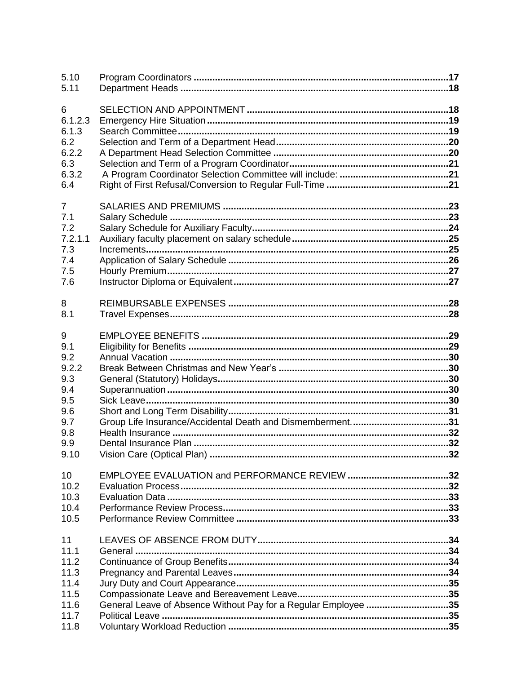| 5.10           |                                                                |
|----------------|----------------------------------------------------------------|
| 5.11           |                                                                |
| 6              |                                                                |
| 6.1.2.3        |                                                                |
| 6.1.3          |                                                                |
| 6.2            |                                                                |
| 6.2.2          |                                                                |
| 6.3            |                                                                |
| 6.3.2          |                                                                |
| 6.4            |                                                                |
| $\overline{7}$ |                                                                |
| 7.1            |                                                                |
| 7.2            |                                                                |
| 7.2.1.1        |                                                                |
| 7.3            |                                                                |
| 7.4            |                                                                |
| 7.5            |                                                                |
| 7.6            |                                                                |
| 8              |                                                                |
| 8.1            |                                                                |
| $9\,$          |                                                                |
| 9.1            |                                                                |
| 9.2            |                                                                |
| 9.2.2          |                                                                |
| 9.3            |                                                                |
| 9.4            |                                                                |
| 9.5            |                                                                |
| 9.6            |                                                                |
| 9.7            | Group Life Insurance/Accidental Death and Dismemberment31      |
| 9.8            |                                                                |
| 9.9            |                                                                |
| 9.10           |                                                                |
| 10             |                                                                |
| 10.2           |                                                                |
| 10.3           |                                                                |
| 10.4           |                                                                |
| 10.5           |                                                                |
| 11             |                                                                |
| 11.1           |                                                                |
| 11.2           |                                                                |
| 11.3           |                                                                |
| 11.4           |                                                                |
| 11.5           |                                                                |
| 11.6           | General Leave of Absence Without Pay for a Regular Employee 35 |
| 11.7           |                                                                |
| 11.8           |                                                                |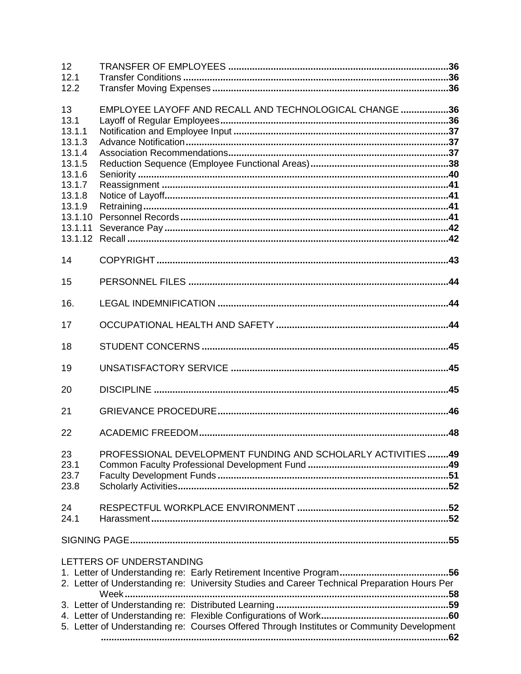| 12<br>12.1                  |                                                                                                                          |  |
|-----------------------------|--------------------------------------------------------------------------------------------------------------------------|--|
| 12.2                        |                                                                                                                          |  |
| 13<br>13.1                  | EMPLOYEE LAYOFF AND RECALL AND TECHNOLOGICAL CHANGE 36                                                                   |  |
| 13.1.1<br>13.1.3<br>13.1.4  |                                                                                                                          |  |
| 13.1.5<br>13.1.6<br>13.1.7  |                                                                                                                          |  |
| 13.1.8<br>13.1.9<br>13.1.10 |                                                                                                                          |  |
| 13.1.11<br>13.1.12          |                                                                                                                          |  |
| 14                          |                                                                                                                          |  |
| 15<br>16.                   |                                                                                                                          |  |
| 17                          |                                                                                                                          |  |
| 18                          |                                                                                                                          |  |
| 19                          |                                                                                                                          |  |
| 20                          |                                                                                                                          |  |
| 21                          |                                                                                                                          |  |
| 22                          |                                                                                                                          |  |
| 23<br>23.1<br>23.7<br>23.8  | PROFESSIONAL DEVELOPMENT FUNDING AND SCHOLARLY ACTIVITIES49                                                              |  |
| 24<br>24.1                  |                                                                                                                          |  |
|                             |                                                                                                                          |  |
|                             | LETTERS OF UNDERSTANDING<br>2. Letter of Understanding re: University Studies and Career Technical Preparation Hours Per |  |
|                             | 5. Letter of Understanding re: Courses Offered Through Institutes or Community Development                               |  |
|                             |                                                                                                                          |  |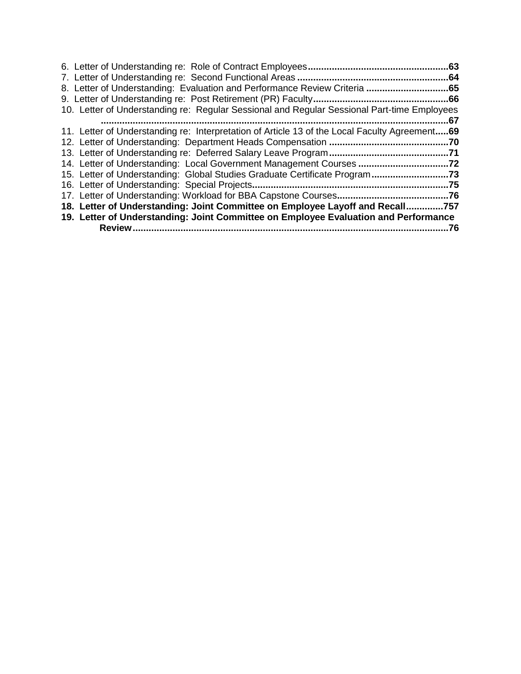| 6. Letter of Understanding re: Role of Contract Employees<br>                                 | .63  |
|-----------------------------------------------------------------------------------------------|------|
| 7. Letter of Understanding re: Second Functional Areas                                        | .64  |
| 8. Letter of Understanding: Evaluation and Performance Review Criteria<br>……65                |      |
| 9. Letter of Understanding re: Post Retirement (PR) Faculty                                   | 66   |
| 10. Letter of Understanding re: Regular Sessional and Regular Sessional Part-time Employees   |      |
|                                                                                               | .67  |
| 11. Letter of Understanding re: Interpretation of Article 13 of the Local Faculty Agreement69 |      |
|                                                                                               | .70  |
|                                                                                               |      |
| 14. Letter of Understanding: Local Government Management Courses                              | .72  |
| 15. Letter of Understanding: Global Studies Graduate Certificate Program                      | .73  |
| 16. Letter of Understanding: Special Projects                                                 | 75   |
| 17. Letter of Understanding: Workload for BBA Capstone Courses                                | 76   |
| 18. Letter of Understanding: Joint Committee on Employee Layoff and Recall.                   | .757 |
| 19. Letter of Understanding: Joint Committee on Employee Evaluation and Performance           |      |
| <b>Review</b>                                                                                 | 76   |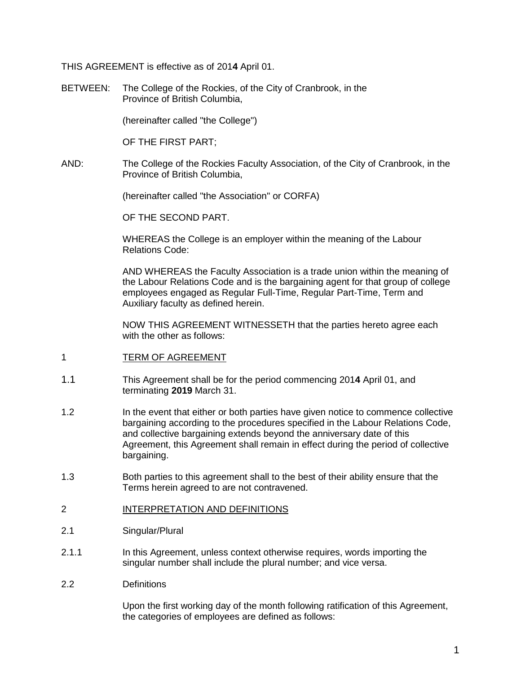THIS AGREEMENT is effective as of 201**4** April 01.

BETWEEN: The College of the Rockies, of the City of Cranbrook, in the Province of British Columbia,

(hereinafter called "the College")

OF THE FIRST PART;

AND: The College of the Rockies Faculty Association, of the City of Cranbrook, in the Province of British Columbia,

(hereinafter called "the Association" or CORFA)

OF THE SECOND PART.

WHEREAS the College is an employer within the meaning of the Labour Relations Code:

AND WHEREAS the Faculty Association is a trade union within the meaning of the Labour Relations Code and is the bargaining agent for that group of college employees engaged as Regular Full-Time, Regular Part-Time, Term and Auxiliary faculty as defined herein.

NOW THIS AGREEMENT WITNESSETH that the parties hereto agree each with the other as follows:

- <span id="page-5-0"></span>1 TERM OF AGREEMENT
- 1.1 This Agreement shall be for the period commencing 201**4** April 01, and terminating **2019** March 31.
- 1.2 In the event that either or both parties have given notice to commence collective bargaining according to the procedures specified in the Labour Relations Code, and collective bargaining extends beyond the anniversary date of this Agreement, this Agreement shall remain in effect during the period of collective bargaining.
- 1.3 Both parties to this agreement shall to the best of their ability ensure that the Terms herein agreed to are not contravened.

#### <span id="page-5-1"></span>2 INTERPRETATION AND DEFINITIONS

- 2.1 Singular/Plural
- 2.1.1 In this Agreement, unless context otherwise requires, words importing the singular number shall include the plural number; and vice versa.
- <span id="page-5-2"></span>2.2 Definitions

Upon the first working day of the month following ratification of this Agreement, the categories of employees are defined as follows: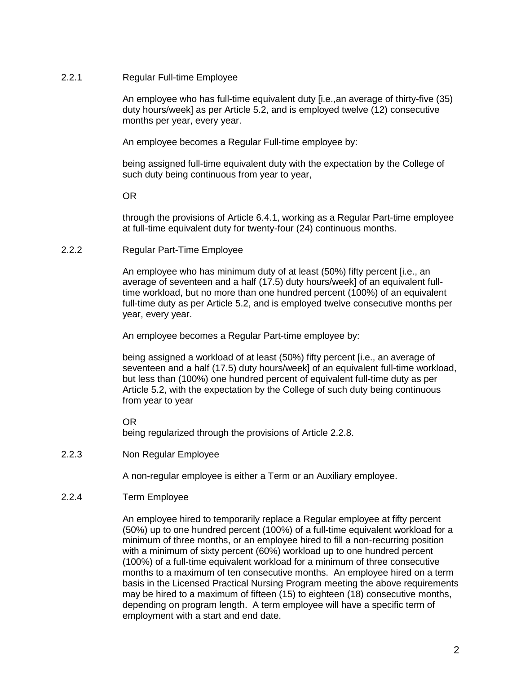#### <span id="page-6-0"></span>2.2.1 Regular Full-time Employee

An employee who has full-time equivalent duty [i.e.,an average of thirty-five (35) duty hours/week] as per Article 5.2, and is employed twelve (12) consecutive months per year, every year.

An employee becomes a Regular Full-time employee by:

being assigned full-time equivalent duty with the expectation by the College of such duty being continuous from year to year,

OR

through the provisions of Article 6.4.1, working as a Regular Part-time employee at full-time equivalent duty for twenty-four (24) continuous months.

<span id="page-6-1"></span>2.2.2 Regular Part-Time Employee

An employee who has minimum duty of at least (50%) fifty percent [i.e., an average of seventeen and a half (17.5) duty hours/week] of an equivalent fulltime workload, but no more than one hundred percent (100%) of an equivalent full-time duty as per Article 5.2, and is employed twelve consecutive months per year, every year.

An employee becomes a Regular Part-time employee by:

being assigned a workload of at least (50%) fifty percent [i.e., an average of seventeen and a half (17.5) duty hours/week] of an equivalent full-time workload, but less than (100%) one hundred percent of equivalent full-time duty as per Article 5.2, with the expectation by the College of such duty being continuous from year to year

OR

being regularized through the provisions of Article 2.2.8.

<span id="page-6-2"></span>2.2.3 Non Regular Employee

A non-regular employee is either a Term or an Auxiliary employee.

<span id="page-6-3"></span>2.2.4 Term Employee

An employee hired to temporarily replace a Regular employee at fifty percent (50%) up to one hundred percent (100%) of a full-time equivalent workload for a minimum of three months, or an employee hired to fill a non-recurring position with a minimum of sixty percent (60%) workload up to one hundred percent (100%) of a full-time equivalent workload for a minimum of three consecutive months to a maximum of ten consecutive months. An employee hired on a term basis in the Licensed Practical Nursing Program meeting the above requirements may be hired to a maximum of fifteen (15) to eighteen (18) consecutive months, depending on program length. A term employee will have a specific term of employment with a start and end date.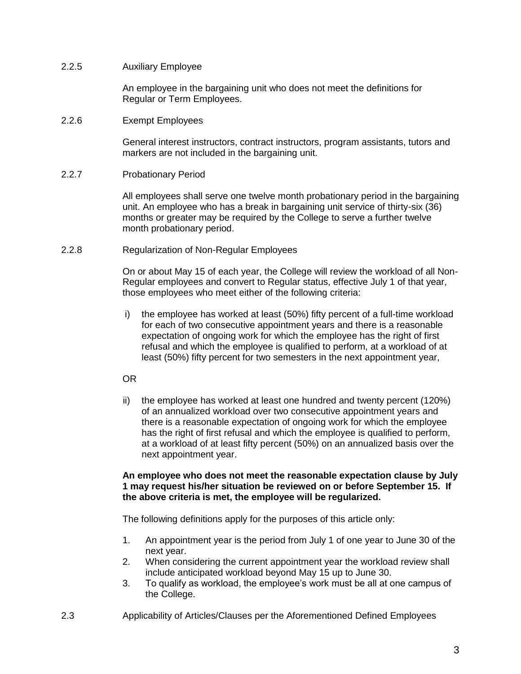#### <span id="page-7-0"></span>2.2.5 Auxiliary Employee

An employee in the bargaining unit who does not meet the definitions for Regular or Term Employees.

#### <span id="page-7-1"></span>2.2.6 Exempt Employees

General interest instructors, contract instructors, program assistants, tutors and markers are not included in the bargaining unit.

#### <span id="page-7-2"></span>2.2.7 Probationary Period

All employees shall serve one twelve month probationary period in the bargaining unit. An employee who has a break in bargaining unit service of thirty-six (36) months or greater may be required by the College to serve a further twelve month probationary period.

#### <span id="page-7-3"></span>2.2.8 Regularization of Non-Regular Employees

On or about May 15 of each year, the College will review the workload of all Non-Regular employees and convert to Regular status, effective July 1 of that year, those employees who meet either of the following criteria:

i) the employee has worked at least (50%) fifty percent of a full-time workload for each of two consecutive appointment years and there is a reasonable expectation of ongoing work for which the employee has the right of first refusal and which the employee is qualified to perform, at a workload of at least (50%) fifty percent for two semesters in the next appointment year,

## OR

ii) the employee has worked at least one hundred and twenty percent (120%) of an annualized workload over two consecutive appointment years and there is a reasonable expectation of ongoing work for which the employee has the right of first refusal and which the employee is qualified to perform, at a workload of at least fifty percent (50%) on an annualized basis over the next appointment year.

#### **An employee who does not meet the reasonable expectation clause by July 1 may request his/her situation be reviewed on or before September 15. If the above criteria is met, the employee will be regularized.**

The following definitions apply for the purposes of this article only:

- 1. An appointment year is the period from July 1 of one year to June 30 of the next year.
- 2. When considering the current appointment year the workload review shall include anticipated workload beyond May 15 up to June 30.
- 3. To qualify as workload, the employee's work must be all at one campus of the College.
- <span id="page-7-4"></span>2.3 Applicability of Articles/Clauses per the Aforementioned Defined Employees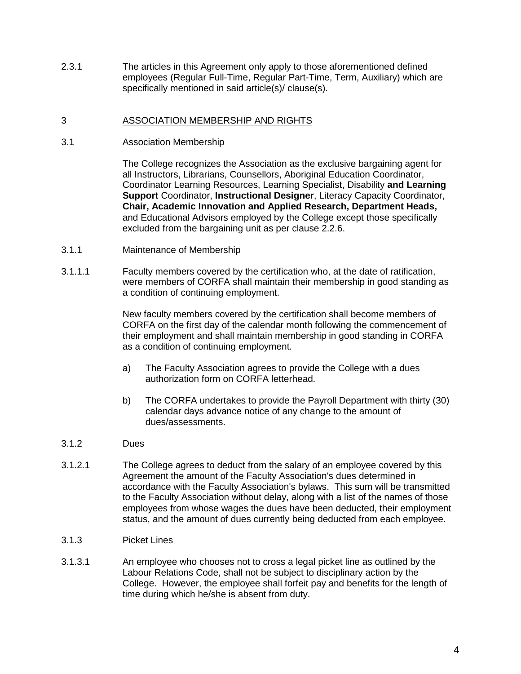2.3.1 The articles in this Agreement only apply to those aforementioned defined employees (Regular Full-Time, Regular Part-Time, Term, Auxiliary) which are specifically mentioned in said article(s)/ clause(s).

#### <span id="page-8-0"></span>3 ASSOCIATION MEMBERSHIP AND RIGHTS

<span id="page-8-1"></span>3.1 Association Membership

The College recognizes the Association as the exclusive bargaining agent for all Instructors, Librarians, Counsellors, Aboriginal Education Coordinator, Coordinator Learning Resources, Learning Specialist, Disability **and Learning Support** Coordinator, **Instructional Designer**, Literacy Capacity Coordinator, **Chair, Academic Innovation and Applied Research, Department Heads,** and Educational Advisors employed by the College except those specifically excluded from the bargaining unit as per clause 2.2.6.

- <span id="page-8-2"></span>3.1.1 Maintenance of Membership
- 3.1.1.1 Faculty members covered by the certification who, at the date of ratification, were members of CORFA shall maintain their membership in good standing as a condition of continuing employment.

New faculty members covered by the certification shall become members of CORFA on the first day of the calendar month following the commencement of their employment and shall maintain membership in good standing in CORFA as a condition of continuing employment.

- a) The Faculty Association agrees to provide the College with a dues authorization form on CORFA letterhead.
- b) The CORFA undertakes to provide the Payroll Department with thirty (30) calendar days advance notice of any change to the amount of dues/assessments.
- <span id="page-8-3"></span>3.1.2 Dues
- 3.1.2.1 The College agrees to deduct from the salary of an employee covered by this Agreement the amount of the Faculty Association's dues determined in accordance with the Faculty Association's bylaws. This sum will be transmitted to the Faculty Association without delay, along with a list of the names of those employees from whose wages the dues have been deducted, their employment status, and the amount of dues currently being deducted from each employee.
- <span id="page-8-4"></span>3.1.3 Picket Lines
- 3.1.3.1 An employee who chooses not to cross a legal picket line as outlined by the Labour Relations Code, shall not be subject to disciplinary action by the College. However, the employee shall forfeit pay and benefits for the length of time during which he/she is absent from duty.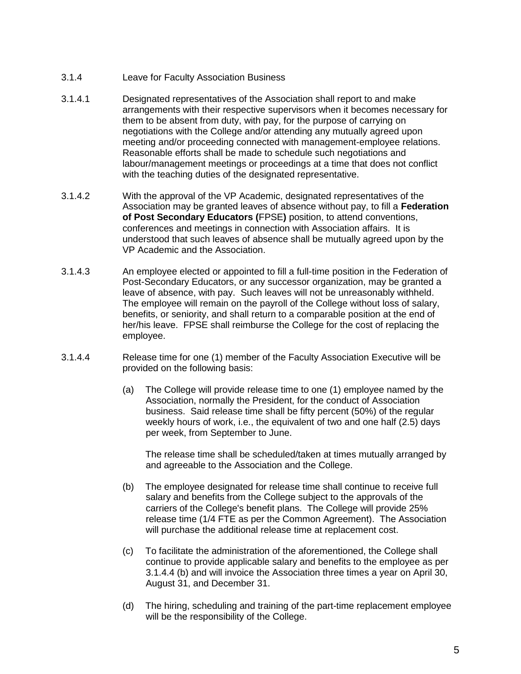- <span id="page-9-0"></span>3.1.4 Leave for Faculty Association Business
- 3.1.4.1 Designated representatives of the Association shall report to and make arrangements with their respective supervisors when it becomes necessary for them to be absent from duty, with pay, for the purpose of carrying on negotiations with the College and/or attending any mutually agreed upon meeting and/or proceeding connected with management-employee relations. Reasonable efforts shall be made to schedule such negotiations and labour/management meetings or proceedings at a time that does not conflict with the teaching duties of the designated representative.
- 3.1.4.2 With the approval of the VP Academic, designated representatives of the Association may be granted leaves of absence without pay, to fill a **Federation of Post Secondary Educators (**FPSE**)** position, to attend conventions, conferences and meetings in connection with Association affairs. It is understood that such leaves of absence shall be mutually agreed upon by the VP Academic and the Association.
- 3.1.4.3 An employee elected or appointed to fill a full-time position in the Federation of Post-Secondary Educators, or any successor organization, may be granted a leave of absence, with pay. Such leaves will not be unreasonably withheld. The employee will remain on the payroll of the College without loss of salary, benefits, or seniority, and shall return to a comparable position at the end of her/his leave. FPSE shall reimburse the College for the cost of replacing the employee.
- 3.1.4.4 Release time for one (1) member of the Faculty Association Executive will be provided on the following basis:
	- (a) The College will provide release time to one (1) employee named by the Association, normally the President, for the conduct of Association business. Said release time shall be fifty percent (50%) of the regular weekly hours of work, i.e., the equivalent of two and one half (2.5) days per week, from September to June.

The release time shall be scheduled/taken at times mutually arranged by and agreeable to the Association and the College.

- (b) The employee designated for release time shall continue to receive full salary and benefits from the College subject to the approvals of the carriers of the College's benefit plans. The College will provide 25% release time (1/4 FTE as per the Common Agreement). The Association will purchase the additional release time at replacement cost.
- (c) To facilitate the administration of the aforementioned, the College shall continue to provide applicable salary and benefits to the employee as per 3.1.4.4 (b) and will invoice the Association three times a year on April 30, August 31, and December 31.
- (d) The hiring, scheduling and training of the part-time replacement employee will be the responsibility of the College.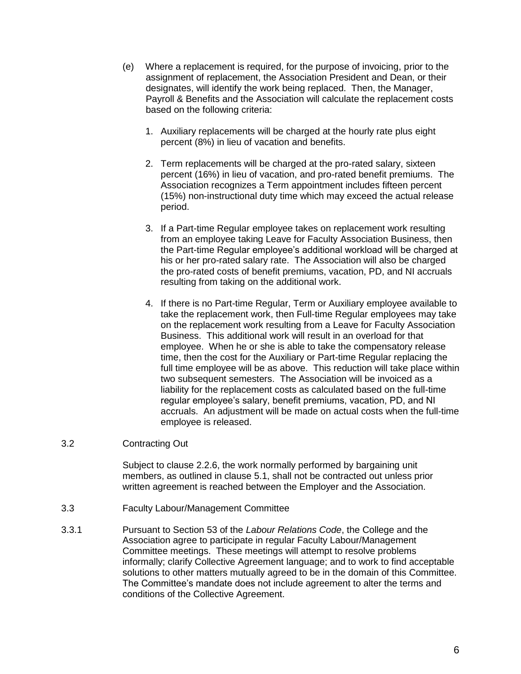- (e) Where a replacement is required, for the purpose of invoicing, prior to the assignment of replacement, the Association President and Dean, or their designates, will identify the work being replaced. Then, the Manager, Payroll & Benefits and the Association will calculate the replacement costs based on the following criteria:
	- 1. Auxiliary replacements will be charged at the hourly rate plus eight percent (8%) in lieu of vacation and benefits.
	- 2. Term replacements will be charged at the pro-rated salary, sixteen percent (16%) in lieu of vacation, and pro-rated benefit premiums. The Association recognizes a Term appointment includes fifteen percent (15%) non-instructional duty time which may exceed the actual release period.
	- 3. If a Part-time Regular employee takes on replacement work resulting from an employee taking Leave for Faculty Association Business, then the Part-time Regular employee's additional workload will be charged at his or her pro-rated salary rate. The Association will also be charged the pro-rated costs of benefit premiums, vacation, PD, and NI accruals resulting from taking on the additional work.
	- 4. If there is no Part-time Regular, Term or Auxiliary employee available to take the replacement work, then Full-time Regular employees may take on the replacement work resulting from a Leave for Faculty Association Business. This additional work will result in an overload for that employee. When he or she is able to take the compensatory release time, then the cost for the Auxiliary or Part-time Regular replacing the full time employee will be as above. This reduction will take place within two subsequent semesters. The Association will be invoiced as a liability for the replacement costs as calculated based on the full-time regular employee's salary, benefit premiums, vacation, PD, and NI accruals. An adjustment will be made on actual costs when the full-time employee is released.

#### <span id="page-10-0"></span>3.2 Contracting Out

Subject to clause 2.2.6, the work normally performed by bargaining unit members, as outlined in clause 5.1, shall not be contracted out unless prior written agreement is reached between the Employer and the Association.

- <span id="page-10-1"></span>3.3 Faculty Labour/Management Committee
- 3.3.1 Pursuant to Section 53 of the *Labour Relations Code*, the College and the Association agree to participate in regular Faculty Labour/Management Committee meetings. These meetings will attempt to resolve problems informally; clarify Collective Agreement language; and to work to find acceptable solutions to other matters mutually agreed to be in the domain of this Committee. The Committee's mandate does not include agreement to alter the terms and conditions of the Collective Agreement.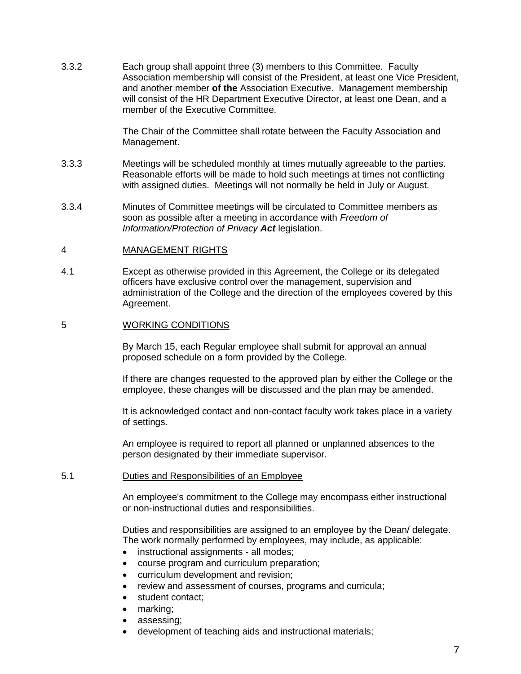3.3.2 Each group shall appoint three (3) members to this Committee. Faculty Association membership will consist of the President, at least one Vice President, and another member **of the** Association Executive. Management membership will consist of the HR Department Executive Director, at least one Dean, and a member of the Executive Committee.

> The Chair of the Committee shall rotate between the Faculty Association and Management.

- 3.3.3 Meetings will be scheduled monthly at times mutually agreeable to the parties. Reasonable efforts will be made to hold such meetings at times not conflicting with assigned duties. Meetings will not normally be held in July or August.
- 3.3.4 Minutes of Committee meetings will be circulated to Committee members as soon as possible after a meeting in accordance with *Freedom of Information/Protection of Privacy Act* legislation.

#### <span id="page-11-0"></span>4 MANAGEMENT RIGHTS

4.1 Except as otherwise provided in this Agreement, the College or its delegated officers have exclusive control over the management, supervision and administration of the College and the direction of the employees covered by this Agreement.

#### <span id="page-11-1"></span>5 WORKING CONDITIONS

By March 15, each Regular employee shall submit for approval an annual proposed schedule on a form provided by the College.

If there are changes requested to the approved plan by either the College or the employee, these changes will be discussed and the plan may be amended.

It is acknowledged contact and non-contact faculty work takes place in a variety of settings.

An employee is required to report all planned or unplanned absences to the person designated by their immediate supervisor.

#### <span id="page-11-2"></span>5.1 Duties and Responsibilities of an Employee

An employee's commitment to the College may encompass either instructional or non-instructional duties and responsibilities.

Duties and responsibilities are assigned to an employee by the Dean/ delegate. The work normally performed by employees, may include, as applicable:

- instructional assignments all modes;
- course program and curriculum preparation;
- curriculum development and revision;
- review and assessment of courses, programs and curricula;
- student contact;
- marking;
- assessing;
- development of teaching aids and instructional materials;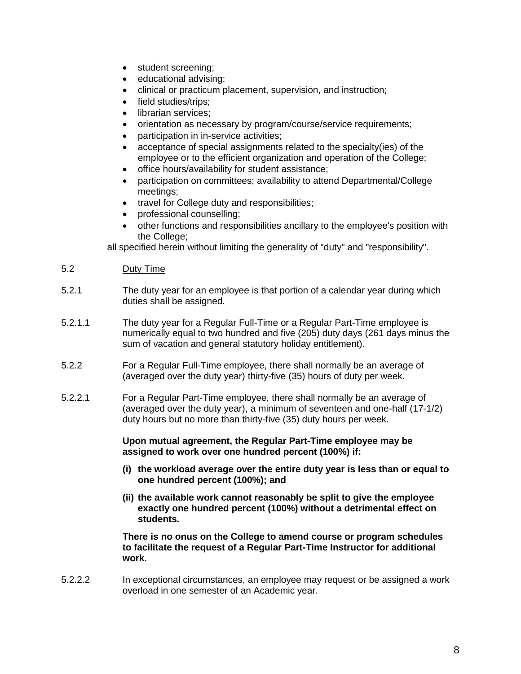- student screening;
- educational advising;
- clinical or practicum placement, supervision, and instruction;
- field studies/trips;
- librarian services:
- orientation as necessary by program/course/service requirements;
- participation in in-service activities;
- acceptance of special assignments related to the specialty(ies) of the employee or to the efficient organization and operation of the College;
- office hours/availability for student assistance;
- participation on committees; availability to attend Departmental/College meetings;
- travel for College duty and responsibilities;
- professional counselling;
- other functions and responsibilities ancillary to the employee's position with the College;

all specified herein without limiting the generality of "duty" and "responsibility".

# <span id="page-12-0"></span>5.2 Duty Time

- 5.2.1 The duty year for an employee is that portion of a calendar year during which duties shall be assigned.
- 5.2.1.1 The duty year for a Regular Full-Time or a Regular Part-Time employee is numerically equal to two hundred and five (205) duty days (261 days minus the sum of vacation and general statutory holiday entitlement).
- 5.2.2 For a Regular Full-Time employee, there shall normally be an average of (averaged over the duty year) thirty-five (35) hours of duty per week.
- 5.2.2.1 For a Regular Part-Time employee, there shall normally be an average of (averaged over the duty year), a minimum of seventeen and one-half (17-1/2) duty hours but no more than thirty-five (35) duty hours per week.

**Upon mutual agreement, the Regular Part-Time employee may be assigned to work over one hundred percent (100%) if:**

- **(i) the workload average over the entire duty year is less than or equal to one hundred percent (100%); and**
- **(ii) the available work cannot reasonably be split to give the employee exactly one hundred percent (100%) without a detrimental effect on students.**

**There is no onus on the College to amend course or program schedules to facilitate the request of a Regular Part-Time Instructor for additional work.**

5.2.2.2 In exceptional circumstances, an employee may request or be assigned a work overload in one semester of an Academic year.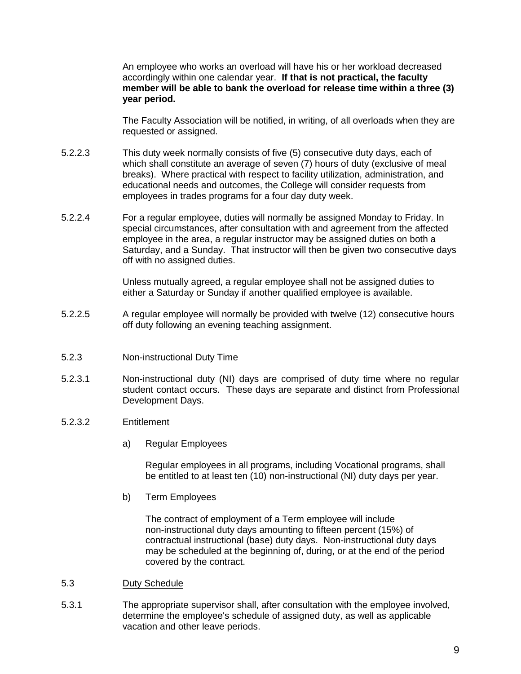An employee who works an overload will have his or her workload decreased accordingly within one calendar year. **If that is not practical, the faculty member will be able to bank the overload for release time within a three (3) year period.**

The Faculty Association will be notified, in writing, of all overloads when they are requested or assigned.

- 5.2.2.3 This duty week normally consists of five (5) consecutive duty days, each of which shall constitute an average of seven (7) hours of duty (exclusive of meal breaks).Where practical with respect to facility utilization, administration, and educational needs and outcomes, the College will consider requests from employees in trades programs for a four day duty week.
- 5.2.2.4 For a regular employee, duties will normally be assigned Monday to Friday. In special circumstances, after consultation with and agreement from the affected employee in the area, a regular instructor may be assigned duties on both a Saturday, and a Sunday. That instructor will then be given two consecutive days off with no assigned duties.

Unless mutually agreed, a regular employee shall not be assigned duties to either a Saturday or Sunday if another qualified employee is available.

- 5.2.2.5 A regular employee will normally be provided with twelve (12) consecutive hours off duty following an evening teaching assignment.
- <span id="page-13-0"></span>5.2.3 Non-instructional Duty Time
- 5.2.3.1 Non-instructional duty (NI) days are comprised of duty time where no regular student contact occurs. These days are separate and distinct from Professional Development Days.
- <span id="page-13-1"></span>5.2.3.2 Entitlement
	- a) Regular Employees

Regular employees in all programs, including Vocational programs, shall be entitled to at least ten (10) non-instructional (NI) duty days per year.

b) Term Employees

The contract of employment of a Term employee will include non-instructional duty days amounting to fifteen percent (15%) of contractual instructional (base) duty days. Non-instructional duty days may be scheduled at the beginning of, during, or at the end of the period covered by the contract.

- <span id="page-13-2"></span>5.3 Duty Schedule
- 5.3.1 The appropriate supervisor shall, after consultation with the employee involved, determine the employee's schedule of assigned duty, as well as applicable vacation and other leave periods.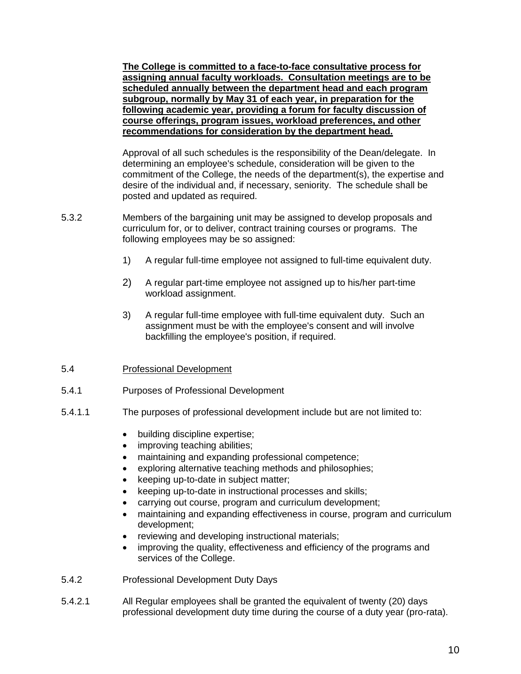**The College is committed to a face-to-face consultative process for assigning annual faculty workloads. Consultation meetings are to be scheduled annually between the department head and each program subgroup, normally by May 31 of each year, in preparation for the following academic year, providing a forum for faculty discussion of course offerings, program issues, workload preferences, and other recommendations for consideration by the department head.**

Approval of all such schedules is the responsibility of the Dean/delegate. In determining an employee's schedule, consideration will be given to the commitment of the College, the needs of the department(s), the expertise and desire of the individual and, if necessary, seniority. The schedule shall be posted and updated as required.

- 5.3.2 Members of the bargaining unit may be assigned to develop proposals and curriculum for, or to deliver, contract training courses or programs. The following employees may be so assigned:
	- 1) A regular full-time employee not assigned to full-time equivalent duty.
	- 2) A regular part-time employee not assigned up to his/her part-time workload assignment.
	- 3) A regular full-time employee with full-time equivalent duty. Such an assignment must be with the employee's consent and will involve backfilling the employee's position, if required.

# <span id="page-14-0"></span>5.4 Professional Development

- <span id="page-14-1"></span>5.4.1 Purposes of Professional Development
- <span id="page-14-2"></span>5.4.1.1 The purposes of professional development include but are not limited to:
	- building discipline expertise;
	- improving teaching abilities;
	- maintaining and expanding professional competence;
	- exploring alternative teaching methods and philosophies;
	- keeping up-to-date in subject matter;
	- keeping up-to-date in instructional processes and skills;
	- carrying out course, program and curriculum development;
	- maintaining and expanding effectiveness in course, program and curriculum development;
	- reviewing and developing instructional materials;
	- improving the quality, effectiveness and efficiency of the programs and services of the College.
- <span id="page-14-3"></span>5.4.2 Professional Development Duty Days
- 5.4.2.1 All Regular employees shall be granted the equivalent of twenty (20) days professional development duty time during the course of a duty year (pro-rata).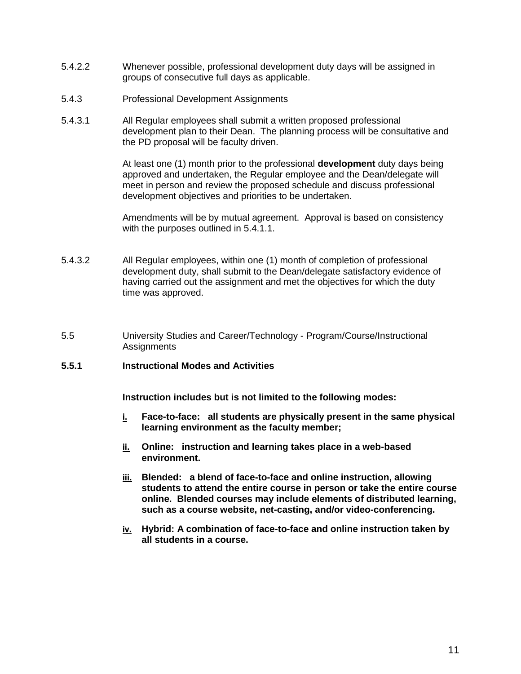- 5.4.2.2 Whenever possible, professional development duty days will be assigned in groups of consecutive full days as applicable.
- <span id="page-15-0"></span>5.4.3 Professional Development Assignments
- 5.4.3.1 All Regular employees shall submit a written proposed professional development plan to their Dean. The planning process will be consultative and the PD proposal will be faculty driven.

At least one (1) month prior to the professional **development** duty days being approved and undertaken, the Regular employee and the Dean/delegate will meet in person and review the proposed schedule and discuss professional development objectives and priorities to be undertaken.

Amendments will be by mutual agreement. Approval is based on consistency with the purposes outlined in 5.4.1.1.

- 5.4.3.2 All Regular employees, within one (1) month of completion of professional development duty, shall submit to the Dean/delegate satisfactory evidence of having carried out the assignment and met the objectives for which the duty time was approved.
- <span id="page-15-1"></span>5.5 University Studies and Career/Technology - Program/Course/Instructional **Assignments**

#### **5.5.1 Instructional Modes and Activities**

**Instruction includes but is not limited to the following modes:**

- **i. Face-to-face: all students are physically present in the same physical learning environment as the faculty member;**
- **ii. Online: instruction and learning takes place in a web-based environment.**
- **iii. Blended: a blend of face-to-face and online instruction, allowing students to attend the entire course in person or take the entire course online. Blended courses may include elements of distributed learning, such as a course website, net-casting, and/or video-conferencing.**
- **iv. Hybrid: A combination of face-to-face and online instruction taken by all students in a course.**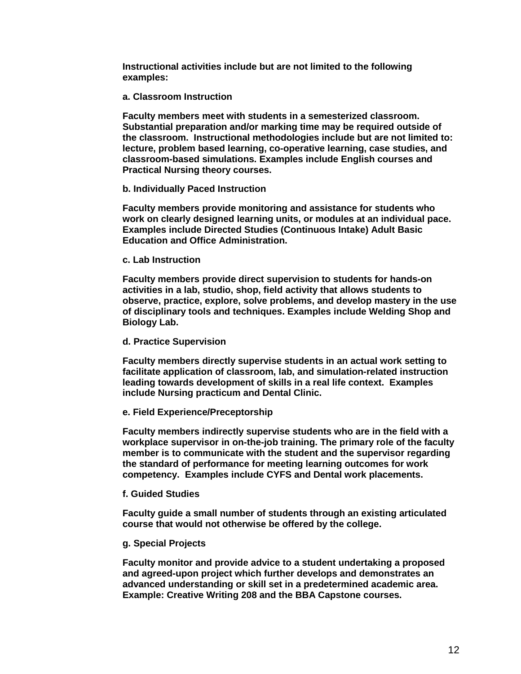**Instructional activities include but are not limited to the following examples:**

#### **a. Classroom Instruction**

**Faculty members meet with students in a semesterized classroom. Substantial preparation and/or marking time may be required outside of the classroom. Instructional methodologies include but are not limited to: lecture, problem based learning, co-operative learning, case studies, and classroom-based simulations. Examples include English courses and Practical Nursing theory courses.**

#### **b. Individually Paced Instruction**

**Faculty members provide monitoring and assistance for students who work on clearly designed learning units, or modules at an individual pace. Examples include Directed Studies (Continuous Intake) Adult Basic Education and Office Administration.**

#### **c. Lab Instruction**

**Faculty members provide direct supervision to students for hands-on activities in a lab, studio, shop, field activity that allows students to observe, practice, explore, solve problems, and develop mastery in the use of disciplinary tools and techniques. Examples include Welding Shop and Biology Lab.**

#### **d. Practice Supervision**

**Faculty members directly supervise students in an actual work setting to facilitate application of classroom, lab, and simulation-related instruction leading towards development of skills in a real life context. Examples include Nursing practicum and Dental Clinic.**

## **e. Field Experience/Preceptorship**

**Faculty members indirectly supervise students who are in the field with a workplace supervisor in on-the-job training. The primary role of the faculty member is to communicate with the student and the supervisor regarding the standard of performance for meeting learning outcomes for work competency. Examples include CYFS and Dental work placements.**

## **f. Guided Studies**

**Faculty guide a small number of students through an existing articulated course that would not otherwise be offered by the college.**

## **g. Special Projects**

**Faculty monitor and provide advice to a student undertaking a proposed and agreed-upon project which further develops and demonstrates an advanced understanding or skill set in a predetermined academic area. Example: Creative Writing 208 and the BBA Capstone courses.**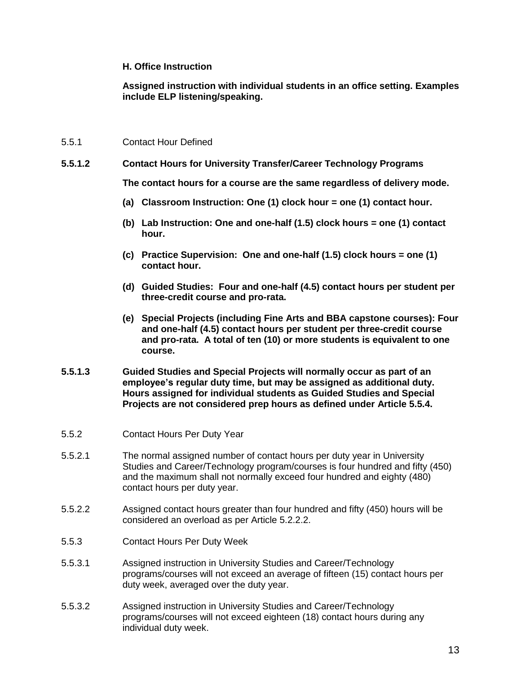#### **H. Office Instruction**

**Assigned instruction with individual students in an office setting. Examples include ELP listening/speaking.**

#### <span id="page-17-0"></span>5.5.1 Contact Hour Defined

**5.5.1.2 Contact Hours for University Transfer/Career Technology Programs**

**The contact hours for a course are the same regardless of delivery mode.**

- **(a) Classroom Instruction: One (1) clock hour = one (1) contact hour.**
- **(b) Lab Instruction: One and one-half (1.5) clock hours = one (1) contact hour.**
- **(c) Practice Supervision: One and one-half (1.5) clock hours = one (1) contact hour.**
- **(d) Guided Studies: Four and one-half (4.5) contact hours per student per three-credit course and pro-rata.**
- **(e) Special Projects (including Fine Arts and BBA capstone courses): Four and one-half (4.5) contact hours per student per three-credit course and pro-rata. A total of ten (10) or more students is equivalent to one course.**
- **5.5.1.3 Guided Studies and Special Projects will normally occur as part of an employee's regular duty time, but may be assigned as additional duty. Hours assigned for individual students as Guided Studies and Special Projects are not considered prep hours as defined under Article 5.5.4.**
- <span id="page-17-1"></span>5.5.2 Contact Hours Per Duty Year
- 5.5.2.1 The normal assigned number of contact hours per duty year in University Studies and Career/Technology program/courses is four hundred and fifty (450) and the maximum shall not normally exceed four hundred and eighty (480) contact hours per duty year.
- 5.5.2.2 Assigned contact hours greater than four hundred and fifty (450) hours will be considered an overload as per Article 5.2.2.2.
- <span id="page-17-2"></span>5.5.3 Contact Hours Per Duty Week
- 5.5.3.1 Assigned instruction in University Studies and Career/Technology programs/courses will not exceed an average of fifteen (15) contact hours per duty week, averaged over the duty year.
- 5.5.3.2 Assigned instruction in University Studies and Career/Technology programs/courses will not exceed eighteen (18) contact hours during any individual duty week.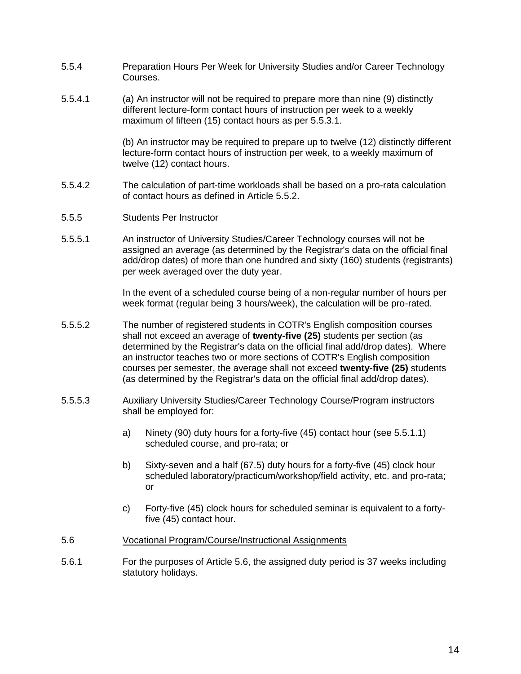- <span id="page-18-0"></span>5.5.4 Preparation Hours Per Week for University Studies and/or Career Technology Courses.
- 5.5.4.1 (a) An instructor will not be required to prepare more than nine (9) distinctly different lecture-form contact hours of instruction per week to a weekly maximum of fifteen (15) contact hours as per 5.5.3.1.

(b) An instructor may be required to prepare up to twelve (12) distinctly different lecture-form contact hours of instruction per week, to a weekly maximum of twelve (12) contact hours.

- 5.5.4.2 The calculation of part-time workloads shall be based on a pro-rata calculation of contact hours as defined in Article 5.5.2.
- <span id="page-18-1"></span>5.5.5 Students Per Instructor
- 5.5.5.1 An instructor of University Studies/Career Technology courses will not be assigned an average (as determined by the Registrar's data on the official final add/drop dates) of more than one hundred and sixty (160) students (registrants) per week averaged over the duty year.

In the event of a scheduled course being of a non-regular number of hours per week format (regular being 3 hours/week), the calculation will be pro-rated.

- 5.5.5.2 The number of registered students in COTR's English composition courses shall not exceed an average of **twenty-five (25)** students per section (as determined by the Registrar's data on the official final add/drop dates). Where an instructor teaches two or more sections of COTR's English composition courses per semester, the average shall not exceed **twenty-five (25)** students (as determined by the Registrar's data on the official final add/drop dates).
- 5.5.5.3 Auxiliary University Studies/Career Technology Course/Program instructors shall be employed for:
	- a) Ninety (90) duty hours for a forty-five (45) contact hour (see 5.5.1.1) scheduled course, and pro-rata; or
	- b) Sixty-seven and a half (67.5) duty hours for a forty-five (45) clock hour scheduled laboratory/practicum/workshop/field activity, etc. and pro-rata; or
	- c) Forty-five (45) clock hours for scheduled seminar is equivalent to a fortyfive (45) contact hour.
- <span id="page-18-2"></span>5.6 Vocational Program/Course/Instructional Assignments
- 5.6.1 For the purposes of Article 5.6, the assigned duty period is 37 weeks including statutory holidays.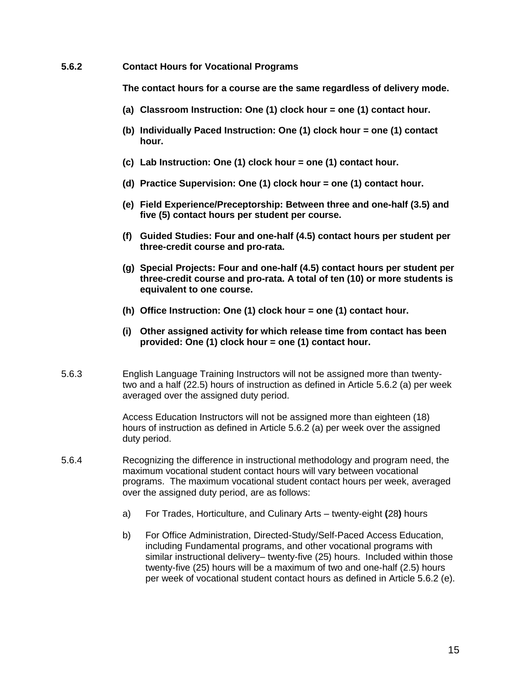#### **5.6.2 Contact Hours for Vocational Programs**

**The contact hours for a course are the same regardless of delivery mode.**

- **(a) Classroom Instruction: One (1) clock hour = one (1) contact hour.**
- **(b) Individually Paced Instruction: One (1) clock hour = one (1) contact hour.**
- **(c) Lab Instruction: One (1) clock hour = one (1) contact hour.**
- **(d) Practice Supervision: One (1) clock hour = one (1) contact hour.**
- **(e) Field Experience/Preceptorship: Between three and one-half (3.5) and five (5) contact hours per student per course.**
- **(f) Guided Studies: Four and one-half (4.5) contact hours per student per three-credit course and pro-rata.**
- **(g) Special Projects: Four and one-half (4.5) contact hours per student per three-credit course and pro-rata. A total of ten (10) or more students is equivalent to one course.**
- **(h) Office Instruction: One (1) clock hour = one (1) contact hour.**
- **(i) Other assigned activity for which release time from contact has been provided: One (1) clock hour = one (1) contact hour.**
- 5.6.3 English Language Training Instructors will not be assigned more than twentytwo and a half (22.5) hours of instruction as defined in Article 5.6.2 (a) per week averaged over the assigned duty period.

Access Education Instructors will not be assigned more than eighteen (18) hours of instruction as defined in Article 5.6.2 (a) per week over the assigned duty period.

- 5.6.4 Recognizing the difference in instructional methodology and program need, the maximum vocational student contact hours will vary between vocational programs. The maximum vocational student contact hours per week, averaged over the assigned duty period, are as follows:
	- a) For Trades, Horticulture, and Culinary Arts twenty-eight **(**28**)** hours
	- b) For Office Administration, Directed-Study/Self-Paced Access Education, including Fundamental programs, and other vocational programs with similar instructional delivery– twenty-five (25) hours. Included within those twenty-five (25) hours will be a maximum of two and one-half (2.5) hours per week of vocational student contact hours as defined in Article 5.6.2 (e).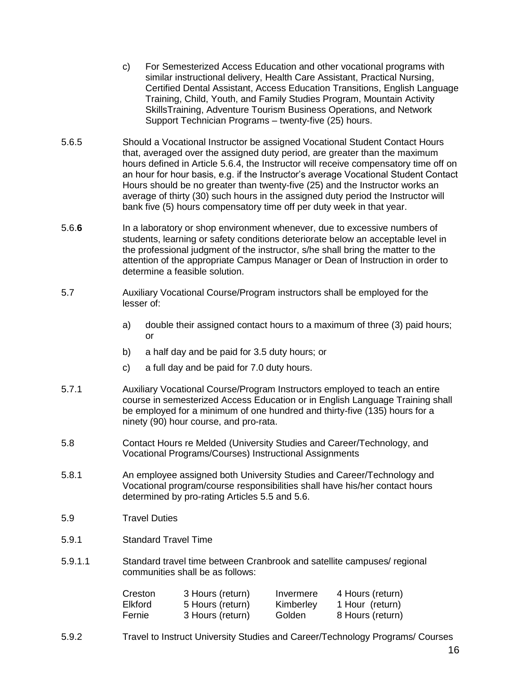- c) For Semesterized Access Education and other vocational programs with similar instructional delivery, Health Care Assistant, Practical Nursing, Certified Dental Assistant, Access Education Transitions, English Language Training, Child, Youth, and Family Studies Program, Mountain Activity SkillsTraining, Adventure Tourism Business Operations, and Network Support Technician Programs – twenty-five (25) hours.
- 5.6.5 Should a Vocational Instructor be assigned Vocational Student Contact Hours that, averaged over the assigned duty period, are greater than the maximum hours defined in Article 5.6.4, the Instructor will receive compensatory time off on an hour for hour basis, e.g. if the Instructor's average Vocational Student Contact Hours should be no greater than twenty-five (25) and the Instructor works an average of thirty (30) such hours in the assigned duty period the Instructor will bank five (5) hours compensatory time off per duty week in that year.
- 5.6.**6** In a laboratory or shop environment whenever, due to excessive numbers of students, learning or safety conditions deteriorate below an acceptable level in the professional judgment of the instructor, s/he shall bring the matter to the attention of the appropriate Campus Manager or Dean of Instruction in order to determine a feasible solution.
- <span id="page-20-0"></span>5.7 Auxiliary Vocational Course/Program instructors shall be employed for the lesser of:
	- a) double their assigned contact hours to a maximum of three (3) paid hours; or
	- b) a half day and be paid for 3.5 duty hours; or
	- c) a full day and be paid for 7.0 duty hours.
- 5.7.1 Auxiliary Vocational Course/Program Instructors employed to teach an entire course in semesterized Access Education or in English Language Training shall be employed for a minimum of one hundred and thirty-five (135) hours for a ninety (90) hour course, and pro-rata.
- <span id="page-20-1"></span>5.8 Contact Hours re Melded (University Studies and Career/Technology, and Vocational Programs/Courses) Instructional Assignments
- 5.8.1 An employee assigned both University Studies and Career/Technology and Vocational program/course responsibilities shall have his/her contact hours determined by pro-rating Articles 5.5 and 5.6.
- <span id="page-20-2"></span>5.9 Travel Duties
- 5.9.1 Standard Travel Time
- 5.9.1.1 Standard travel time between Cranbrook and satellite campuses/ regional communities shall be as follows:

| Creston        | 3 Hours (return) | Invermere | 4 Hours (return) |
|----------------|------------------|-----------|------------------|
| <b>Elkford</b> | 5 Hours (return) | Kimberley | 1 Hour (return)  |
| Fernie         | 3 Hours (return) | Golden    | 8 Hours (return) |

5.9.2 Travel to Instruct University Studies and Career/Technology Programs/ Courses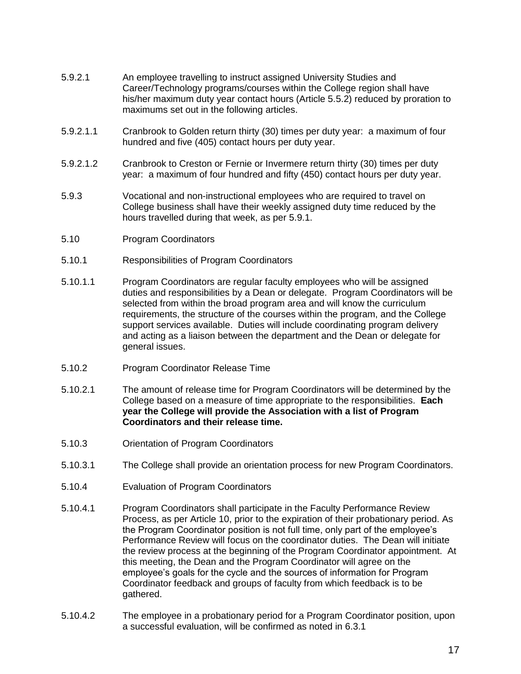- 5.9.2.1 An employee travelling to instruct assigned University Studies and Career/Technology programs/courses within the College region shall have his/her maximum duty year contact hours (Article 5.5.2) reduced by proration to maximums set out in the following articles.
- 5.9.2.1.1 Cranbrook to Golden return thirty (30) times per duty year: a maximum of four hundred and five (405) contact hours per duty year.
- 5.9.2.1.2 Cranbrook to Creston or Fernie or Invermere return thirty (30) times per duty year: a maximum of four hundred and fifty (450) contact hours per duty year.
- 5.9.3 Vocational and non-instructional employees who are required to travel on College business shall have their weekly assigned duty time reduced by the hours travelled during that week, as per 5.9.1.
- <span id="page-21-0"></span>5.10 Program Coordinators
- 5.10.1 Responsibilities of Program Coordinators
- 5.10.1.1 Program Coordinators are regular faculty employees who will be assigned duties and responsibilities by a Dean or delegate. Program Coordinators will be selected from within the broad program area and will know the curriculum requirements, the structure of the courses within the program, and the College support services available. Duties will include coordinating program delivery and acting as a liaison between the department and the Dean or delegate for general issues.
- 5.10.2 Program Coordinator Release Time
- 5.10.2.1 The amount of release time for Program Coordinators will be determined by the College based on a measure of time appropriate to the responsibilities. **Each year the College will provide the Association with a list of Program Coordinators and their release time.**
- 5.10.3 Orientation of Program Coordinators
- 5.10.3.1 The College shall provide an orientation process for new Program Coordinators.
- 5.10.4 Evaluation of Program Coordinators
- 5.10.4.1 Program Coordinators shall participate in the Faculty Performance Review Process, as per Article 10, prior to the expiration of their probationary period. As the Program Coordinator position is not full time, only part of the employee's Performance Review will focus on the coordinator duties. The Dean will initiate the review process at the beginning of the Program Coordinator appointment. At this meeting, the Dean and the Program Coordinator will agree on the employee's goals for the cycle and the sources of information for Program Coordinator feedback and groups of faculty from which feedback is to be gathered.
- 5.10.4.2 The employee in a probationary period for a Program Coordinator position, upon a successful evaluation, will be confirmed as noted in 6.3.1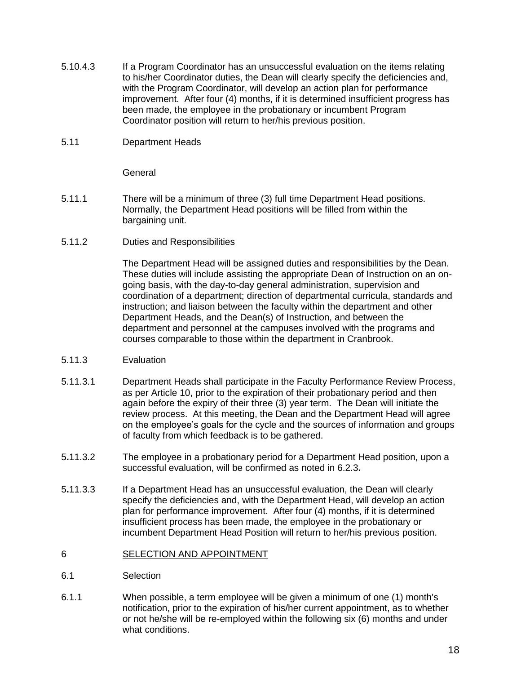- 5.10.4.3 If a Program Coordinator has an unsuccessful evaluation on the items relating to his/her Coordinator duties, the Dean will clearly specify the deficiencies and, with the Program Coordinator, will develop an action plan for performance improvement. After four (4) months, if it is determined insufficient progress has been made, the employee in the probationary or incumbent Program Coordinator position will return to her/his previous position.
- <span id="page-22-0"></span>5.11 Department Heads

**General** 

- 5.11.1 There will be a minimum of three (3) full time Department Head positions. Normally, the Department Head positions will be filled from within the bargaining unit.
- 5.11.2 Duties and Responsibilities

The Department Head will be assigned duties and responsibilities by the Dean. These duties will include assisting the appropriate Dean of Instruction on an ongoing basis, with the day-to-day general administration, supervision and coordination of a department; direction of departmental curricula, standards and instruction; and liaison between the faculty within the department and other Department Heads, and the Dean(s) of Instruction, and between the department and personnel at the campuses involved with the programs and courses comparable to those within the department in Cranbrook.

- 5.11.3 Evaluation
- 5.11.3.1 Department Heads shall participate in the Faculty Performance Review Process, as per Article 10, prior to the expiration of their probationary period and then again before the expiry of their three (3) year term. The Dean will initiate the review process. At this meeting, the Dean and the Department Head will agree on the employee's goals for the cycle and the sources of information and groups of faculty from which feedback is to be gathered.
- 5**.**11.3.2 The employee in a probationary period for a Department Head position, upon a successful evaluation, will be confirmed as noted in 6.2.3**.**
- 5**.**11.3.3 If a Department Head has an unsuccessful evaluation, the Dean will clearly specify the deficiencies and, with the Department Head, will develop an action plan for performance improvement. After four (4) months, if it is determined insufficient process has been made, the employee in the probationary or incumbent Department Head Position will return to her/his previous position.

#### <span id="page-22-1"></span>6 SELECTION AND APPOINTMENT

- 6.1 Selection
- 6.1.1 When possible, a term employee will be given a minimum of one (1) month's notification, prior to the expiration of his/her current appointment, as to whether or not he/she will be re-employed within the following six (6) months and under what conditions.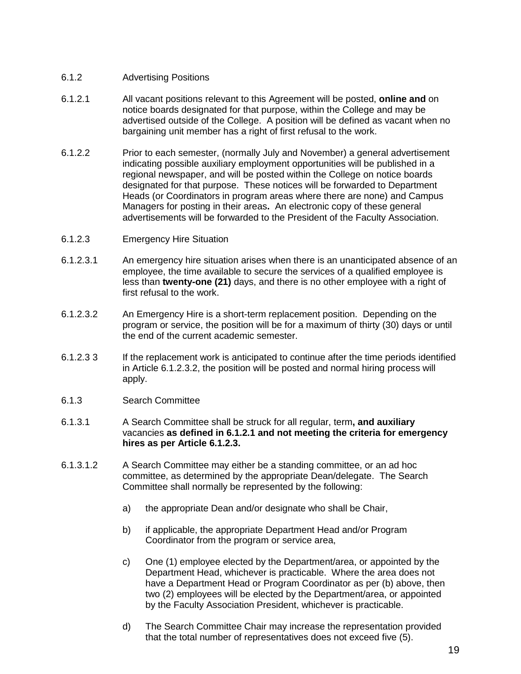# 6.1.2 Advertising Positions

- 6.1.2.1 All vacant positions relevant to this Agreement will be posted, **online and** on notice boards designated for that purpose, within the College and may be advertised outside of the College. A position will be defined as vacant when no bargaining unit member has a right of first refusal to the work.
- 6.1.2.2 Prior to each semester, (normally July and November) a general advertisement indicating possible auxiliary employment opportunities will be published in a regional newspaper, and will be posted within the College on notice boards designated for that purpose. These notices will be forwarded to Department Heads (or Coordinators in program areas where there are none) and Campus Managers for posting in their areas**.** An electronic copy of these general advertisements will be forwarded to the President of the Faculty Association.
- <span id="page-23-0"></span>6.1.2.3 Emergency Hire Situation
- 6.1.2.3.1 An emergency hire situation arises when there is an unanticipated absence of an employee, the time available to secure the services of a qualified employee is less than **twenty-one (21)** days, and there is no other employee with a right of first refusal to the work.
- 6.1.2.3.2 An Emergency Hire is a short-term replacement position. Depending on the program or service, the position will be for a maximum of thirty (30) days or until the end of the current academic semester.
- 6.1.2.3 3 If the replacement work is anticipated to continue after the time periods identified in Article 6.1.2.3.2, the position will be posted and normal hiring process will apply.
- <span id="page-23-1"></span>6.1.3 Search Committee
- 6.1.3.1 A Search Committee shall be struck for all regular, term**, and auxiliary** vacancies **as defined in 6.1.2.1 and not meeting the criteria for emergency hires as per Article 6.1.2.3.**
- 6.1.3.1.2 A Search Committee may either be a standing committee, or an ad hoc committee, as determined by the appropriate Dean/delegate. The Search Committee shall normally be represented by the following:
	- a) the appropriate Dean and/or designate who shall be Chair,
	- b) if applicable, the appropriate Department Head and/or Program Coordinator from the program or service area,
	- c) One (1) employee elected by the Department/area, or appointed by the Department Head, whichever is practicable. Where the area does not have a Department Head or Program Coordinator as per (b) above, then two (2) employees will be elected by the Department/area, or appointed by the Faculty Association President, whichever is practicable.
	- d) The Search Committee Chair may increase the representation provided that the total number of representatives does not exceed five (5).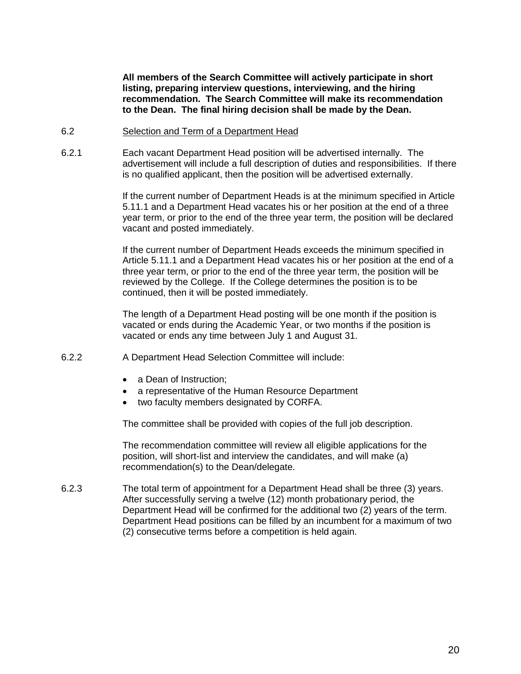**All members of the Search Committee will actively participate in short listing, preparing interview questions, interviewing, and the hiring recommendation. The Search Committee will make its recommendation to the Dean. The final hiring decision shall be made by the Dean.**

#### <span id="page-24-0"></span>6.2 Selection and Term of a Department Head

6.2.1 Each vacant Department Head position will be advertised internally. The advertisement will include a full description of duties and responsibilities. If there is no qualified applicant, then the position will be advertised externally.

> If the current number of Department Heads is at the minimum specified in Article 5.11.1 and a Department Head vacates his or her position at the end of a three year term, or prior to the end of the three year term, the position will be declared vacant and posted immediately.

> If the current number of Department Heads exceeds the minimum specified in Article 5.11.1 and a Department Head vacates his or her position at the end of a three year term, or prior to the end of the three year term, the position will be reviewed by the College. If the College determines the position is to be continued, then it will be posted immediately.

The length of a Department Head posting will be one month if the position is vacated or ends during the Academic Year, or two months if the position is vacated or ends any time between July 1 and August 31.

- <span id="page-24-1"></span>6.2.2 A Department Head Selection Committee will include:
	- a Dean of Instruction:
	- a representative of the Human Resource Department
	- two faculty members designated by CORFA.

The committee shall be provided with copies of the full job description.

The recommendation committee will review all eligible applications for the position, will short-list and interview the candidates, and will make (a) recommendation(s) to the Dean/delegate.

<span id="page-24-2"></span>6.2.3 The total term of appointment for a Department Head shall be three (3) years. After successfully serving a twelve (12) month probationary period, the Department Head will be confirmed for the additional two (2) years of the term. Department Head positions can be filled by an incumbent for a maximum of two (2) consecutive terms before a competition is held again.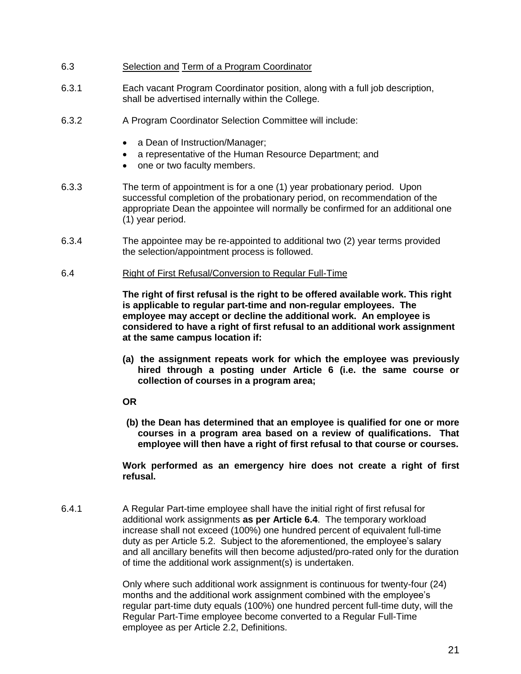- 6.3 Selection and Term of a Program Coordinator
- 6.3.1 Each vacant Program Coordinator position, along with a full job description, shall be advertised internally within the College.
- <span id="page-25-0"></span>6.3.2 A Program Coordinator Selection Committee will include:
	- a Dean of Instruction/Manager;
	- a representative of the Human Resource Department; and
	- one or two faculty members.
- 6.3.3 The term of appointment is for a one (1) year probationary period. Upon successful completion of the probationary period, on recommendation of the appropriate Dean the appointee will normally be confirmed for an additional one (1) year period.
- 6.3.4 The appointee may be re-appointed to additional two (2) year terms provided the selection/appointment process is followed.
- <span id="page-25-1"></span>6.4 Right of First Refusal/Conversion to Regular Full-Time

**The right of first refusal is the right to be offered available work. This right is applicable to regular part-time and non-regular employees. The employee may accept or decline the additional work. An employee is considered to have a right of first refusal to an additional work assignment at the same campus location if:**

- **(a) the assignment repeats work for which the employee was previously hired through a posting under Article 6 (i.e. the same course or collection of courses in a program area;**
- **OR**
- **(b) the Dean has determined that an employee is qualified for one or more courses in a program area based on a review of qualifications. That**  employee will then have a right of first refusal to that course or courses.

**Work performed as an emergency hire does not create a right of first refusal.**

6.4.1 A Regular Part-time employee shall have the initial right of first refusal for additional work assignments **as per Article 6.4**. The temporary workload increase shall not exceed (100%) one hundred percent of equivalent full-time duty as per Article 5.2. Subject to the aforementioned, the employee's salary and all ancillary benefits will then become adjusted/pro-rated only for the duration of time the additional work assignment(s) is undertaken.

> Only where such additional work assignment is continuous for twenty-four (24) months and the additional work assignment combined with the employee's regular part-time duty equals (100%) one hundred percent full-time duty, will the Regular Part-Time employee become converted to a Regular Full-Time employee as per Article 2.2, Definitions.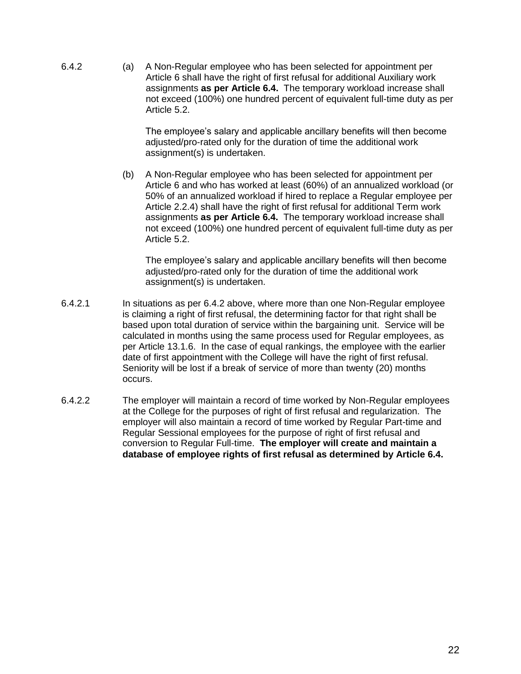6.4.2 (a) A Non-Regular employee who has been selected for appointment per Article 6 shall have the right of first refusal for additional Auxiliary work assignments **as per Article 6.4.** The temporary workload increase shall not exceed (100%) one hundred percent of equivalent full-time duty as per Article 5.2.

> The employee's salary and applicable ancillary benefits will then become adjusted/pro-rated only for the duration of time the additional work assignment(s) is undertaken.

(b) A Non-Regular employee who has been selected for appointment per Article 6 and who has worked at least (60%) of an annualized workload (or 50% of an annualized workload if hired to replace a Regular employee per Article 2.2.4) shall have the right of first refusal for additional Term work assignments **as per Article 6.4.** The temporary workload increase shall not exceed (100%) one hundred percent of equivalent full-time duty as per Article 5.2.

The employee's salary and applicable ancillary benefits will then become adjusted/pro-rated only for the duration of time the additional work assignment(s) is undertaken.

- 6.4.2.1 In situations as per 6.4.2 above, where more than one Non-Regular employee is claiming a right of first refusal, the determining factor for that right shall be based upon total duration of service within the bargaining unit. Service will be calculated in months using the same process used for Regular employees, as per Article 13.1.6. In the case of equal rankings, the employee with the earlier date of first appointment with the College will have the right of first refusal. Seniority will be lost if a break of service of more than twenty (20) months occurs.
- <span id="page-26-0"></span>6.4.2.2 The employer will maintain a record of time worked by Non-Regular employees at the College for the purposes of right of first refusal and regularization. The employer will also maintain a record of time worked by Regular Part-time and Regular Sessional employees for the purpose of right of first refusal and conversion to Regular Full-time. **The employer will create and maintain a database of employee rights of first refusal as determined by Article 6.4.**

22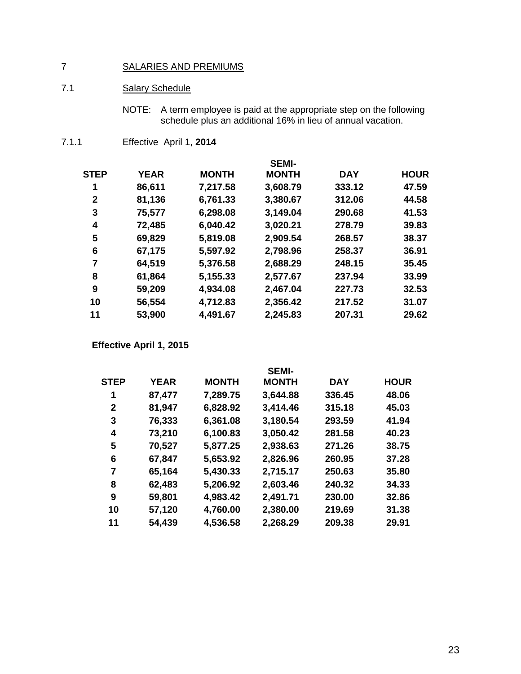# SALARIES AND PREMIUMS

# <span id="page-27-0"></span>7.1 Salary Schedule

NOTE: A term employee is paid at the appropriate step on the following schedule plus an additional 16% in lieu of annual vacation.

7.1.1 Effective April 1, **2014**

|             |             |              | <b>SEMI-</b> |            |             |
|-------------|-------------|--------------|--------------|------------|-------------|
| STEP        | <b>YEAR</b> | <b>MONTH</b> | <b>MONTH</b> | <b>DAY</b> | <b>HOUR</b> |
| 1           | 86,611      | 7,217.58     | 3,608.79     | 333.12     | 47.59       |
| $\mathbf 2$ | 81,136      | 6,761.33     | 3,380.67     | 312.06     | 44.58       |
| 3           | 75,577      | 6,298.08     | 3,149.04     | 290.68     | 41.53       |
| 4           | 72,485      | 6,040.42     | 3,020.21     | 278.79     | 39.83       |
| 5           | 69,829      | 5,819.08     | 2,909.54     | 268.57     | 38.37       |
| 6           | 67,175      | 5,597.92     | 2,798.96     | 258.37     | 36.91       |
| 7           | 64,519      | 5,376.58     | 2,688.29     | 248.15     | 35.45       |
| 8           | 61,864      | 5,155.33     | 2,577.67     | 237.94     | 33.99       |
| 9           | 59,209      | 4,934.08     | 2,467.04     | 227.73     | 32.53       |
| 10          | 56,554      | 4,712.83     | 2,356.42     | 217.52     | 31.07       |
| 11          | 53,900      | 4,491.67     | 2,245.83     | 207.31     | 29.62       |

**Effective April 1, 2015**

|             |             |              | <b>SEMI-</b> |            |             |
|-------------|-------------|--------------|--------------|------------|-------------|
| <b>STEP</b> | <b>YEAR</b> | <b>MONTH</b> | <b>MONTH</b> | <b>DAY</b> | <b>HOUR</b> |
| 1           | 87,477      | 7,289.75     | 3,644.88     | 336.45     | 48.06       |
| 2           | 81,947      | 6,828.92     | 3,414.46     | 315.18     | 45.03       |
| 3           | 76,333      | 6,361.08     | 3,180.54     | 293.59     | 41.94       |
| 4           | 73,210      | 6,100.83     | 3,050.42     | 281.58     | 40.23       |
| 5           | 70,527      | 5,877.25     | 2,938.63     | 271.26     | 38.75       |
| 6           | 67,847      | 5,653.92     | 2,826.96     | 260.95     | 37.28       |
| 7           | 65,164      | 5,430.33     | 2,715.17     | 250.63     | 35.80       |
| 8           | 62,483      | 5,206.92     | 2,603.46     | 240.32     | 34.33       |
| 9           | 59,801      | 4,983.42     | 2,491.71     | 230.00     | 32.86       |
| 10          | 57,120      | 4,760.00     | 2,380.00     | 219.69     | 31.38       |
| 11          | 54,439      | 4,536.58     | 2,268.29     | 209.38     | 29.91       |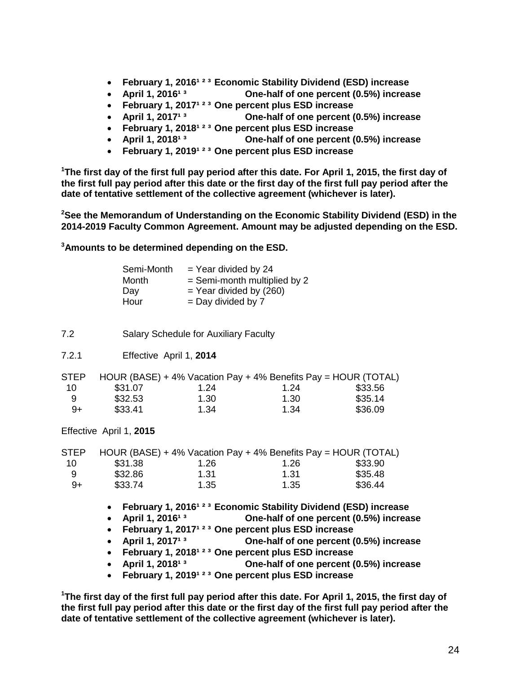- **Eebruary 1, 2016<sup>1 2 3</sup> Economic Stability Dividend (ESD) increase**
- **•** April 1, 2016<sup>13</sup> **One-half of one percent (0.5%) increase**
- **February 1, 2017<sup>1 2 3</sup> One percent plus ESD increase**
- **•** April 1, 2017<sup>13</sup> **One-half of one percent (0.5%) increase**
- **Eebruary 1, 2018<sup>1 2 3</sup> One percent plus ESD increase**
- April 1, 2018<sup>13</sup> **One-half of one percent (0.5%) increase**
- **February 1, 2019<sup>1 2 3</sup> One percent plus ESD increase**

**<sup>1</sup>The first day of the first full pay period after this date. For April 1, 2015, the first day of the first full pay period after this date or the first day of the first full pay period after the date of tentative settlement of the collective agreement (whichever is later).**

**<sup>2</sup>See the Memorandum of Understanding on the Economic Stability Dividend (ESD) in the 2014-2019 Faculty Common Agreement. Amount may be adjusted depending on the ESD.** 

**<sup>3</sup>Amounts to be determined depending on the ESD.** 

| Semi-Month | $=$ Year divided by 24         |
|------------|--------------------------------|
| Month      | $=$ Semi-month multiplied by 2 |
| Day        | $=$ Year divided by (260)      |
| Hour       | $=$ Day divided by 7           |

- <span id="page-28-0"></span>7.2 Salary Schedule for Auxiliary Faculty
- 7.2.1 Effective April 1, **2014**

| <b>STEP</b> |         |      | HOUR (BASE) + 4% Vacation Pay + 4% Benefits Pay = HOUR (TOTAL) |         |
|-------------|---------|------|----------------------------------------------------------------|---------|
| 10.         | \$31.07 | 1.24 | 1.24                                                           | \$33.56 |
| 9           | \$32.53 | 1.30 | 1.30                                                           | \$35.14 |
| $9+$        | \$33.41 | 1.34 | 1.34                                                           | \$36.09 |

Effective April 1, **2015**

| <b>STEP</b> |         |      | HOUR (BASE) + 4% Vacation Pay + 4% Benefits Pay = HOUR (TOTAL) |         |
|-------------|---------|------|----------------------------------------------------------------|---------|
| 10          | \$31.38 | 1.26 | 1.26                                                           | \$33.90 |
| 9           | \$32.86 | 1.31 | 1.31                                                           | \$35.48 |
| 9+          | \$33.74 | 1.35 | 1.35                                                           | \$36.44 |

- **•** February 1, 2016<sup>123</sup> Economic Stability Dividend (ESD) increase
- **•** April 1, 2016<sup>13</sup> **One-half of one percent (0.5%) increase**
- **February 1, 2017<sup>1 2 3</sup> One percent plus ESD increase**
- April 1, 2017<sup>13</sup> **One-half of one percent (0.5%) increase**
- **February 1, 2018<sup>1 2 3</sup> One percent plus ESD increase**
- **•** April 1, 2018<sup>13</sup> **One-half of one percent (0.5%) increase**
- **Eebruary 1, 2019<sup>123</sup> One percent plus ESD increase**

**<sup>1</sup>The first day of the first full pay period after this date. For April 1, 2015, the first day of the first full pay period after this date or the first day of the first full pay period after the date of tentative settlement of the collective agreement (whichever is later).**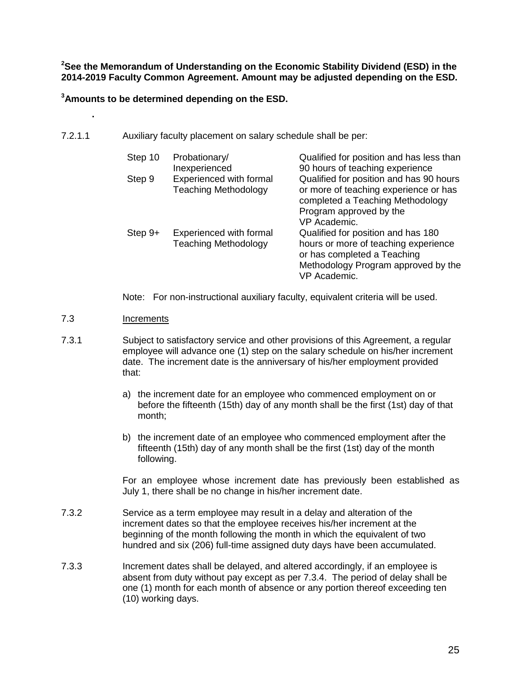**<sup>2</sup>See the Memorandum of Understanding on the Economic Stability Dividend (ESD) in the 2014-2019 Faculty Common Agreement. Amount may be adjusted depending on the ESD.** 

**<sup>3</sup>Amounts to be determined depending on the ESD.** 

<span id="page-29-0"></span>7.2.1.1 Auxiliary faculty placement on salary schedule shall be per:

| Step 10   | Probationary/<br>Inexperienced                         | Qualified for position and has less than<br>90 hours of teaching experience                                                                                             |
|-----------|--------------------------------------------------------|-------------------------------------------------------------------------------------------------------------------------------------------------------------------------|
| Step 9    | Experienced with formal<br><b>Teaching Methodology</b> | Qualified for position and has 90 hours<br>or more of teaching experience or has<br>completed a Teaching Methodology<br>Program approved by the<br>VP Academic.         |
| $Step 9+$ | Experienced with formal<br><b>Teaching Methodology</b> | Qualified for position and has 180<br>hours or more of teaching experience<br>or has completed a Teaching<br>Methodology Program approved by the<br><b>VP Academic.</b> |

Note: For non-instructional auxiliary faculty, equivalent criteria will be used.

## <span id="page-29-1"></span>7.3 Increments

**.**

- 7.3.1 Subject to satisfactory service and other provisions of this Agreement, a regular employee will advance one (1) step on the salary schedule on his/her increment date. The increment date is the anniversary of his/her employment provided that:
	- a) the increment date for an employee who commenced employment on or before the fifteenth (15th) day of any month shall be the first (1st) day of that month;
	- b) the increment date of an employee who commenced employment after the fifteenth (15th) day of any month shall be the first (1st) day of the month following.

For an employee whose increment date has previously been established as July 1, there shall be no change in his/her increment date.

- 7.3.2 Service as a term employee may result in a delay and alteration of the increment dates so that the employee receives his/her increment at the beginning of the month following the month in which the equivalent of two hundred and six (206) full-time assigned duty days have been accumulated.
- 7.3.3 Increment dates shall be delayed, and altered accordingly, if an employee is absent from duty without pay except as per 7.3.4. The period of delay shall be one (1) month for each month of absence or any portion thereof exceeding ten (10) working days.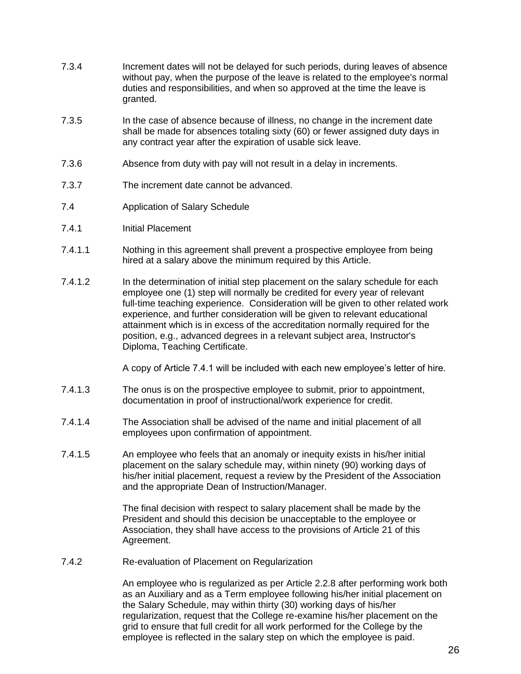- 7.3.4 Increment dates will not be delayed for such periods, during leaves of absence without pay, when the purpose of the leave is related to the employee's normal duties and responsibilities, and when so approved at the time the leave is granted.
- 7.3.5 In the case of absence because of illness, no change in the increment date shall be made for absences totaling sixty (60) or fewer assigned duty days in any contract year after the expiration of usable sick leave.
- 7.3.6 Absence from duty with pay will not result in a delay in increments.
- 7.3.7 The increment date cannot be advanced.
- <span id="page-30-0"></span>7.4 Application of Salary Schedule
- 7.4.1 Initial Placement
- 7.4.1.1 Nothing in this agreement shall prevent a prospective employee from being hired at a salary above the minimum required by this Article.
- 7.4.1.2 In the determination of initial step placement on the salary schedule for each employee one (1) step will normally be credited for every year of relevant full-time teaching experience. Consideration will be given to other related work experience, and further consideration will be given to relevant educational attainment which is in excess of the accreditation normally required for the position, e.g., advanced degrees in a relevant subject area, Instructor's Diploma, Teaching Certificate.

A copy of Article 7.4.1 will be included with each new employee's letter of hire.

- 7.4.1.3 The onus is on the prospective employee to submit, prior to appointment, documentation in proof of instructional/work experience for credit.
- 7.4.1.4 The Association shall be advised of the name and initial placement of all employees upon confirmation of appointment.
- 7.4.1.5 An employee who feels that an anomaly or inequity exists in his/her initial placement on the salary schedule may, within ninety (90) working days of his/her initial placement, request a review by the President of the Association and the appropriate Dean of Instruction/Manager.

The final decision with respect to salary placement shall be made by the President and should this decision be unacceptable to the employee or Association, they shall have access to the provisions of Article 21 of this Agreement.

7.4.2 Re-evaluation of Placement on Regularization

An employee who is regularized as per Article 2.2.8 after performing work both as an Auxiliary and as a Term employee following his/her initial placement on the Salary Schedule, may within thirty (30) working days of his/her regularization, request that the College re-examine his/her placement on the grid to ensure that full credit for all work performed for the College by the employee is reflected in the salary step on which the employee is paid.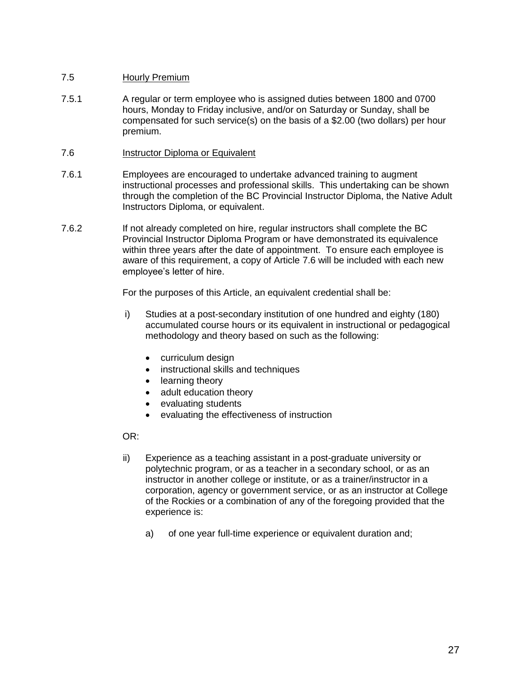# <span id="page-31-0"></span>7.5 Hourly Premium

- 7.5.1 A regular or term employee who is assigned duties between 1800 and 0700 hours, Monday to Friday inclusive, and/or on Saturday or Sunday, shall be compensated for such service(s) on the basis of a \$2.00 (two dollars) per hour premium.
- <span id="page-31-1"></span>7.6 Instructor Diploma or Equivalent
- 7.6.1 Employees are encouraged to undertake advanced training to augment instructional processes and professional skills. This undertaking can be shown through the completion of the BC Provincial Instructor Diploma, the Native Adult Instructors Diploma, or equivalent.
- 7.6.2 If not already completed on hire, regular instructors shall complete the BC Provincial Instructor Diploma Program or have demonstrated its equivalence within three years after the date of appointment. To ensure each employee is aware of this requirement, a copy of Article 7.6 will be included with each new employee's letter of hire.

For the purposes of this Article, an equivalent credential shall be:

- i) Studies at a post-secondary institution of one hundred and eighty (180) accumulated course hours or its equivalent in instructional or pedagogical methodology and theory based on such as the following:
	- curriculum design
	- instructional skills and techniques
	- learning theory
	- adult education theory
	- evaluating students
	- evaluating the effectiveness of instruction

OR:

- ii) Experience as a teaching assistant in a post-graduate university or polytechnic program, or as a teacher in a secondary school, or as an instructor in another college or institute, or as a trainer/instructor in a corporation, agency or government service, or as an instructor at College of the Rockies or a combination of any of the foregoing provided that the experience is:
	- a) of one year full-time experience or equivalent duration and;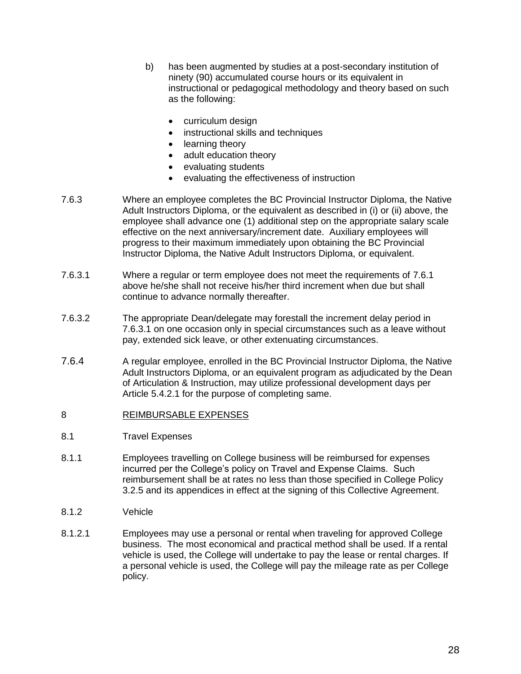- b) has been augmented by studies at a post-secondary institution of ninety (90) accumulated course hours or its equivalent in instructional or pedagogical methodology and theory based on such as the following:
	- curriculum design
	- instructional skills and techniques
	- learning theory
	- adult education theory
	- evaluating students
	- evaluating the effectiveness of instruction
- 7.6.3 Where an employee completes the BC Provincial Instructor Diploma, the Native Adult Instructors Diploma, or the equivalent as described in (i) or (ii) above, the employee shall advance one (1) additional step on the appropriate salary scale effective on the next anniversary/increment date. Auxiliary employees will progress to their maximum immediately upon obtaining the BC Provincial Instructor Diploma, the Native Adult Instructors Diploma, or equivalent.
- 7.6.3.1 Where a regular or term employee does not meet the requirements of 7.6.1 above he/she shall not receive his/her third increment when due but shall continue to advance normally thereafter.
- 7.6.3.2 The appropriate Dean/delegate may forestall the increment delay period in 7.6.3.1 on one occasion only in special circumstances such as a leave without pay, extended sick leave, or other extenuating circumstances.
- 7.6.4 A regular employee, enrolled in the BC Provincial Instructor Diploma, the Native Adult Instructors Diploma, or an equivalent program as adjudicated by the Dean of Articulation & Instruction, may utilize professional development days per Article 5.4.2.1 for the purpose of completing same.

## <span id="page-32-0"></span>8 REIMBURSABLE EXPENSES

- <span id="page-32-1"></span>8.1 Travel Expenses
- 8.1.1 Employees travelling on College business will be reimbursed for expenses incurred per the College's policy on Travel and Expense Claims. Such reimbursement shall be at rates no less than those specified in College Policy 3.2.5 and its appendices in effect at the signing of this Collective Agreement.
- 8.1.2 Vehicle
- 8.1.2.1 Employees may use a personal or rental when traveling for approved College business. The most economical and practical method shall be used. If a rental vehicle is used, the College will undertake to pay the lease or rental charges. If a personal vehicle is used, the College will pay the mileage rate as per College policy.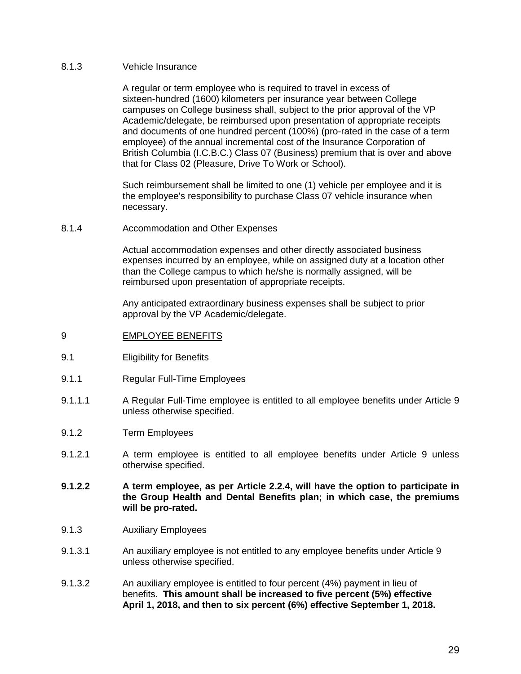#### 8.1.3 Vehicle Insurance

A regular or term employee who is required to travel in excess of sixteen-hundred (1600) kilometers per insurance year between College campuses on College business shall, subject to the prior approval of the VP Academic/delegate, be reimbursed upon presentation of appropriate receipts and documents of one hundred percent (100%) (pro-rated in the case of a term employee) of the annual incremental cost of the Insurance Corporation of British Columbia (I.C.B.C.) Class 07 (Business) premium that is over and above that for Class 02 (Pleasure, Drive To Work or School).

Such reimbursement shall be limited to one (1) vehicle per employee and it is the employee's responsibility to purchase Class 07 vehicle insurance when necessary.

8.1.4 Accommodation and Other Expenses

Actual accommodation expenses and other directly associated business expenses incurred by an employee, while on assigned duty at a location other than the College campus to which he/she is normally assigned, will be reimbursed upon presentation of appropriate receipts.

Any anticipated extraordinary business expenses shall be subject to prior approval by the VP Academic/delegate.

- <span id="page-33-0"></span>9 EMPLOYEE BENEFITS
- <span id="page-33-1"></span>9.1 Eligibility for Benefits
- 9.1.1 Regular Full-Time Employees
- 9.1.1.1 A Regular Full-Time employee is entitled to all employee benefits under Article 9 unless otherwise specified.
- 9.1.2 Term Employees
- 9.1.2.1 A term employee is entitled to all employee benefits under Article 9 unless otherwise specified.
- **9.1.2.2 A term employee, as per Article 2.2.4, will have the option to participate in the Group Health and Dental Benefits plan; in which case, the premiums will be pro-rated.**
- 9.1.3 Auxiliary Employees
- 9.1.3.1 An auxiliary employee is not entitled to any employee benefits under Article 9 unless otherwise specified.
- 9.1.3.2 An auxiliary employee is entitled to four percent (4%) payment in lieu of benefits. **This amount shall be increased to five percent (5%) effective April 1, 2018, and then to six percent (6%) effective September 1, 2018.**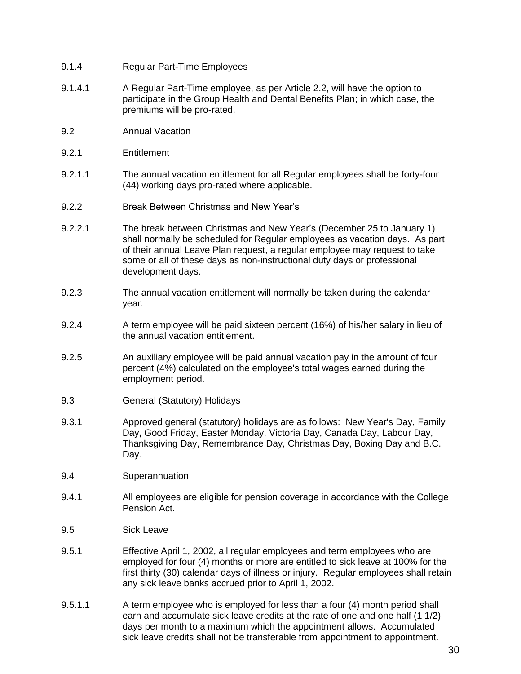- 9.1.4 Regular Part-Time Employees
- 9.1.4.1 A Regular Part-Time employee, as per Article 2.2, will have the option to participate in the Group Health and Dental Benefits Plan; in which case, the premiums will be pro-rated.
- <span id="page-34-0"></span>9.2 Annual Vacation
- 9.2.1 Entitlement
- 9.2.1.1 The annual vacation entitlement for all Regular employees shall be forty-four (44) working days pro-rated where applicable.
- <span id="page-34-1"></span>9.2.2 Break Between Christmas and New Year's
- 9.2.2.1 The break between Christmas and New Year's (December 25 to January 1) shall normally be scheduled for Regular employees as vacation days. As part of their annual Leave Plan request, a regular employee may request to take some or all of these days as non-instructional duty days or professional development days.
- 9.2.3 The annual vacation entitlement will normally be taken during the calendar year.
- 9.2.4 A term employee will be paid sixteen percent (16%) of his/her salary in lieu of the annual vacation entitlement.
- 9.2.5 An auxiliary employee will be paid annual vacation pay in the amount of four percent (4%) calculated on the employee's total wages earned during the employment period.
- <span id="page-34-2"></span>9.3 General (Statutory) Holidays
- 9.3.1 Approved general (statutory) holidays are as follows: New Year's Day, Family Day**,** Good Friday, Easter Monday, Victoria Day, Canada Day, Labour Day, Thanksgiving Day, Remembrance Day, Christmas Day, Boxing Day and B.C. Day.
- <span id="page-34-3"></span>9.4 Superannuation
- 9.4.1 All employees are eligible for pension coverage in accordance with the College Pension Act.
- <span id="page-34-4"></span>9.5 Sick Leave
- 9.5.1 Effective April 1, 2002, all regular employees and term employees who are employed for four (4) months or more are entitled to sick leave at 100% for the first thirty (30) calendar days of illness or injury. Regular employees shall retain any sick leave banks accrued prior to April 1, 2002.
- 9.5.1.1 A term employee who is employed for less than a four (4) month period shall earn and accumulate sick leave credits at the rate of one and one half (1 1/2) days per month to a maximum which the appointment allows. Accumulated sick leave credits shall not be transferable from appointment to appointment.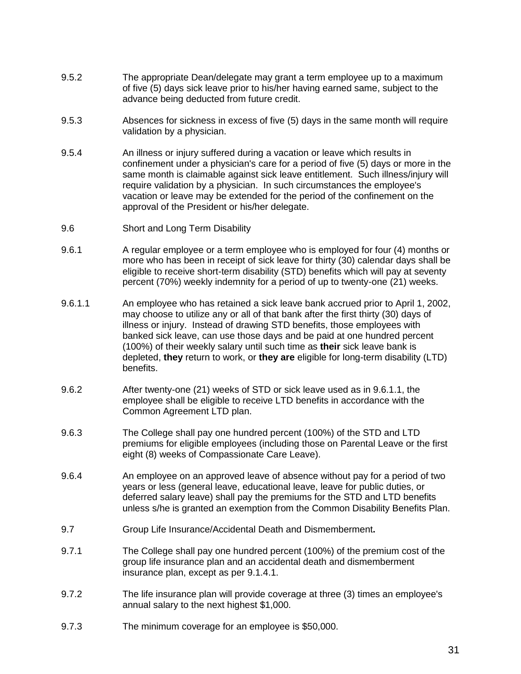- 9.5.2 The appropriate Dean/delegate may grant a term employee up to a maximum of five (5) days sick leave prior to his/her having earned same, subject to the advance being deducted from future credit.
- 9.5.3 Absences for sickness in excess of five (5) days in the same month will require validation by a physician.
- 9.5.4 An illness or injury suffered during a vacation or leave which results in confinement under a physician's care for a period of five (5) days or more in the same month is claimable against sick leave entitlement. Such illness/injury will require validation by a physician. In such circumstances the employee's vacation or leave may be extended for the period of the confinement on the approval of the President or his/her delegate.
- <span id="page-35-0"></span>9.6 Short and Long Term Disability
- 9.6.1 A regular employee or a term employee who is employed for four (4) months or more who has been in receipt of sick leave for thirty (30) calendar days shall be eligible to receive short-term disability (STD) benefits which will pay at seventy percent (70%) weekly indemnity for a period of up to twenty-one (21) weeks.
- 9.6.1.1 An employee who has retained a sick leave bank accrued prior to April 1, 2002, may choose to utilize any or all of that bank after the first thirty (30) days of illness or injury. Instead of drawing STD benefits, those employees with banked sick leave, can use those days and be paid at one hundred percent (100%) of their weekly salary until such time as **their** sick leave bank is depleted, **they** return to work, or **they are** eligible for long-term disability (LTD) benefits.
- 9.6.2 After twenty-one (21) weeks of STD or sick leave used as in 9.6.1.1, the employee shall be eligible to receive LTD benefits in accordance with the Common Agreement LTD plan.
- 9.6.3 The College shall pay one hundred percent (100%) of the STD and LTD premiums for eligible employees (including those on Parental Leave or the first eight (8) weeks of Compassionate Care Leave).
- 9.6.4 An employee on an approved leave of absence without pay for a period of two years or less (general leave, educational leave, leave for public duties, or deferred salary leave) shall pay the premiums for the STD and LTD benefits unless s/he is granted an exemption from the Common Disability Benefits Plan.
- <span id="page-35-1"></span>9.7 Group Life Insurance/Accidental Death and Dismemberment**.**
- 9.7.1 The College shall pay one hundred percent (100%) of the premium cost of the group life insurance plan and an accidental death and dismemberment insurance plan, except as per 9.1.4.1.
- 9.7.2 The life insurance plan will provide coverage at three (3) times an employee's annual salary to the next highest \$1,000.
- 9.7.3 The minimum coverage for an employee is \$50,000.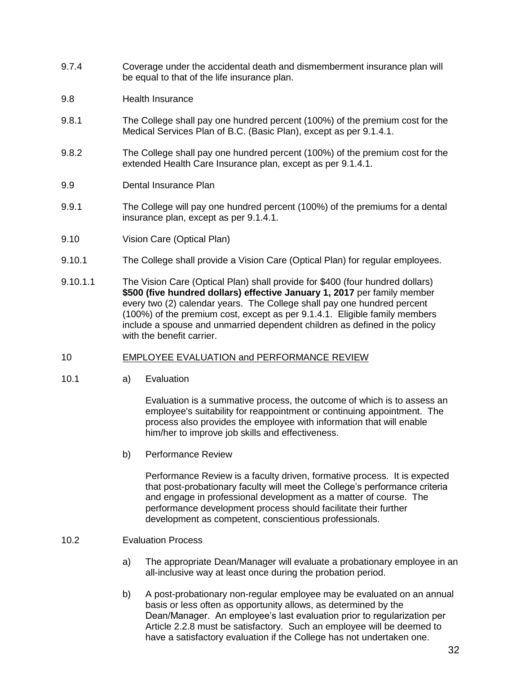- 9.7.4 Coverage under the accidental death and dismemberment insurance plan will be equal to that of the life insurance plan.
- 9.8 Health Insurance
- 9.8.1 The College shall pay one hundred percent (100%) of the premium cost for the Medical Services Plan of B.C. (Basic Plan), except as per 9.1.4.1.
- 9.8.2 The College shall pay one hundred percent (100%) of the premium cost for the extended Health Care Insurance plan, except as per 9.1.4.1.
- 9.9 Dental Insurance Plan
- 9.9.1 The College will pay one hundred percent (100%) of the premiums for a dental insurance plan, except as per 9.1.4.1.
- 9.10 Vision Care (Optical Plan)
- 9.10.1 The College shall provide a Vision Care (Optical Plan) for regular employees.
- 9.10.1.1 The Vision Care (Optical Plan) shall provide for \$400 (four hundred dollars) **\$500 (five hundred dollars) effective January 1, 2017** per family member every two (2) calendar years. The College shall pay one hundred percent (100%) of the premium cost, except as per 9.1.4.1. Eligible family members include a spouse and unmarried dependent children as defined in the policy with the benefit carrier.
- 10 EMPLOYEE EVALUATION and PERFORMANCE REVIEW
- 10.1 a) Evaluation

Evaluation is a summative process, the outcome of which is to assess an employee's suitability for reappointment or continuing appointment. The process also provides the employee with information that will enable him/her to improve job skills and effectiveness.

b) Performance Review

Performance Review is a faculty driven, formative process. It is expected that post-probationary faculty will meet the College's performance criteria and engage in professional development as a matter of course. The performance development process should facilitate their further development as competent, conscientious professionals.

#### 10.2 Evaluation Process

- a) The appropriate Dean/Manager will evaluate a probationary employee in an all-inclusive way at least once during the probation period.
- b) A post-probationary non-regular employee may be evaluated on an annual basis or less often as opportunity allows, as determined by the Dean/Manager. An employee's last evaluation prior to regularization per Article 2.2.8 must be satisfactory. Such an employee will be deemed to have a satisfactory evaluation if the College has not undertaken one.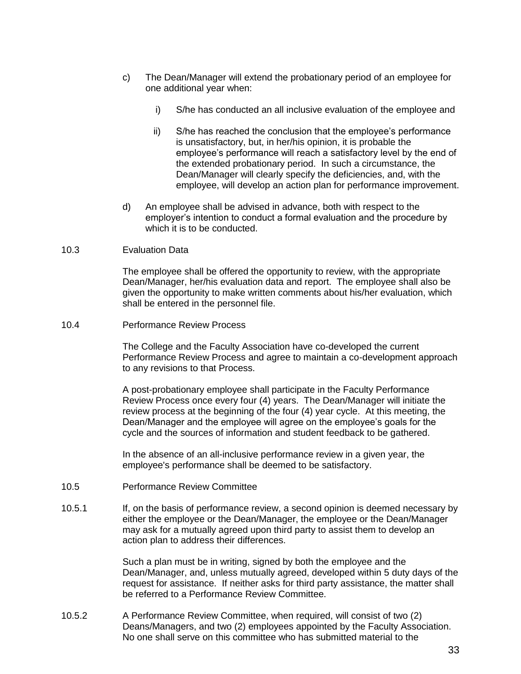- c) The Dean/Manager will extend the probationary period of an employee for one additional year when:
	- i) S/he has conducted an all inclusive evaluation of the employee and
	- ii) S/he has reached the conclusion that the employee's performance is unsatisfactory, but, in her/his opinion, it is probable the employee's performance will reach a satisfactory level by the end of the extended probationary period. In such a circumstance, the Dean/Manager will clearly specify the deficiencies, and, with the employee, will develop an action plan for performance improvement.
- d) An employee shall be advised in advance, both with respect to the employer's intention to conduct a formal evaluation and the procedure by which it is to be conducted.

#### 10.3 Evaluation Data

The employee shall be offered the opportunity to review, with the appropriate Dean/Manager, her/his evaluation data and report. The employee shall also be given the opportunity to make written comments about his/her evaluation, which shall be entered in the personnel file.

#### 10.4 Performance Review Process

The College and the Faculty Association have co-developed the current Performance Review Process and agree to maintain a co-development approach to any revisions to that Process.

A post-probationary employee shall participate in the Faculty Performance Review Process once every four (4) years. The Dean/Manager will initiate the review process at the beginning of the four (4) year cycle. At this meeting, the Dean/Manager and the employee will agree on the employee's goals for the cycle and the sources of information and student feedback to be gathered.

In the absence of an all-inclusive performance review in a given year, the employee's performance shall be deemed to be satisfactory.

- 10.5 Performance Review Committee
- 10.5.1 If, on the basis of performance review, a second opinion is deemed necessary by either the employee or the Dean/Manager, the employee or the Dean/Manager may ask for a mutually agreed upon third party to assist them to develop an action plan to address their differences.

Such a plan must be in writing, signed by both the employee and the Dean/Manager, and, unless mutually agreed, developed within 5 duty days of the request for assistance. If neither asks for third party assistance, the matter shall be referred to a Performance Review Committee.

10.5.2 A Performance Review Committee, when required, will consist of two (2) Deans/Managers, and two (2) employees appointed by the Faculty Association. No one shall serve on this committee who has submitted material to the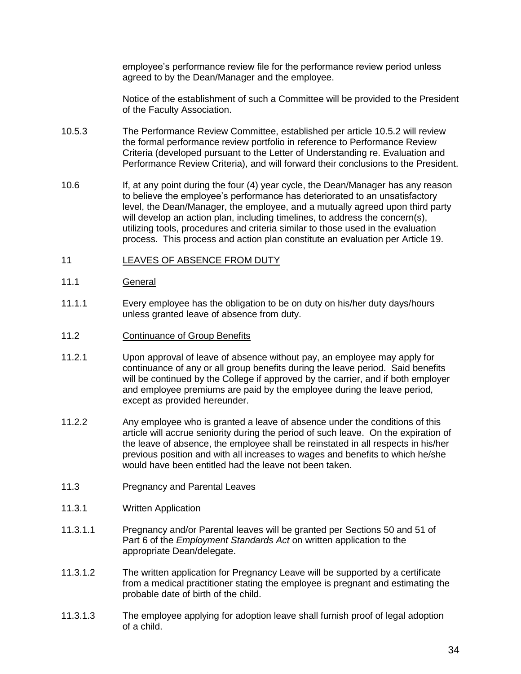employee's performance review file for the performance review period unless agreed to by the Dean/Manager and the employee.

Notice of the establishment of such a Committee will be provided to the President of the Faculty Association.

- 10.5.3 The Performance Review Committee, established per article 10.5.2 will review the formal performance review portfolio in reference to Performance Review Criteria (developed pursuant to the Letter of Understanding re. Evaluation and Performance Review Criteria), and will forward their conclusions to the President.
- 10.6 If, at any point during the four (4) year cycle, the Dean/Manager has any reason to believe the employee's performance has deteriorated to an unsatisfactory level, the Dean/Manager, the employee, and a mutually agreed upon third party will develop an action plan, including timelines, to address the concern(s), utilizing tools, procedures and criteria similar to those used in the evaluation process. This process and action plan constitute an evaluation per Article 19.

### 11 LEAVES OF ABSENCE FROM DUTY

### 11.1 General

- 11.1.1 Every employee has the obligation to be on duty on his/her duty days/hours unless granted leave of absence from duty.
- 11.2 Continuance of Group Benefits
- 11.2.1 Upon approval of leave of absence without pay, an employee may apply for continuance of any or all group benefits during the leave period. Said benefits will be continued by the College if approved by the carrier, and if both employer and employee premiums are paid by the employee during the leave period, except as provided hereunder.
- 11.2.2 Any employee who is granted a leave of absence under the conditions of this article will accrue seniority during the period of such leave. On the expiration of the leave of absence, the employee shall be reinstated in all respects in his/her previous position and with all increases to wages and benefits to which he/she would have been entitled had the leave not been taken.
- 11.3 Pregnancy and Parental Leaves
- 11.3.1 Written Application
- 11.3.1.1 Pregnancy and/or Parental leaves will be granted per Sections 50 and 51 of Part 6 of the *Employment Standards Act* on written application to the appropriate Dean/delegate.
- 11.3.1.2 The written application for Pregnancy Leave will be supported by a certificate from a medical practitioner stating the employee is pregnant and estimating the probable date of birth of the child.
- 11.3.1.3 The employee applying for adoption leave shall furnish proof of legal adoption of a child.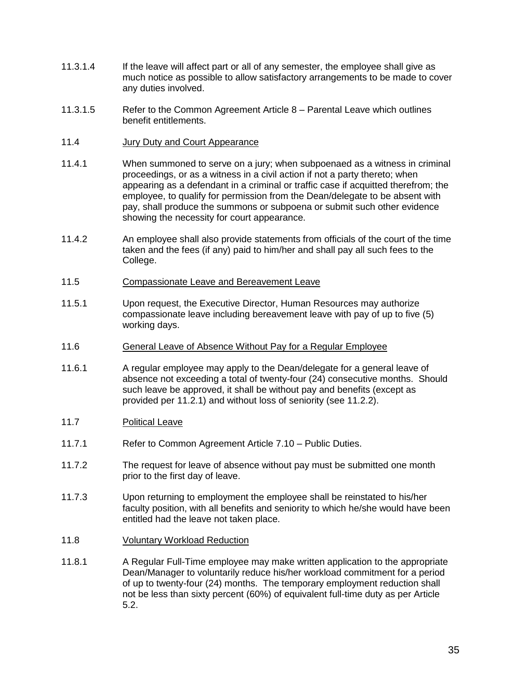- 11.3.1.4 If the leave will affect part or all of any semester, the employee shall give as much notice as possible to allow satisfactory arrangements to be made to cover any duties involved.
- 11.3.1.5 Refer to the Common Agreement Article 8 Parental Leave which outlines benefit entitlements.
- 11.4 Jury Duty and Court Appearance
- 11.4.1 When summoned to serve on a jury; when subpoenaed as a witness in criminal proceedings, or as a witness in a civil action if not a party thereto; when appearing as a defendant in a criminal or traffic case if acquitted therefrom; the employee, to qualify for permission from the Dean/delegate to be absent with pay, shall produce the summons or subpoena or submit such other evidence showing the necessity for court appearance.
- 11.4.2 An employee shall also provide statements from officials of the court of the time taken and the fees (if any) paid to him/her and shall pay all such fees to the College.
- 11.5 Compassionate Leave and Bereavement Leave
- 11.5.1 Upon request, the Executive Director, Human Resources may authorize compassionate leave including bereavement leave with pay of up to five (5) working days.
- 11.6 General Leave of Absence Without Pay for a Regular Employee
- 11.6.1 A regular employee may apply to the Dean/delegate for a general leave of absence not exceeding a total of twenty-four (24) consecutive months. Should such leave be approved, it shall be without pay and benefits (except as provided per 11.2.1) and without loss of seniority (see 11.2.2).
- 11.7 Political Leave
- 11.7.1 Refer to Common Agreement Article 7.10 Public Duties.
- 11.7.2 The request for leave of absence without pay must be submitted one month prior to the first day of leave.
- 11.7.3 Upon returning to employment the employee shall be reinstated to his/her faculty position, with all benefits and seniority to which he/she would have been entitled had the leave not taken place.
- 11.8 Voluntary Workload Reduction
- 11.8.1 A Regular Full-Time employee may make written application to the appropriate Dean/Manager to voluntarily reduce his/her workload commitment for a period of up to twenty-four (24) months. The temporary employment reduction shall not be less than sixty percent (60%) of equivalent full-time duty as per Article 5.2.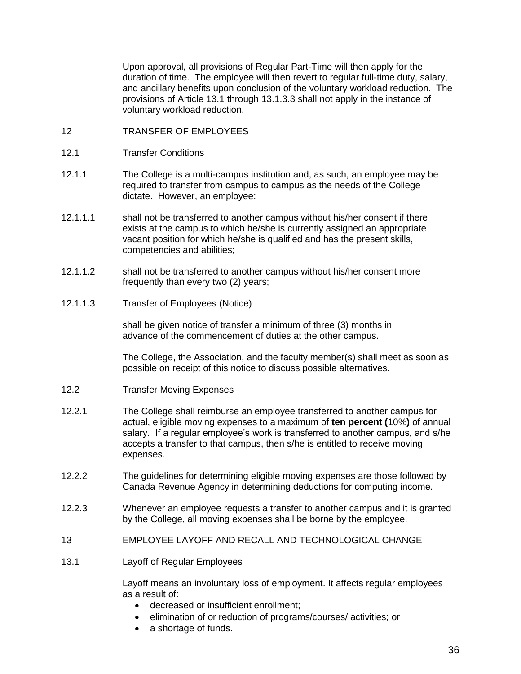Upon approval, all provisions of Regular Part-Time will then apply for the duration of time. The employee will then revert to regular full-time duty, salary, and ancillary benefits upon conclusion of the voluntary workload reduction. The provisions of Article 13.1 through 13.1.3.3 shall not apply in the instance of voluntary workload reduction.

- 12 TRANSFER OF EMPLOYEES
- 12.1 Transfer Conditions
- 12.1.1 The College is a multi-campus institution and, as such, an employee may be required to transfer from campus to campus as the needs of the College dictate. However, an employee:
- 12.1.1.1 shall not be transferred to another campus without his/her consent if there exists at the campus to which he/she is currently assigned an appropriate vacant position for which he/she is qualified and has the present skills, competencies and abilities;
- 12.1.1.2 shall not be transferred to another campus without his/her consent more frequently than every two (2) years;
- 12.1.1.3 Transfer of Employees (Notice)

shall be given notice of transfer a minimum of three (3) months in advance of the commencement of duties at the other campus.

The College, the Association, and the faculty member(s) shall meet as soon as possible on receipt of this notice to discuss possible alternatives.

- 12.2 Transfer Moving Expenses
- 12.2.1 The College shall reimburse an employee transferred to another campus for actual, eligible moving expenses to a maximum of **ten percent (**10%**)** of annual salary. If a regular employee's work is transferred to another campus, and s/he accepts a transfer to that campus, then s/he is entitled to receive moving expenses.
- 12.2.2 The guidelines for determining eligible moving expenses are those followed by Canada Revenue Agency in determining deductions for computing income.
- 12.2.3 Whenever an employee requests a transfer to another campus and it is granted by the College, all moving expenses shall be borne by the employee.
- 13 EMPLOYEE LAYOFF AND RECALL AND TECHNOLOGICAL CHANGE
- 13.1 Layoff of Regular Employees

Layoff means an involuntary loss of employment. It affects regular employees as a result of:

- decreased or insufficient enrollment;
- elimination of or reduction of programs/courses/ activities; or
- a shortage of funds.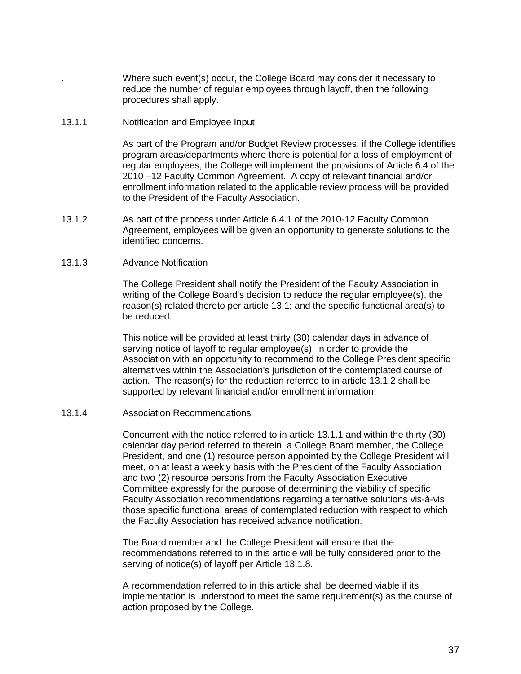. Where such event(s) occur, the College Board may consider it necessary to reduce the number of regular employees through layoff, then the following procedures shall apply.

#### 13.1.1 Notification and Employee Input

As part of the Program and/or Budget Review processes, if the College identifies program areas/departments where there is potential for a loss of employment of regular employees, the College will implement the provisions of Article 6.4 of the 2010 –12 Faculty Common Agreement. A copy of relevant financial and/or enrollment information related to the applicable review process will be provided to the President of the Faculty Association.

13.1.2 As part of the process under Article 6.4.1 of the 2010-12 Faculty Common Agreement, employees will be given an opportunity to generate solutions to the identified concerns.

#### 13.1.3 Advance Notification

The College President shall notify the President of the Faculty Association in writing of the College Board's decision to reduce the regular employee(s), the reason(s) related thereto per article 13.1; and the specific functional area(s) to be reduced.

This notice will be provided at least thirty (30) calendar days in advance of serving notice of layoff to regular employee(s), in order to provide the Association with an opportunity to recommend to the College President specific alternatives within the Association's jurisdiction of the contemplated course of action. The reason(s) for the reduction referred to in article 13.1.2 shall be supported by relevant financial and/or enrollment information.

#### 13.1.4 Association Recommendations

Concurrent with the notice referred to in article 13.1.1 and within the thirty (30) calendar day period referred to therein, a College Board member, the College President, and one (1) resource person appointed by the College President will meet, on at least a weekly basis with the President of the Faculty Association and two (2) resource persons from the Faculty Association Executive Committee expressly for the purpose of determining the viability of specific Faculty Association recommendations regarding alternative solutions vis-à-vis those specific functional areas of contemplated reduction with respect to which the Faculty Association has received advance notification.

The Board member and the College President will ensure that the recommendations referred to in this article will be fully considered prior to the serving of notice(s) of layoff per Article 13.1.8.

A recommendation referred to in this article shall be deemed viable if its implementation is understood to meet the same requirement(s) as the course of action proposed by the College.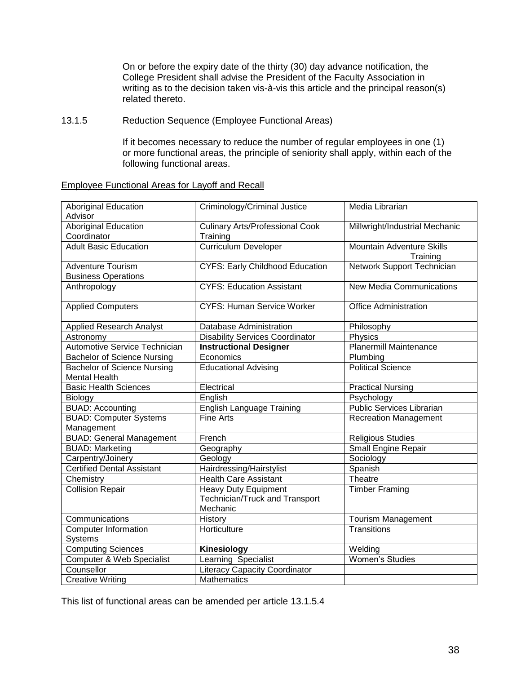On or before the expiry date of the thirty (30) day advance notification, the College President shall advise the President of the Faculty Association in writing as to the decision taken vis-à-vis this article and the principal reason(s) related thereto.

### 13.1.5 Reduction Sequence (Employee Functional Areas)

If it becomes necessary to reduce the number of regular employees in one (1) or more functional areas, the principle of seniority shall apply, within each of the following functional areas.

# Employee Functional Areas for Layoff and Recall

| <b>Aboriginal Education</b><br>Advisor | Criminology/Criminal Justice           | Media Librarian                  |
|----------------------------------------|----------------------------------------|----------------------------------|
| <b>Aboriginal Education</b>            | <b>Culinary Arts/Professional Cook</b> | Millwright/Industrial Mechanic   |
| Coordinator                            | Training                               |                                  |
| <b>Adult Basic Education</b>           | <b>Curriculum Developer</b>            | <b>Mountain Adventure Skills</b> |
|                                        |                                        | Training                         |
| <b>Adventure Tourism</b>               | <b>CYFS: Early Childhood Education</b> | Network Support Technician       |
| <b>Business Operations</b>             |                                        |                                  |
| Anthropology                           | <b>CYFS: Education Assistant</b>       | <b>New Media Communications</b>  |
|                                        |                                        |                                  |
| <b>Applied Computers</b>               | <b>CYFS: Human Service Worker</b>      | <b>Office Administration</b>     |
|                                        |                                        |                                  |
| <b>Applied Research Analyst</b>        | <b>Database Administration</b>         | Philosophy                       |
| Astronomy                              | <b>Disability Services Coordinator</b> | Physics                          |
| <b>Automotive Service Technician</b>   | <b>Instructional Designer</b>          | Planermill Maintenance           |
| <b>Bachelor of Science Nursing</b>     | Economics                              | Plumbing                         |
| <b>Bachelor of Science Nursing</b>     | <b>Educational Advising</b>            | <b>Political Science</b>         |
| <b>Mental Health</b>                   |                                        |                                  |
| <b>Basic Health Sciences</b>           | Electrical                             | <b>Practical Nursing</b>         |
| Biology                                | English                                | Psychology                       |
| <b>BUAD: Accounting</b>                | <b>English Language Training</b>       | <b>Public Services Librarian</b> |
| <b>BUAD: Computer Systems</b>          | <b>Fine Arts</b>                       | <b>Recreation Management</b>     |
| Management                             |                                        |                                  |
| <b>BUAD: General Management</b>        | French                                 | <b>Religious Studies</b>         |
| <b>BUAD: Marketing</b>                 | Geography                              | Small Engine Repair              |
| Carpentry/Joinery                      | Geology                                | Sociology                        |
| <b>Certified Dental Assistant</b>      | Hairdressing/Hairstylist               | Spanish                          |
| Chemistry                              | <b>Health Care Assistant</b>           | Theatre                          |
| <b>Collision Repair</b>                | <b>Heavy Duty Equipment</b>            | <b>Timber Framing</b>            |
|                                        | Technician/Truck and Transport         |                                  |
|                                        | Mechanic                               |                                  |
| Communications                         | History                                | <b>Tourism Management</b>        |
| <b>Computer Information</b>            | Horticulture                           | Transitions                      |
| Systems                                |                                        |                                  |
| <b>Computing Sciences</b>              | Kinesiology                            | Welding                          |
| <b>Computer &amp; Web Specialist</b>   | Learning Specialist                    | Women's Studies                  |
| Counsellor                             | <b>Literacy Capacity Coordinator</b>   |                                  |
| <b>Creative Writing</b>                | <b>Mathematics</b>                     |                                  |
|                                        |                                        |                                  |

This list of functional areas can be amended per article 13.1.5.4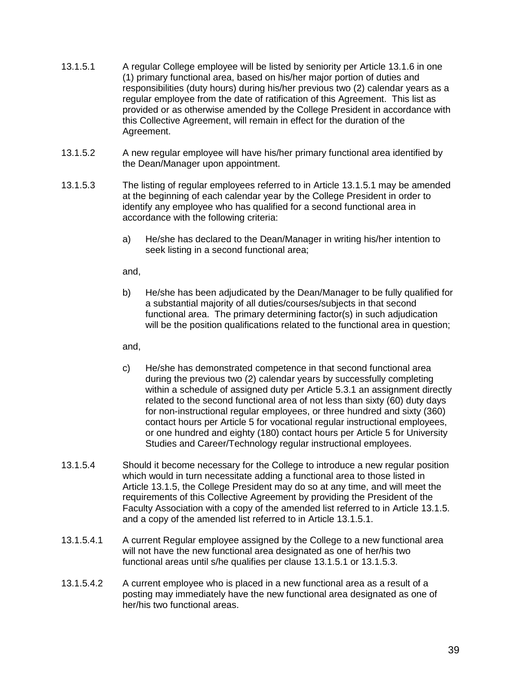- 13.1.5.1 A regular College employee will be listed by seniority per Article 13.1.6 in one (1) primary functional area, based on his/her major portion of duties and responsibilities (duty hours) during his/her previous two (2) calendar years as a regular employee from the date of ratification of this Agreement. This list as provided or as otherwise amended by the College President in accordance with this Collective Agreement, will remain in effect for the duration of the Agreement.
- 13.1.5.2 A new regular employee will have his/her primary functional area identified by the Dean/Manager upon appointment.
- 13.1.5.3 The listing of regular employees referred to in Article 13.1.5.1 may be amended at the beginning of each calendar year by the College President in order to identify any employee who has qualified for a second functional area in accordance with the following criteria:
	- a) He/she has declared to the Dean/Manager in writing his/her intention to seek listing in a second functional area;

and,

b) He/she has been adjudicated by the Dean/Manager to be fully qualified for a substantial majority of all duties/courses/subjects in that second functional area. The primary determining factor(s) in such adjudication will be the position qualifications related to the functional area in question;

and,

- c) He/she has demonstrated competence in that second functional area during the previous two (2) calendar years by successfully completing within a schedule of assigned duty per Article 5.3.1 an assignment directly related to the second functional area of not less than sixty (60) duty days for non-instructional regular employees, or three hundred and sixty (360) contact hours per Article 5 for vocational regular instructional employees, or one hundred and eighty (180) contact hours per Article 5 for University Studies and Career/Technology regular instructional employees.
- 13.1.5.4 Should it become necessary for the College to introduce a new regular position which would in turn necessitate adding a functional area to those listed in Article 13.1.5, the College President may do so at any time, and will meet the requirements of this Collective Agreement by providing the President of the Faculty Association with a copy of the amended list referred to in Article 13.1.5. and a copy of the amended list referred to in Article 13.1.5.1.
- 13.1.5.4.1 A current Regular employee assigned by the College to a new functional area will not have the new functional area designated as one of her/his two functional areas until s/he qualifies per clause 13.1.5.1 or 13.1.5.3.
- 13.1.5.4.2 A current employee who is placed in a new functional area as a result of a posting may immediately have the new functional area designated as one of her/his two functional areas.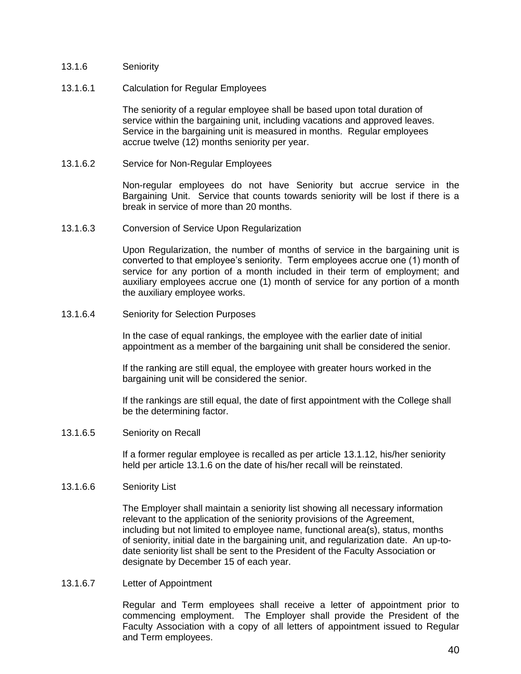- 13.1.6 Seniority
- 13.1.6.1 Calculation for Regular Employees

The seniority of a regular employee shall be based upon total duration of service within the bargaining unit, including vacations and approved leaves. Service in the bargaining unit is measured in months. Regular employees accrue twelve (12) months seniority per year.

13.1.6.2 Service for Non-Regular Employees

Non-regular employees do not have Seniority but accrue service in the Bargaining Unit. Service that counts towards seniority will be lost if there is a break in service of more than 20 months.

13.1.6.3 Conversion of Service Upon Regularization

Upon Regularization, the number of months of service in the bargaining unit is converted to that employee's seniority. Term employees accrue one (1) month of service for any portion of a month included in their term of employment; and auxiliary employees accrue one (1) month of service for any portion of a month the auxiliary employee works.

13.1.6.4 Seniority for Selection Purposes

In the case of equal rankings, the employee with the earlier date of initial appointment as a member of the bargaining unit shall be considered the senior.

If the ranking are still equal, the employee with greater hours worked in the bargaining unit will be considered the senior.

If the rankings are still equal, the date of first appointment with the College shall be the determining factor.

13.1.6.5 Seniority on Recall

If a former regular employee is recalled as per article 13.1.12, his/her seniority held per article 13.1.6 on the date of his/her recall will be reinstated.

### 13.1.6.6 Seniority List

The Employer shall maintain a seniority list showing all necessary information relevant to the application of the seniority provisions of the Agreement, including but not limited to employee name, functional area(s), status, months of seniority, initial date in the bargaining unit, and regularization date. An up-todate seniority list shall be sent to the President of the Faculty Association or designate by December 15 of each year.

13.1.6.7 Letter of Appointment

Regular and Term employees shall receive a letter of appointment prior to commencing employment. The Employer shall provide the President of the Faculty Association with a copy of all letters of appointment issued to Regular and Term employees.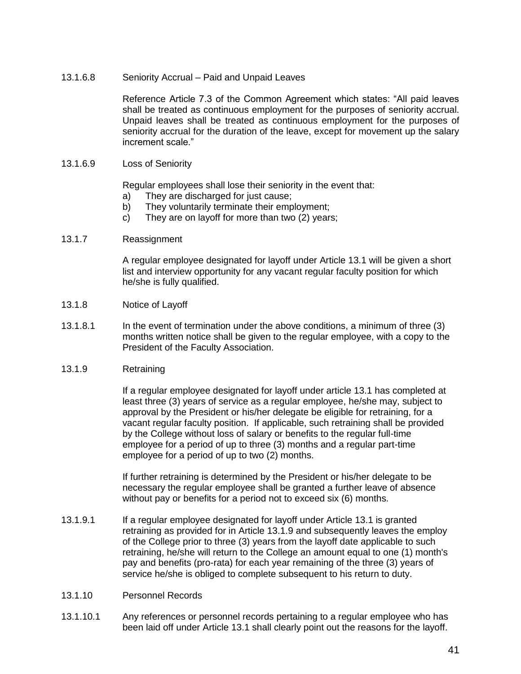13.1.6.8 Seniority Accrual – Paid and Unpaid Leaves

Reference Article 7.3 of the Common Agreement which states: "All paid leaves shall be treated as continuous employment for the purposes of seniority accrual. Unpaid leaves shall be treated as continuous employment for the purposes of seniority accrual for the duration of the leave, except for movement up the salary increment scale."

13.1.6.9 Loss of Seniority

Regular employees shall lose their seniority in the event that:

- a) They are discharged for just cause;
- b) They voluntarily terminate their employment;
- c) They are on layoff for more than two (2) years;
- 13.1.7 Reassignment

A regular employee designated for layoff under Article 13.1 will be given a short list and interview opportunity for any vacant regular faculty position for which he/she is fully qualified.

- 13.1.8 Notice of Layoff
- 13.1.8.1 In the event of termination under the above conditions, a minimum of three (3) months written notice shall be given to the regular employee, with a copy to the President of the Faculty Association.
- 13.1.9 Retraining

If a regular employee designated for layoff under article 13.1 has completed at least three (3) years of service as a regular employee, he/she may, subject to approval by the President or his/her delegate be eligible for retraining, for a vacant regular faculty position. If applicable, such retraining shall be provided by the College without loss of salary or benefits to the regular full-time employee for a period of up to three (3) months and a regular part-time employee for a period of up to two (2) months.

If further retraining is determined by the President or his/her delegate to be necessary the regular employee shall be granted a further leave of absence without pay or benefits for a period not to exceed six (6) months.

- 13.1.9.1 If a regular employee designated for layoff under Article 13.1 is granted retraining as provided for in Article 13.1.9 and subsequently leaves the employ of the College prior to three (3) years from the layoff date applicable to such retraining, he/she will return to the College an amount equal to one (1) month's pay and benefits (pro-rata) for each year remaining of the three (3) years of service he/she is obliged to complete subsequent to his return to duty.
- 13.1.10 Personnel Records
- 13.1.10.1 Any references or personnel records pertaining to a regular employee who has been laid off under Article 13.1 shall clearly point out the reasons for the layoff.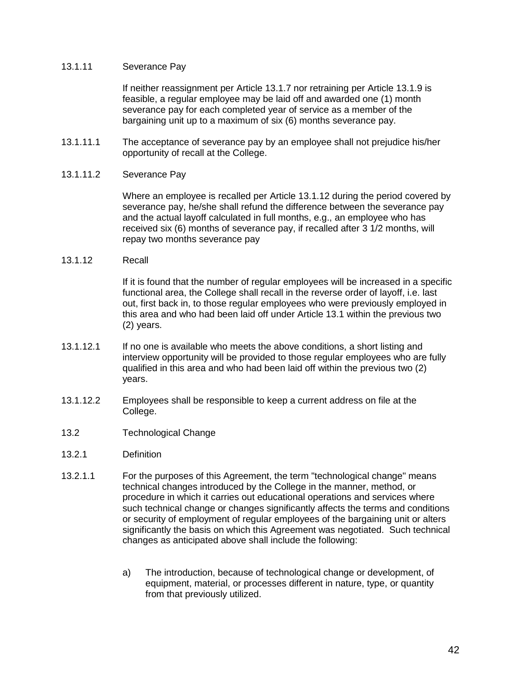#### 13.1.11 Severance Pay

If neither reassignment per Article 13.1.7 nor retraining per Article 13.1.9 is feasible, a regular employee may be laid off and awarded one (1) month severance pay for each completed year of service as a member of the bargaining unit up to a maximum of six (6) months severance pay.

13.1.11.1 The acceptance of severance pay by an employee shall not prejudice his/her opportunity of recall at the College.

### 13.1.11.2 Severance Pay

Where an employee is recalled per Article 13.1.12 during the period covered by severance pay, he/she shall refund the difference between the severance pay and the actual layoff calculated in full months, e.g., an employee who has received six (6) months of severance pay, if recalled after 3 1/2 months, will repay two months severance pay

#### 13.1.12 Recall

If it is found that the number of regular employees will be increased in a specific functional area, the College shall recall in the reverse order of layoff, i.e. last out, first back in, to those regular employees who were previously employed in this area and who had been laid off under Article 13.1 within the previous two (2) years.

- 13.1.12.1 If no one is available who meets the above conditions, a short listing and interview opportunity will be provided to those regular employees who are fully qualified in this area and who had been laid off within the previous two (2) years.
- 13.1.12.2 Employees shall be responsible to keep a current address on file at the College.
- 13.2 Technological Change
- 13.2.1 Definition
- 13.2.1.1 For the purposes of this Agreement, the term "technological change" means technical changes introduced by the College in the manner, method, or procedure in which it carries out educational operations and services where such technical change or changes significantly affects the terms and conditions or security of employment of regular employees of the bargaining unit or alters significantly the basis on which this Agreement was negotiated. Such technical changes as anticipated above shall include the following:
	- a) The introduction, because of technological change or development, of equipment, material, or processes different in nature, type, or quantity from that previously utilized.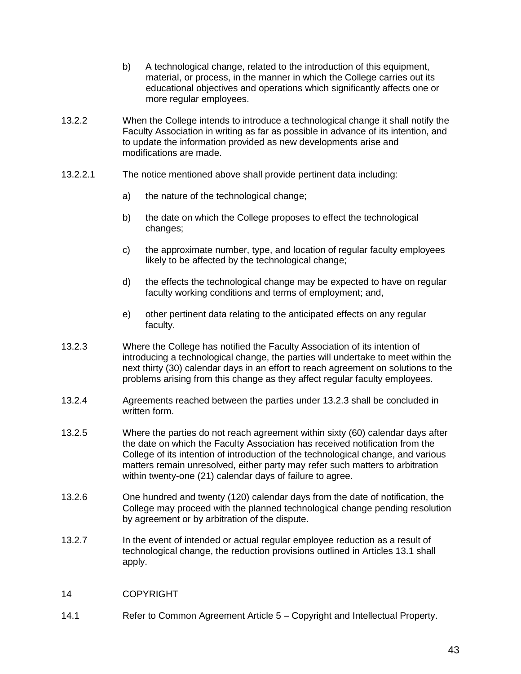- b) A technological change, related to the introduction of this equipment, material, or process, in the manner in which the College carries out its educational objectives and operations which significantly affects one or more regular employees.
- 13.2.2 When the College intends to introduce a technological change it shall notify the Faculty Association in writing as far as possible in advance of its intention, and to update the information provided as new developments arise and modifications are made.
- 13.2.2.1 The notice mentioned above shall provide pertinent data including:
	- a) the nature of the technological change;
	- b) the date on which the College proposes to effect the technological changes;
	- c) the approximate number, type, and location of regular faculty employees likely to be affected by the technological change;
	- d) the effects the technological change may be expected to have on regular faculty working conditions and terms of employment; and,
	- e) other pertinent data relating to the anticipated effects on any regular faculty.
- 13.2.3 Where the College has notified the Faculty Association of its intention of introducing a technological change, the parties will undertake to meet within the next thirty (30) calendar days in an effort to reach agreement on solutions to the problems arising from this change as they affect regular faculty employees.
- 13.2.4 Agreements reached between the parties under 13.2.3 shall be concluded in written form.
- 13.2.5 Where the parties do not reach agreement within sixty (60) calendar days after the date on which the Faculty Association has received notification from the College of its intention of introduction of the technological change, and various matters remain unresolved, either party may refer such matters to arbitration within twenty-one (21) calendar days of failure to agree.
- 13.2.6 One hundred and twenty (120) calendar days from the date of notification, the College may proceed with the planned technological change pending resolution by agreement or by arbitration of the dispute.
- 13.2.7 In the event of intended or actual regular employee reduction as a result of technological change, the reduction provisions outlined in Articles 13.1 shall apply.
- 14 COPYRIGHT
- 14.1 Refer to Common Agreement Article 5 Copyright and Intellectual Property.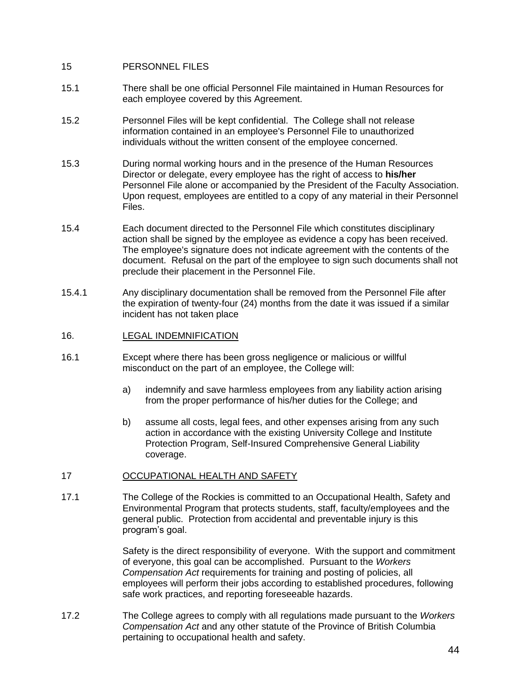### 15 PERSONNEL FILES

- 15.1 There shall be one official Personnel File maintained in Human Resources for each employee covered by this Agreement.
- 15.2 Personnel Files will be kept confidential. The College shall not release information contained in an employee's Personnel File to unauthorized individuals without the written consent of the employee concerned.
- 15.3 During normal working hours and in the presence of the Human Resources Director or delegate, every employee has the right of access to **his/her** Personnel File alone or accompanied by the President of the Faculty Association. Upon request, employees are entitled to a copy of any material in their Personnel Files.
- 15.4 Each document directed to the Personnel File which constitutes disciplinary action shall be signed by the employee as evidence a copy has been received. The employee's signature does not indicate agreement with the contents of the document. Refusal on the part of the employee to sign such documents shall not preclude their placement in the Personnel File.
- 15.4.1 Any disciplinary documentation shall be removed from the Personnel File after the expiration of twenty-four (24) months from the date it was issued if a similar incident has not taken place
- 16. LEGAL INDEMNIFICATION
- 16.1 Except where there has been gross negligence or malicious or willful misconduct on the part of an employee, the College will:
	- a) indemnify and save harmless employees from any liability action arising from the proper performance of his/her duties for the College; and
	- b) assume all costs, legal fees, and other expenses arising from any such action in accordance with the existing University College and Institute Protection Program, Self-Insured Comprehensive General Liability coverage.

### 17 OCCUPATIONAL HEALTH AND SAFETY

17.1 The College of the Rockies is committed to an Occupational Health, Safety and Environmental Program that protects students, staff, faculty/employees and the general public. Protection from accidental and preventable injury is this program's goal.

> Safety is the direct responsibility of everyone. With the support and commitment of everyone, this goal can be accomplished. Pursuant to the *Workers Compensation Act* requirements for training and posting of policies, all employees will perform their jobs according to established procedures, following safe work practices, and reporting foreseeable hazards.

17.2 The College agrees to comply with all regulations made pursuant to the *Workers Compensation Act* and any other statute of the Province of British Columbia pertaining to occupational health and safety.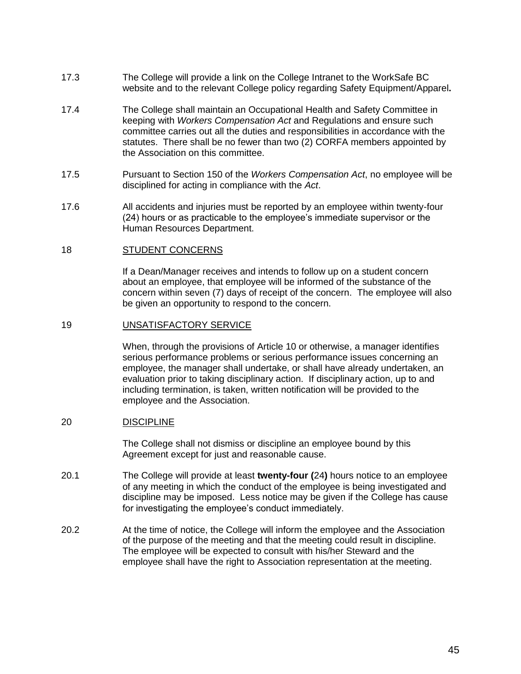- 17.3 The College will provide a link on the College Intranet to the WorkSafe BC website and to the relevant College policy regarding Safety Equipment/Apparel**.**
- 17.4 The College shall maintain an Occupational Health and Safety Committee in keeping with *Workers Compensation Act* and Regulations and ensure such committee carries out all the duties and responsibilities in accordance with the statutes. There shall be no fewer than two (2) CORFA members appointed by the Association on this committee.
- 17.5 Pursuant to Section 150 of the *Workers Compensation Act*, no employee will be disciplined for acting in compliance with the *Act*.
- 17.6 All accidents and injuries must be reported by an employee within twenty-four (24) hours or as practicable to the employee's immediate supervisor or the Human Resources Department.

#### 18 STUDENT CONCERNS

If a Dean/Manager receives and intends to follow up on a student concern about an employee, that employee will be informed of the substance of the concern within seven (7) days of receipt of the concern. The employee will also be given an opportunity to respond to the concern.

#### 19 UNSATISFACTORY SERVICE

When, through the provisions of Article 10 or otherwise, a manager identifies serious performance problems or serious performance issues concerning an employee, the manager shall undertake, or shall have already undertaken, an evaluation prior to taking disciplinary action. If disciplinary action, up to and including termination, is taken, written notification will be provided to the employee and the Association.

#### 20 DISCIPLINE

The College shall not dismiss or discipline an employee bound by this Agreement except for just and reasonable cause.

- 20.1 The College will provide at least **twenty-four (**24**)** hours notice to an employee of any meeting in which the conduct of the employee is being investigated and discipline may be imposed. Less notice may be given if the College has cause for investigating the employee's conduct immediately.
- 20.2 At the time of notice, the College will inform the employee and the Association of the purpose of the meeting and that the meeting could result in discipline. The employee will be expected to consult with his/her Steward and the employee shall have the right to Association representation at the meeting.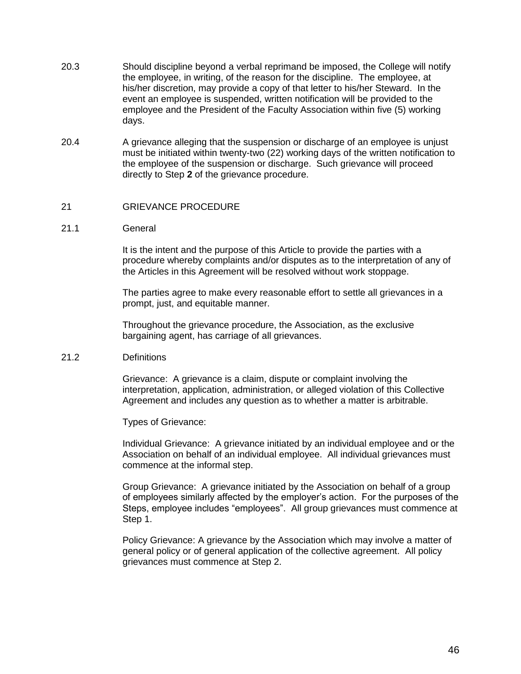- 20.3 Should discipline beyond a verbal reprimand be imposed, the College will notify the employee, in writing, of the reason for the discipline. The employee, at his/her discretion, may provide a copy of that letter to his/her Steward. In the event an employee is suspended, written notification will be provided to the employee and the President of the Faculty Association within five (5) working days.
- 20.4 A grievance alleging that the suspension or discharge of an employee is unjust must be initiated within twenty-two (22) working days of the written notification to the employee of the suspension or discharge. Such grievance will proceed directly to Step **2** of the grievance procedure.

### 21 GRIEVANCE PROCEDURE

#### 21.1 General

It is the intent and the purpose of this Article to provide the parties with a procedure whereby complaints and/or disputes as to the interpretation of any of the Articles in this Agreement will be resolved without work stoppage.

The parties agree to make every reasonable effort to settle all grievances in a prompt, just, and equitable manner.

Throughout the grievance procedure, the Association, as the exclusive bargaining agent, has carriage of all grievances.

#### 21.2 Definitions

Grievance: A grievance is a claim, dispute or complaint involving the interpretation, application, administration, or alleged violation of this Collective Agreement and includes any question as to whether a matter is arbitrable.

Types of Grievance:

Individual Grievance: A grievance initiated by an individual employee and or the Association on behalf of an individual employee. All individual grievances must commence at the informal step.

Group Grievance: A grievance initiated by the Association on behalf of a group of employees similarly affected by the employer's action. For the purposes of the Steps, employee includes "employees". All group grievances must commence at Step 1.

Policy Grievance: A grievance by the Association which may involve a matter of general policy or of general application of the collective agreement. All policy grievances must commence at Step 2.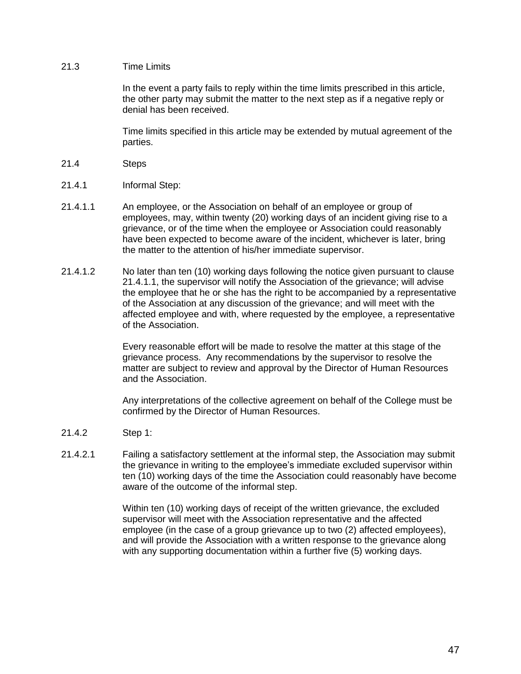### 21.3 Time Limits

In the event a party fails to reply within the time limits prescribed in this article, the other party may submit the matter to the next step as if a negative reply or denial has been received.

Time limits specified in this article may be extended by mutual agreement of the parties.

- 21.4 Steps
- 21.4.1 Informal Step:
- 21.4.1.1 An employee, or the Association on behalf of an employee or group of employees, may, within twenty (20) working days of an incident giving rise to a grievance, or of the time when the employee or Association could reasonably have been expected to become aware of the incident, whichever is later, bring the matter to the attention of his/her immediate supervisor.
- 21.4.1.2 No later than ten (10) working days following the notice given pursuant to clause 21.4.1.1, the supervisor will notify the Association of the grievance; will advise the employee that he or she has the right to be accompanied by a representative of the Association at any discussion of the grievance; and will meet with the affected employee and with, where requested by the employee, a representative of the Association.

Every reasonable effort will be made to resolve the matter at this stage of the grievance process. Any recommendations by the supervisor to resolve the matter are subject to review and approval by the Director of Human Resources and the Association.

Any interpretations of the collective agreement on behalf of the College must be confirmed by the Director of Human Resources.

- 21.4.2 Step 1:
- 21.4.2.1 Failing a satisfactory settlement at the informal step, the Association may submit the grievance in writing to the employee's immediate excluded supervisor within ten (10) working days of the time the Association could reasonably have become aware of the outcome of the informal step.

Within ten (10) working days of receipt of the written grievance, the excluded supervisor will meet with the Association representative and the affected employee (in the case of a group grievance up to two (2) affected employees), and will provide the Association with a written response to the grievance along with any supporting documentation within a further five (5) working days.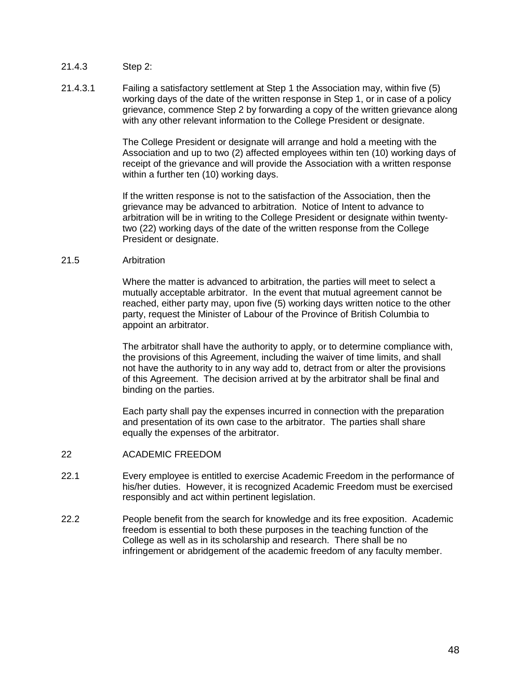- 21.4.3 Step 2:
- 21.4.3.1 Failing a satisfactory settlement at Step 1 the Association may, within five (5) working days of the date of the written response in Step 1, or in case of a policy grievance, commence Step 2 by forwarding a copy of the written grievance along with any other relevant information to the College President or designate.

The College President or designate will arrange and hold a meeting with the Association and up to two (2) affected employees within ten (10) working days of receipt of the grievance and will provide the Association with a written response within a further ten (10) working days.

If the written response is not to the satisfaction of the Association, then the grievance may be advanced to arbitration. Notice of Intent to advance to arbitration will be in writing to the College President or designate within twentytwo (22) working days of the date of the written response from the College President or designate.

### 21.5 Arbitration

Where the matter is advanced to arbitration, the parties will meet to select a mutually acceptable arbitrator. In the event that mutual agreement cannot be reached, either party may, upon five (5) working days written notice to the other party, request the Minister of Labour of the Province of British Columbia to appoint an arbitrator.

The arbitrator shall have the authority to apply, or to determine compliance with, the provisions of this Agreement, including the waiver of time limits, and shall not have the authority to in any way add to, detract from or alter the provisions of this Agreement. The decision arrived at by the arbitrator shall be final and binding on the parties.

Each party shall pay the expenses incurred in connection with the preparation and presentation of its own case to the arbitrator. The parties shall share equally the expenses of the arbitrator.

- 22 ACADEMIC FREEDOM
- 22.1 Every employee is entitled to exercise Academic Freedom in the performance of his/her duties. However, it is recognized Academic Freedom must be exercised responsibly and act within pertinent legislation.
- 22.2 People benefit from the search for knowledge and its free exposition. Academic freedom is essential to both these purposes in the teaching function of the College as well as in its scholarship and research. There shall be no infringement or abridgement of the academic freedom of any faculty member.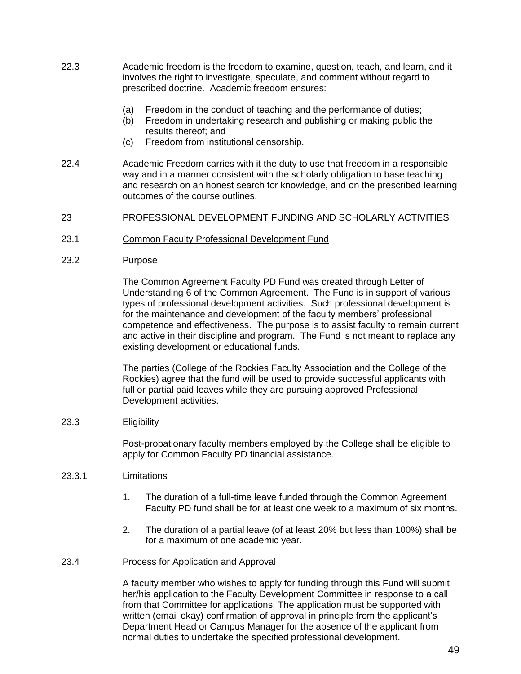- 22.3 Academic freedom is the freedom to examine, question, teach, and learn, and it involves the right to investigate, speculate, and comment without regard to prescribed doctrine. Academic freedom ensures:
	- (a) Freedom in the conduct of teaching and the performance of duties;
	- (b) Freedom in undertaking research and publishing or making public the results thereof; and
	- (c) Freedom from institutional censorship.
- 22.4 Academic Freedom carries with it the duty to use that freedom in a responsible way and in a manner consistent with the scholarly obligation to base teaching and research on an honest search for knowledge, and on the prescribed learning outcomes of the course outlines.
- 23 PROFESSIONAL DEVELOPMENT FUNDING AND SCHOLARLY ACTIVITIES
- 23.1 Common Faculty Professional Development Fund
- 23.2 Purpose

The Common Agreement Faculty PD Fund was created through Letter of Understanding 6 of the Common Agreement. The Fund is in support of various types of professional development activities. Such professional development is for the maintenance and development of the faculty members' professional competence and effectiveness. The purpose is to assist faculty to remain current and active in their discipline and program. The Fund is not meant to replace any existing development or educational funds.

The parties (College of the Rockies Faculty Association and the College of the Rockies) agree that the fund will be used to provide successful applicants with full or partial paid leaves while they are pursuing approved Professional Development activities.

23.3 Eligibility

Post-probationary faculty members employed by the College shall be eligible to apply for Common Faculty PD financial assistance.

- 23.3.1 Limitations
	- 1. The duration of a full-time leave funded through the Common Agreement Faculty PD fund shall be for at least one week to a maximum of six months.
	- 2. The duration of a partial leave (of at least 20% but less than 100%) shall be for a maximum of one academic year.
- 23.4 Process for Application and Approval

A faculty member who wishes to apply for funding through this Fund will submit her/his application to the Faculty Development Committee in response to a call from that Committee for applications. The application must be supported with written (email okay) confirmation of approval in principle from the applicant's Department Head or Campus Manager for the absence of the applicant from normal duties to undertake the specified professional development.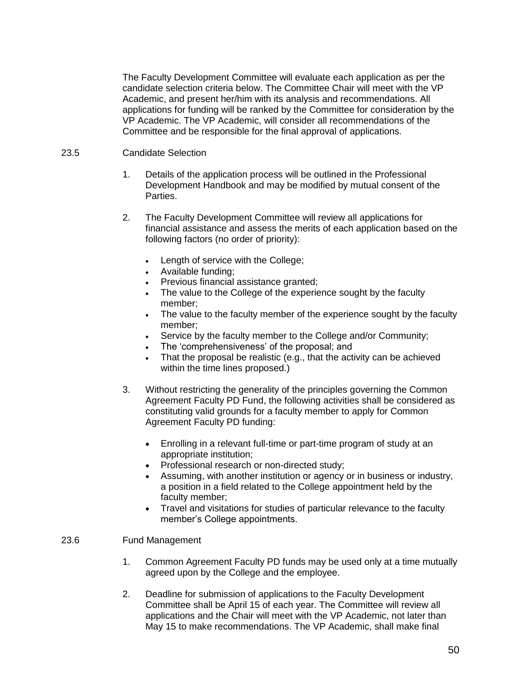The Faculty Development Committee will evaluate each application as per the candidate selection criteria below. The Committee Chair will meet with the VP Academic, and present her/him with its analysis and recommendations. All applications for funding will be ranked by the Committee for consideration by the VP Academic. The VP Academic, will consider all recommendations of the Committee and be responsible for the final approval of applications.

### 23.5 Candidate Selection

- 1. Details of the application process will be outlined in the Professional Development Handbook and may be modified by mutual consent of the Parties.
- 2. The Faculty Development Committee will review all applications for financial assistance and assess the merits of each application based on the following factors (no order of priority):
	- Length of service with the College;
	- Available funding;
	- Previous financial assistance granted;
	- The value to the College of the experience sought by the faculty member;
	- The value to the faculty member of the experience sought by the faculty member;
	- Service by the faculty member to the College and/or Community;
	- The 'comprehensiveness' of the proposal; and
	- That the proposal be realistic (e.g., that the activity can be achieved within the time lines proposed.)
- 3. Without restricting the generality of the principles governing the Common Agreement Faculty PD Fund, the following activities shall be considered as constituting valid grounds for a faculty member to apply for Common Agreement Faculty PD funding:
	- Enrolling in a relevant full-time or part-time program of study at an appropriate institution;
	- Professional research or non-directed study;
	- Assuming, with another institution or agency or in business or industry, a position in a field related to the College appointment held by the faculty member;
	- Travel and visitations for studies of particular relevance to the faculty member's College appointments.

### 23.6 Fund Management

- 1. Common Agreement Faculty PD funds may be used only at a time mutually agreed upon by the College and the employee.
- 2. Deadline for submission of applications to the Faculty Development Committee shall be April 15 of each year. The Committee will review all applications and the Chair will meet with the VP Academic, not later than May 15 to make recommendations. The VP Academic, shall make final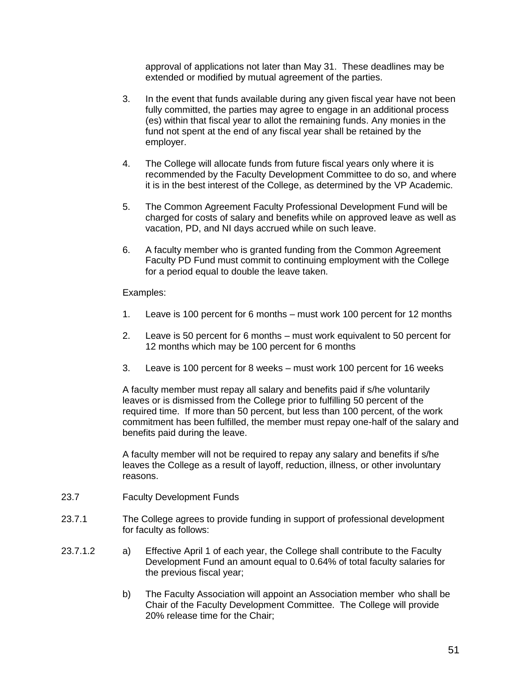approval of applications not later than May 31. These deadlines may be extended or modified by mutual agreement of the parties.

- 3. In the event that funds available during any given fiscal year have not been fully committed, the parties may agree to engage in an additional process (es) within that fiscal year to allot the remaining funds. Any monies in the fund not spent at the end of any fiscal year shall be retained by the employer.
- 4. The College will allocate funds from future fiscal years only where it is recommended by the Faculty Development Committee to do so, and where it is in the best interest of the College, as determined by the VP Academic.
- 5. The Common Agreement Faculty Professional Development Fund will be charged for costs of salary and benefits while on approved leave as well as vacation, PD, and NI days accrued while on such leave.
- 6. A faculty member who is granted funding from the Common Agreement Faculty PD Fund must commit to continuing employment with the College for a period equal to double the leave taken.

Examples:

- 1. Leave is 100 percent for 6 months must work 100 percent for 12 months
- 2. Leave is 50 percent for 6 months must work equivalent to 50 percent for 12 months which may be 100 percent for 6 months
- 3. Leave is 100 percent for 8 weeks must work 100 percent for 16 weeks

A faculty member must repay all salary and benefits paid if s/he voluntarily leaves or is dismissed from the College prior to fulfilling 50 percent of the required time. If more than 50 percent, but less than 100 percent, of the work commitment has been fulfilled, the member must repay one-half of the salary and benefits paid during the leave.

A faculty member will not be required to repay any salary and benefits if s/he leaves the College as a result of layoff, reduction, illness, or other involuntary reasons.

- 23.7 Faculty Development Funds
- 23.7.1 The College agrees to provide funding in support of professional development for faculty as follows:
- 23.7.1.2 a) Effective April 1 of each year, the College shall contribute to the Faculty Development Fund an amount equal to 0.64% of total faculty salaries for the previous fiscal year;
	- b) The Faculty Association will appoint an Association member who shall be Chair of the Faculty Development Committee. The College will provide 20% release time for the Chair;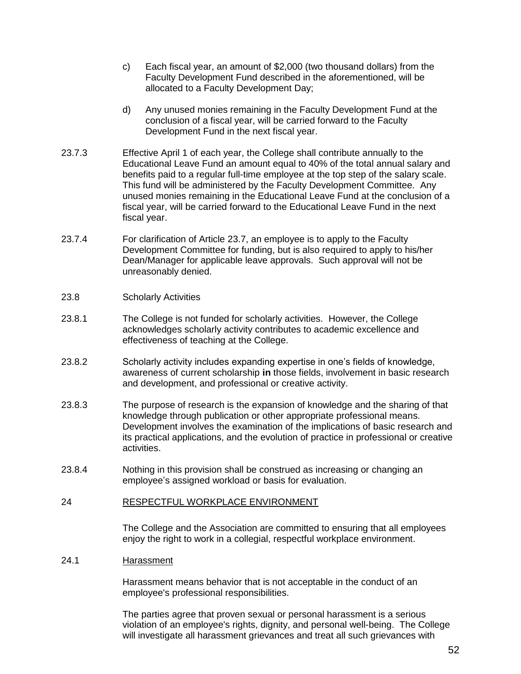- c) Each fiscal year, an amount of \$2,000 (two thousand dollars) from the Faculty Development Fund described in the aforementioned, will be allocated to a Faculty Development Day;
- d) Any unused monies remaining in the Faculty Development Fund at the conclusion of a fiscal year, will be carried forward to the Faculty Development Fund in the next fiscal year.
- 23.7.3 Effective April 1 of each year, the College shall contribute annually to the Educational Leave Fund an amount equal to 40% of the total annual salary and benefits paid to a regular full-time employee at the top step of the salary scale. This fund will be administered by the Faculty Development Committee. Any unused monies remaining in the Educational Leave Fund at the conclusion of a fiscal year, will be carried forward to the Educational Leave Fund in the next fiscal year.
- 23.7.4 For clarification of Article 23.7, an employee is to apply to the Faculty Development Committee for funding, but is also required to apply to his/her Dean/Manager for applicable leave approvals. Such approval will not be unreasonably denied.
- 23.8 Scholarly Activities
- 23.8.1 The College is not funded for scholarly activities. However, the College acknowledges scholarly activity contributes to academic excellence and effectiveness of teaching at the College.
- 23.8.2 Scholarly activity includes expanding expertise in one's fields of knowledge, awareness of current scholarship **in** those fields, involvement in basic research and development, and professional or creative activity.
- 23.8.3 The purpose of research is the expansion of knowledge and the sharing of that knowledge through publication or other appropriate professional means. Development involves the examination of the implications of basic research and its practical applications, and the evolution of practice in professional or creative activities.
- 23.8.4 Nothing in this provision shall be construed as increasing or changing an employee's assigned workload or basis for evaluation.
- 24 RESPECTFUL WORKPLACE ENVIRONMENT

The College and the Association are committed to ensuring that all employees enjoy the right to work in a collegial, respectful workplace environment.

#### 24.1 Harassment

Harassment means behavior that is not acceptable in the conduct of an employee's professional responsibilities.

The parties agree that proven sexual or personal harassment is a serious violation of an employee's rights, dignity, and personal well-being. The College will investigate all harassment grievances and treat all such grievances with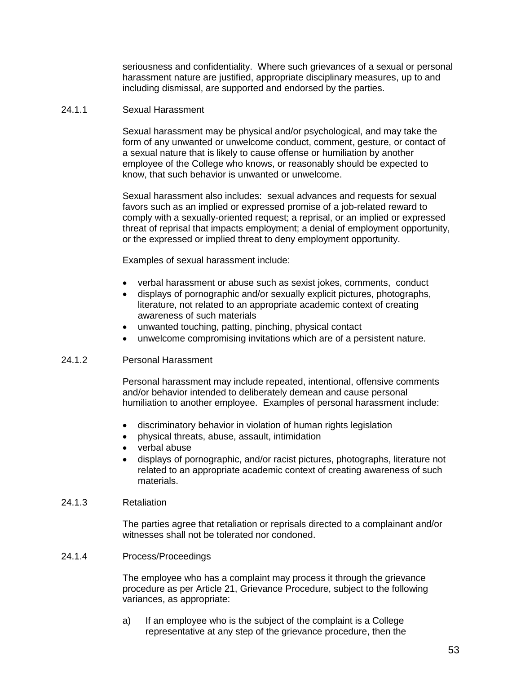seriousness and confidentiality. Where such grievances of a sexual or personal harassment nature are justified, appropriate disciplinary measures, up to and including dismissal, are supported and endorsed by the parties.

#### 24.1.1 Sexual Harassment

Sexual harassment may be physical and/or psychological, and may take the form of any unwanted or unwelcome conduct, comment, gesture, or contact of a sexual nature that is likely to cause offense or humiliation by another employee of the College who knows, or reasonably should be expected to know, that such behavior is unwanted or unwelcome.

Sexual harassment also includes: sexual advances and requests for sexual favors such as an implied or expressed promise of a job-related reward to comply with a sexually-oriented request; a reprisal, or an implied or expressed threat of reprisal that impacts employment; a denial of employment opportunity, or the expressed or implied threat to deny employment opportunity.

Examples of sexual harassment include:

- verbal harassment or abuse such as sexist jokes, comments, conduct
- displays of pornographic and/or sexually explicit pictures, photographs, literature, not related to an appropriate academic context of creating awareness of such materials
- unwanted touching, patting, pinching, physical contact
- unwelcome compromising invitations which are of a persistent nature.

#### 24.1.2 Personal Harassment

Personal harassment may include repeated, intentional, offensive comments and/or behavior intended to deliberately demean and cause personal humiliation to another employee. Examples of personal harassment include:

- discriminatory behavior in violation of human rights legislation
- physical threats, abuse, assault, intimidation
- verbal abuse
- displays of pornographic, and/or racist pictures, photographs, literature not related to an appropriate academic context of creating awareness of such materials.

#### 24.1.3 Retaliation

The parties agree that retaliation or reprisals directed to a complainant and/or witnesses shall not be tolerated nor condoned.

24.1.4 Process/Proceedings

The employee who has a complaint may process it through the grievance procedure as per Article 21, Grievance Procedure, subject to the following variances, as appropriate:

a) If an employee who is the subject of the complaint is a College representative at any step of the grievance procedure, then the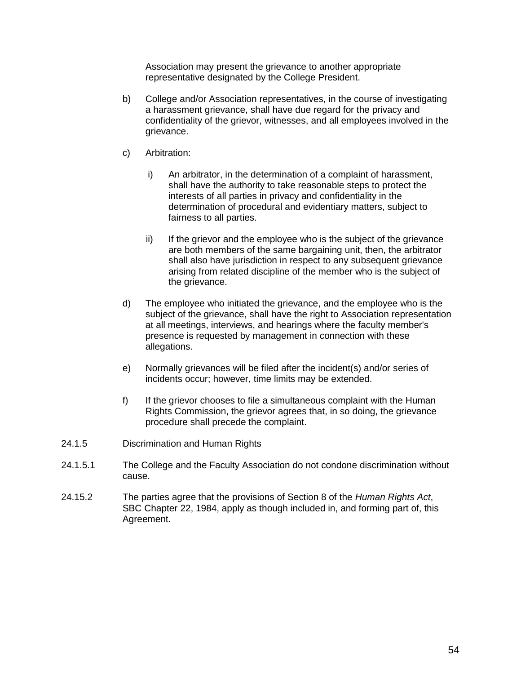Association may present the grievance to another appropriate representative designated by the College President.

- b) College and/or Association representatives, in the course of investigating a harassment grievance, shall have due regard for the privacy and confidentiality of the grievor, witnesses, and all employees involved in the grievance.
- c) Arbitration:
	- i) An arbitrator, in the determination of a complaint of harassment, shall have the authority to take reasonable steps to protect the interests of all parties in privacy and confidentiality in the determination of procedural and evidentiary matters, subject to fairness to all parties.
	- ii) If the grievor and the employee who is the subject of the grievance are both members of the same bargaining unit, then, the arbitrator shall also have jurisdiction in respect to any subsequent grievance arising from related discipline of the member who is the subject of the grievance.
- d) The employee who initiated the grievance, and the employee who is the subject of the grievance, shall have the right to Association representation at all meetings, interviews, and hearings where the faculty member's presence is requested by management in connection with these allegations.
- e) Normally grievances will be filed after the incident(s) and/or series of incidents occur; however, time limits may be extended.
- f) If the grievor chooses to file a simultaneous complaint with the Human Rights Commission, the grievor agrees that, in so doing, the grievance procedure shall precede the complaint.
- 24.1.5 Discrimination and Human Rights
- 24.1.5.1 The College and the Faculty Association do not condone discrimination without cause.
- 24.15.2 The parties agree that the provisions of Section 8 of the *Human Rights Act*, SBC Chapter 22, 1984, apply as though included in, and forming part of, this Agreement.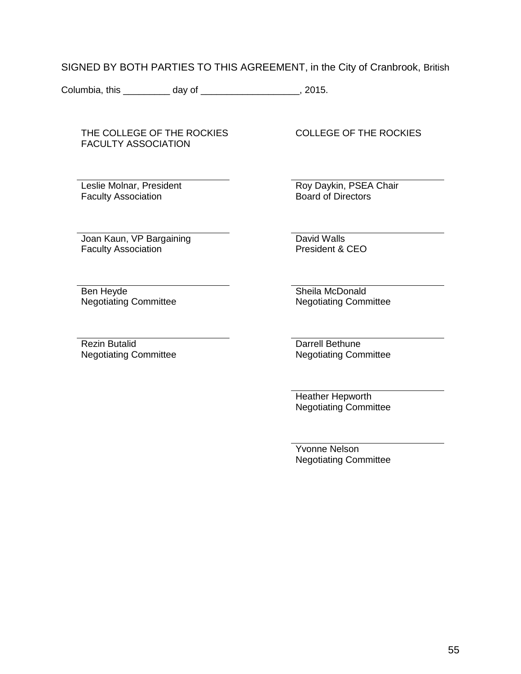SIGNED BY BOTH PARTIES TO THIS AGREEMENT, in the City of Cranbrook, British

Columbia, this \_\_\_\_\_\_\_\_ day of \_\_\_\_\_\_\_\_\_\_\_\_\_\_\_\_\_\_, 2015.

THE COLLEGE OF THE ROCKIES FACULTY ASSOCIATION

Leslie Molnar, President Faculty Association

COLLEGE OF THE ROCKIES

Roy Daykin, PSEA Chair Board of Directors

Joan Kaun, VP Bargaining Faculty Association

David Walls President & CEO

Ben Heyde Negotiating Committee

Rezin Butalid Negotiating Committee Sheila McDonald Negotiating Committee

Darrell Bethune Negotiating Committee

Heather Hepworth Negotiating Committee

Yvonne Nelson Negotiating Committee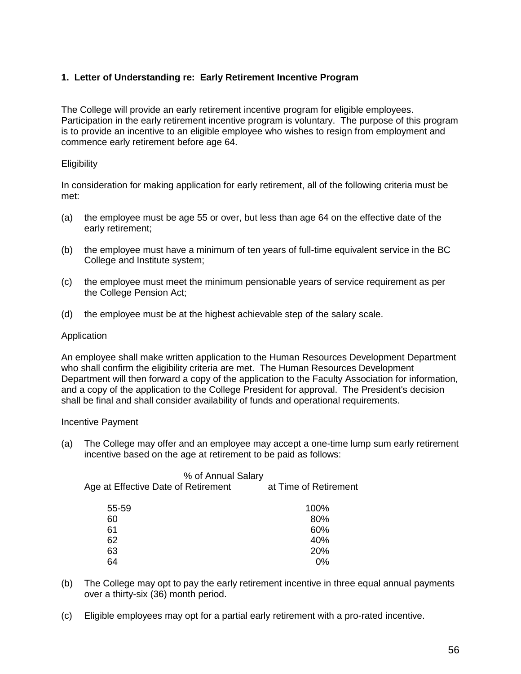# **1. Letter of Understanding re: Early Retirement Incentive Program**

The College will provide an early retirement incentive program for eligible employees. Participation in the early retirement incentive program is voluntary. The purpose of this program is to provide an incentive to an eligible employee who wishes to resign from employment and commence early retirement before age 64.

### **Eligibility**

In consideration for making application for early retirement, all of the following criteria must be met:

- (a) the employee must be age 55 or over, but less than age 64 on the effective date of the early retirement;
- (b) the employee must have a minimum of ten years of full-time equivalent service in the BC College and Institute system;
- (c) the employee must meet the minimum pensionable years of service requirement as per the College Pension Act;
- (d) the employee must be at the highest achievable step of the salary scale.

### Application

An employee shall make written application to the Human Resources Development Department who shall confirm the eligibility criteria are met. The Human Resources Development Department will then forward a copy of the application to the Faculty Association for information, and a copy of the application to the College President for approval. The President's decision shall be final and shall consider availability of funds and operational requirements.

#### Incentive Payment

(a) The College may offer and an employee may accept a one-time lump sum early retirement incentive based on the age at retirement to be paid as follows:

| % of Annual Salary<br>Age at Effective Date of Retirement | at Time of Retirement |
|-----------------------------------------------------------|-----------------------|
|                                                           | 100%                  |
|                                                           | 80%                   |
|                                                           | 60%                   |
|                                                           | 40%                   |
|                                                           | 20%                   |
|                                                           | 0%                    |
|                                                           |                       |

- (b) The College may opt to pay the early retirement incentive in three equal annual payments over a thirty-six (36) month period.
- (c) Eligible employees may opt for a partial early retirement with a pro-rated incentive.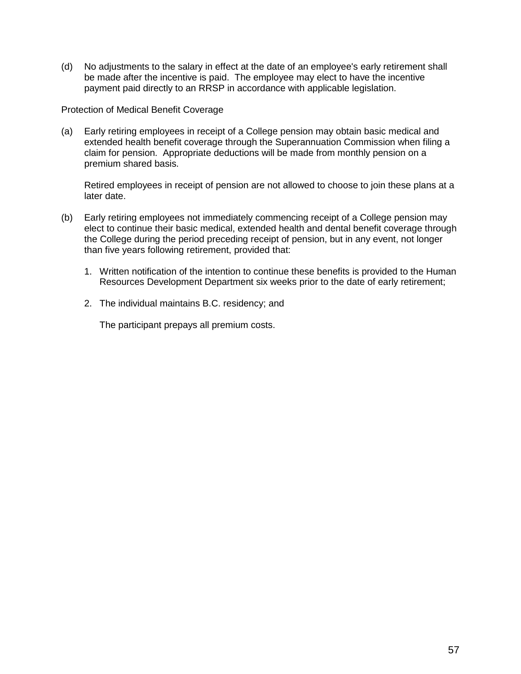(d) No adjustments to the salary in effect at the date of an employee's early retirement shall be made after the incentive is paid. The employee may elect to have the incentive payment paid directly to an RRSP in accordance with applicable legislation.

Protection of Medical Benefit Coverage

(a) Early retiring employees in receipt of a College pension may obtain basic medical and extended health benefit coverage through the Superannuation Commission when filing a claim for pension. Appropriate deductions will be made from monthly pension on a premium shared basis.

Retired employees in receipt of pension are not allowed to choose to join these plans at a later date.

- (b) Early retiring employees not immediately commencing receipt of a College pension may elect to continue their basic medical, extended health and dental benefit coverage through the College during the period preceding receipt of pension, but in any event, not longer than five years following retirement, provided that:
	- 1. Written notification of the intention to continue these benefits is provided to the Human Resources Development Department six weeks prior to the date of early retirement;
	- 2. The individual maintains B.C. residency; and

The participant prepays all premium costs.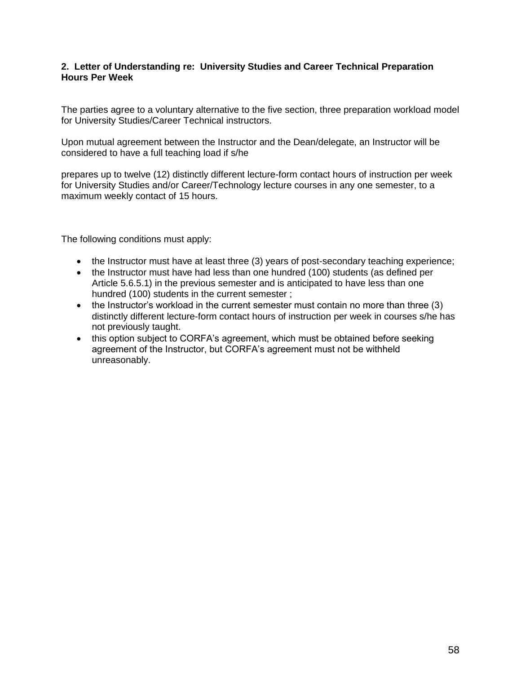### **2. Letter of Understanding re: University Studies and Career Technical Preparation Hours Per Week**

The parties agree to a voluntary alternative to the five section, three preparation workload model for University Studies/Career Technical instructors.

Upon mutual agreement between the Instructor and the Dean/delegate, an Instructor will be considered to have a full teaching load if s/he

prepares up to twelve (12) distinctly different lecture-form contact hours of instruction per week for University Studies and/or Career/Technology lecture courses in any one semester, to a maximum weekly contact of 15 hours.

The following conditions must apply:

- the Instructor must have at least three (3) years of post-secondary teaching experience;
- the Instructor must have had less than one hundred (100) students (as defined per Article 5.6.5.1) in the previous semester and is anticipated to have less than one hundred (100) students in the current semester ;
- the Instructor's workload in the current semester must contain no more than three (3) distinctly different lecture-form contact hours of instruction per week in courses s/he has not previously taught.
- this option subject to CORFA's agreement, which must be obtained before seeking agreement of the Instructor, but CORFA's agreement must not be withheld unreasonably.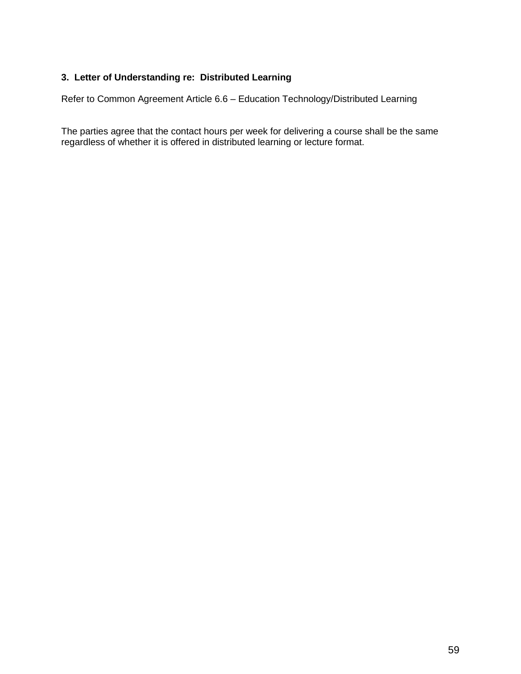# **3. Letter of Understanding re: Distributed Learning**

Refer to Common Agreement Article 6.6 – Education Technology/Distributed Learning

The parties agree that the contact hours per week for delivering a course shall be the same regardless of whether it is offered in distributed learning or lecture format.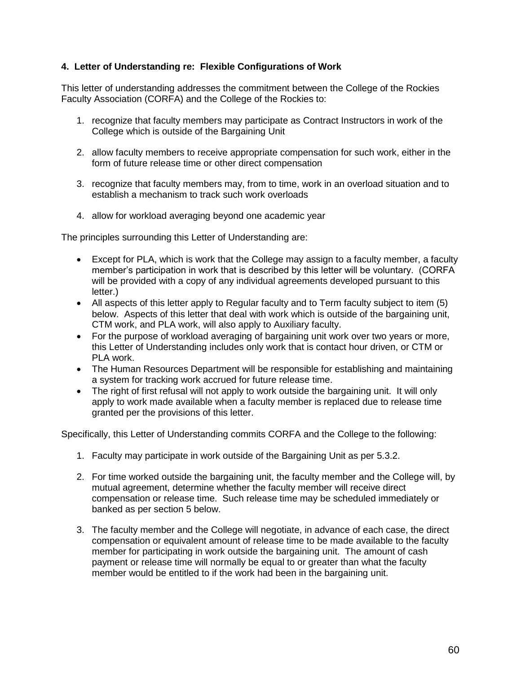# **4. Letter of Understanding re: Flexible Configurations of Work**

This letter of understanding addresses the commitment between the College of the Rockies Faculty Association (CORFA) and the College of the Rockies to:

- 1. recognize that faculty members may participate as Contract Instructors in work of the College which is outside of the Bargaining Unit
- 2. allow faculty members to receive appropriate compensation for such work, either in the form of future release time or other direct compensation
- 3. recognize that faculty members may, from to time, work in an overload situation and to establish a mechanism to track such work overloads
- 4. allow for workload averaging beyond one academic year

The principles surrounding this Letter of Understanding are:

- Except for PLA, which is work that the College may assign to a faculty member, a faculty member's participation in work that is described by this letter will be voluntary. (CORFA will be provided with a copy of any individual agreements developed pursuant to this letter.)
- All aspects of this letter apply to Regular faculty and to Term faculty subject to item (5) below. Aspects of this letter that deal with work which is outside of the bargaining unit, CTM work, and PLA work, will also apply to Auxiliary faculty.
- For the purpose of workload averaging of bargaining unit work over two years or more, this Letter of Understanding includes only work that is contact hour driven, or CTM or PLA work.
- The Human Resources Department will be responsible for establishing and maintaining a system for tracking work accrued for future release time.
- The right of first refusal will not apply to work outside the bargaining unit. It will only apply to work made available when a faculty member is replaced due to release time granted per the provisions of this letter.

Specifically, this Letter of Understanding commits CORFA and the College to the following:

- 1. Faculty may participate in work outside of the Bargaining Unit as per 5.3.2.
- 2. For time worked outside the bargaining unit, the faculty member and the College will, by mutual agreement, determine whether the faculty member will receive direct compensation or release time. Such release time may be scheduled immediately or banked as per section 5 below.
- 3. The faculty member and the College will negotiate, in advance of each case, the direct compensation or equivalent amount of release time to be made available to the faculty member for participating in work outside the bargaining unit. The amount of cash payment or release time will normally be equal to or greater than what the faculty member would be entitled to if the work had been in the bargaining unit.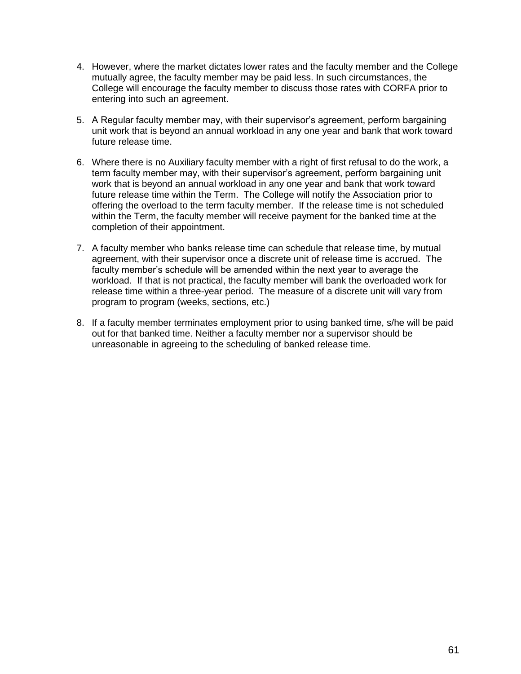- 4. However, where the market dictates lower rates and the faculty member and the College mutually agree, the faculty member may be paid less. In such circumstances, the College will encourage the faculty member to discuss those rates with CORFA prior to entering into such an agreement.
- 5. A Regular faculty member may, with their supervisor's agreement, perform bargaining unit work that is beyond an annual workload in any one year and bank that work toward future release time.
- 6. Where there is no Auxiliary faculty member with a right of first refusal to do the work, a term faculty member may, with their supervisor's agreement, perform bargaining unit work that is beyond an annual workload in any one year and bank that work toward future release time within the Term. The College will notify the Association prior to offering the overload to the term faculty member. If the release time is not scheduled within the Term, the faculty member will receive payment for the banked time at the completion of their appointment.
- 7. A faculty member who banks release time can schedule that release time, by mutual agreement, with their supervisor once a discrete unit of release time is accrued. The faculty member's schedule will be amended within the next year to average the workload. If that is not practical, the faculty member will bank the overloaded work for release time within a three-year period. The measure of a discrete unit will vary from program to program (weeks, sections, etc.)
- 8. If a faculty member terminates employment prior to using banked time, s/he will be paid out for that banked time. Neither a faculty member nor a supervisor should be unreasonable in agreeing to the scheduling of banked release time.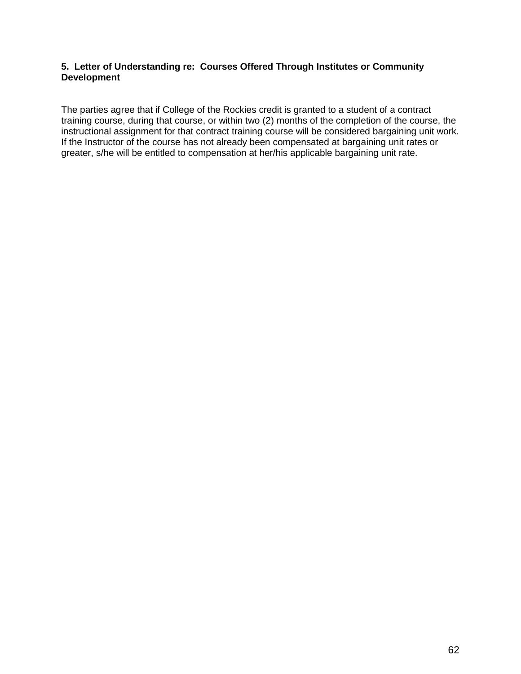### **5. Letter of Understanding re: Courses Offered Through Institutes or Community Development**

The parties agree that if College of the Rockies credit is granted to a student of a contract training course, during that course, or within two (2) months of the completion of the course, the instructional assignment for that contract training course will be considered bargaining unit work. If the Instructor of the course has not already been compensated at bargaining unit rates or greater, s/he will be entitled to compensation at her/his applicable bargaining unit rate.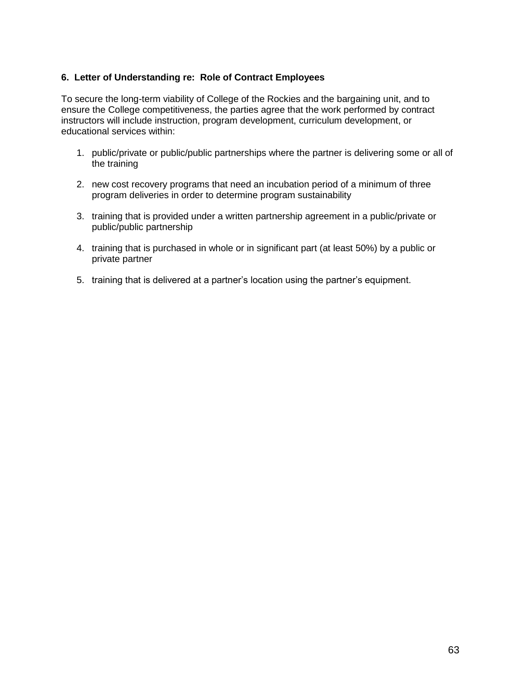## **6. Letter of Understanding re: Role of Contract Employees**

To secure the long-term viability of College of the Rockies and the bargaining unit, and to ensure the College competitiveness, the parties agree that the work performed by contract instructors will include instruction, program development, curriculum development, or educational services within:

- 1. public/private or public/public partnerships where the partner is delivering some or all of the training
- 2. new cost recovery programs that need an incubation period of a minimum of three program deliveries in order to determine program sustainability
- 3. training that is provided under a written partnership agreement in a public/private or public/public partnership
- 4. training that is purchased in whole or in significant part (at least 50%) by a public or private partner
- 5. training that is delivered at a partner's location using the partner's equipment.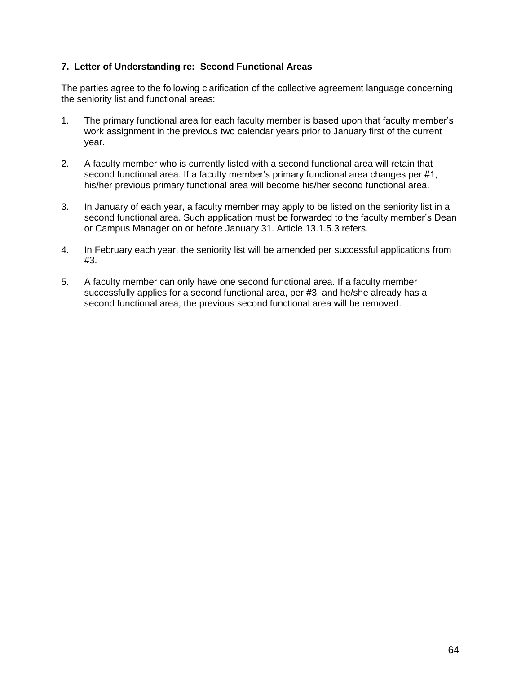## **7. Letter of Understanding re: Second Functional Areas**

The parties agree to the following clarification of the collective agreement language concerning the seniority list and functional areas:

- 1. The primary functional area for each faculty member is based upon that faculty member's work assignment in the previous two calendar years prior to January first of the current year.
- 2. A faculty member who is currently listed with a second functional area will retain that second functional area. If a faculty member's primary functional area changes per #1, his/her previous primary functional area will become his/her second functional area.
- 3. In January of each year, a faculty member may apply to be listed on the seniority list in a second functional area. Such application must be forwarded to the faculty member's Dean or Campus Manager on or before January 31. Article 13.1.5.3 refers.
- 4. In February each year, the seniority list will be amended per successful applications from #3.
- 5. A faculty member can only have one second functional area. If a faculty member successfully applies for a second functional area, per #3, and he/she already has a second functional area, the previous second functional area will be removed.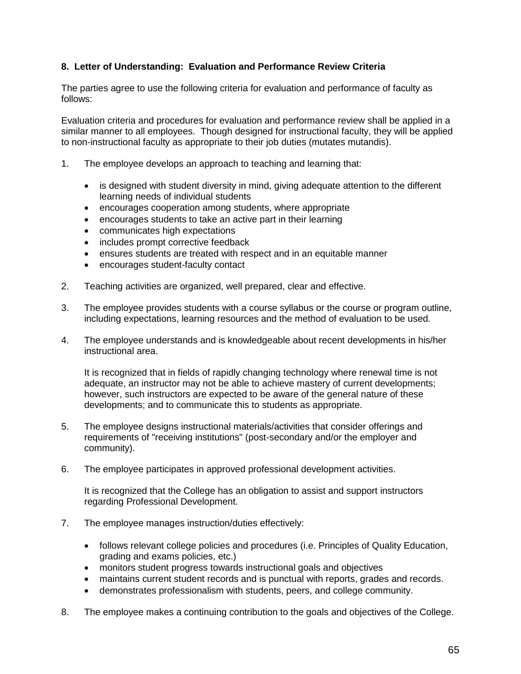# **8. Letter of Understanding: Evaluation and Performance Review Criteria**

The parties agree to use the following criteria for evaluation and performance of faculty as follows:

Evaluation criteria and procedures for evaluation and performance review shall be applied in a similar manner to all employees. Though designed for instructional faculty, they will be applied to non-instructional faculty as appropriate to their job duties (mutates mutandis).

- 1. The employee develops an approach to teaching and learning that:
	- is designed with student diversity in mind, giving adequate attention to the different learning needs of individual students
	- encourages cooperation among students, where appropriate
	- encourages students to take an active part in their learning
	- communicates high expectations
	- includes prompt corrective feedback
	- ensures students are treated with respect and in an equitable manner
	- encourages student-faculty contact
- 2. Teaching activities are organized, well prepared, clear and effective.
- 3. The employee provides students with a course syllabus or the course or program outline, including expectations, learning resources and the method of evaluation to be used.
- 4. The employee understands and is knowledgeable about recent developments in his/her instructional area.

It is recognized that in fields of rapidly changing technology where renewal time is not adequate, an instructor may not be able to achieve mastery of current developments; however, such instructors are expected to be aware of the general nature of these developments; and to communicate this to students as appropriate.

- 5. The employee designs instructional materials/activities that consider offerings and requirements of "receiving institutions" (post-secondary and/or the employer and community).
- 6. The employee participates in approved professional development activities.

It is recognized that the College has an obligation to assist and support instructors regarding Professional Development.

- 7. The employee manages instruction/duties effectively:
	- follows relevant college policies and procedures (i.e. Principles of Quality Education, grading and exams policies, etc.)
	- monitors student progress towards instructional goals and objectives
	- maintains current student records and is punctual with reports, grades and records.
	- demonstrates professionalism with students, peers, and college community.
- 8. The employee makes a continuing contribution to the goals and objectives of the College.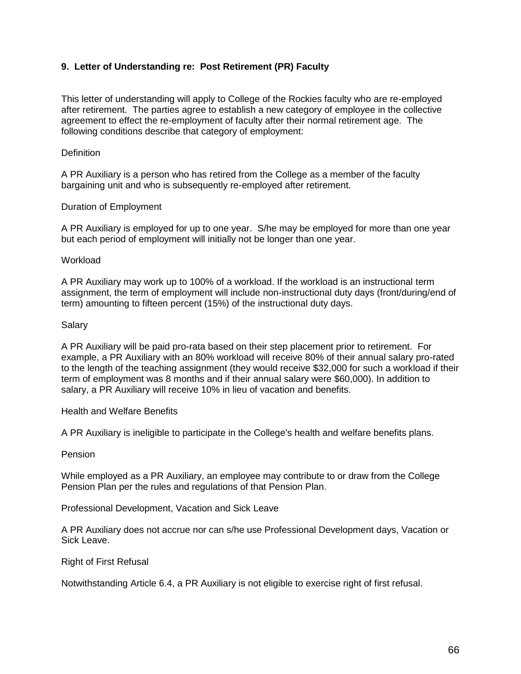# **9. Letter of Understanding re: Post Retirement (PR) Faculty**

This letter of understanding will apply to College of the Rockies faculty who are re-employed after retirement. The parties agree to establish a new category of employee in the collective agreement to effect the re-employment of faculty after their normal retirement age. The following conditions describe that category of employment:

### **Definition**

A PR Auxiliary is a person who has retired from the College as a member of the faculty bargaining unit and who is subsequently re-employed after retirement.

### Duration of Employment

A PR Auxiliary is employed for up to one year. S/he may be employed for more than one year but each period of employment will initially not be longer than one year.

#### **Workload**

A PR Auxiliary may work up to 100% of a workload. If the workload is an instructional term assignment, the term of employment will include non-instructional duty days (front/during/end of term) amounting to fifteen percent (15%) of the instructional duty days.

### Salary

A PR Auxiliary will be paid pro-rata based on their step placement prior to retirement. For example, a PR Auxiliary with an 80% workload will receive 80% of their annual salary pro-rated to the length of the teaching assignment (they would receive \$32,000 for such a workload if their term of employment was 8 months and if their annual salary were \$60,000). In addition to salary, a PR Auxiliary will receive 10% in lieu of vacation and benefits.

#### Health and Welfare Benefits

A PR Auxiliary is ineligible to participate in the College's health and welfare benefits plans.

#### Pension

While employed as a PR Auxiliary, an employee may contribute to or draw from the College Pension Plan per the rules and regulations of that Pension Plan.

Professional Development, Vacation and Sick Leave

A PR Auxiliary does not accrue nor can s/he use Professional Development days, Vacation or Sick Leave.

#### Right of First Refusal

Notwithstanding Article 6.4, a PR Auxiliary is not eligible to exercise right of first refusal.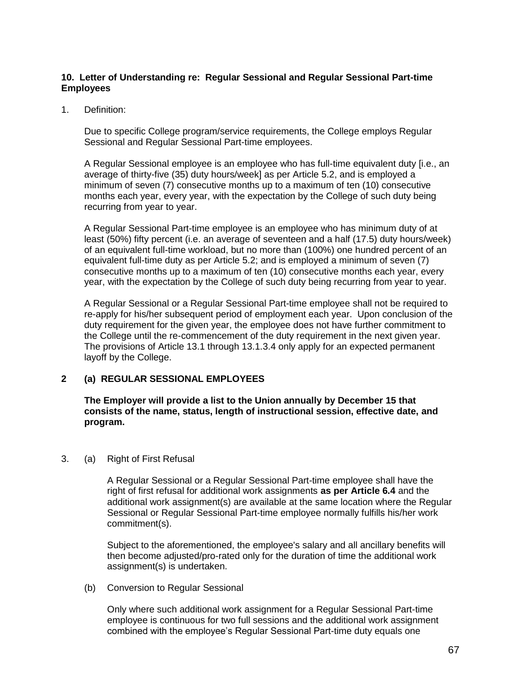### **10. Letter of Understanding re: Regular Sessional and Regular Sessional Part-time Employees**

1. Definition:

Due to specific College program/service requirements, the College employs Regular Sessional and Regular Sessional Part-time employees.

A Regular Sessional employee is an employee who has full-time equivalent duty [i.e., an average of thirty-five (35) duty hours/week] as per Article 5.2, and is employed a minimum of seven (7) consecutive months up to a maximum of ten (10) consecutive months each year, every year, with the expectation by the College of such duty being recurring from year to year.

A Regular Sessional Part-time employee is an employee who has minimum duty of at least (50%) fifty percent (i.e. an average of seventeen and a half (17.5) duty hours/week) of an equivalent full-time workload, but no more than (100%) one hundred percent of an equivalent full-time duty as per Article 5.2; and is employed a minimum of seven (7) consecutive months up to a maximum of ten (10) consecutive months each year, every year, with the expectation by the College of such duty being recurring from year to year.

A Regular Sessional or a Regular Sessional Part-time employee shall not be required to re-apply for his/her subsequent period of employment each year. Upon conclusion of the duty requirement for the given year, the employee does not have further commitment to the College until the re-commencement of the duty requirement in the next given year. The provisions of Article 13.1 through 13.1.3.4 only apply for an expected permanent layoff by the College.

### **2 (a) REGULAR SESSIONAL EMPLOYEES**

**The Employer will provide a list to the Union annually by December 15 that consists of the name, status, length of instructional session, effective date, and program.**

3. (a) Right of First Refusal

A Regular Sessional or a Regular Sessional Part-time employee shall have the right of first refusal for additional work assignments **as per Article 6.4** and the additional work assignment(s) are available at the same location where the Regular Sessional or Regular Sessional Part-time employee normally fulfills his/her work commitment(s).

Subject to the aforementioned, the employee's salary and all ancillary benefits will then become adjusted/pro-rated only for the duration of time the additional work assignment(s) is undertaken.

(b) Conversion to Regular Sessional

Only where such additional work assignment for a Regular Sessional Part-time employee is continuous for two full sessions and the additional work assignment combined with the employee's Regular Sessional Part-time duty equals one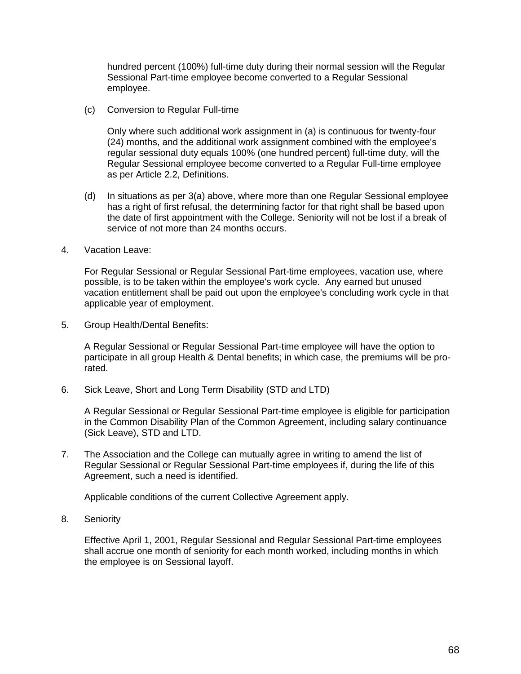hundred percent (100%) full-time duty during their normal session will the Regular Sessional Part-time employee become converted to a Regular Sessional employee.

(c) Conversion to Regular Full-time

Only where such additional work assignment in (a) is continuous for twenty-four (24) months, and the additional work assignment combined with the employee's regular sessional duty equals 100% (one hundred percent) full-time duty, will the Regular Sessional employee become converted to a Regular Full-time employee as per Article 2.2, Definitions.

- (d) In situations as per 3(a) above, where more than one Regular Sessional employee has a right of first refusal, the determining factor for that right shall be based upon the date of first appointment with the College. Seniority will not be lost if a break of service of not more than 24 months occurs.
- 4. Vacation Leave:

For Regular Sessional or Regular Sessional Part-time employees, vacation use, where possible, is to be taken within the employee's work cycle. Any earned but unused vacation entitlement shall be paid out upon the employee's concluding work cycle in that applicable year of employment.

5. Group Health/Dental Benefits:

A Regular Sessional or Regular Sessional Part-time employee will have the option to participate in all group Health & Dental benefits; in which case, the premiums will be prorated.

6. Sick Leave, Short and Long Term Disability (STD and LTD)

A Regular Sessional or Regular Sessional Part-time employee is eligible for participation in the Common Disability Plan of the Common Agreement, including salary continuance (Sick Leave), STD and LTD.

7. The Association and the College can mutually agree in writing to amend the list of Regular Sessional or Regular Sessional Part-time employees if, during the life of this Agreement, such a need is identified.

Applicable conditions of the current Collective Agreement apply.

8. Seniority

Effective April 1, 2001, Regular Sessional and Regular Sessional Part-time employees shall accrue one month of seniority for each month worked, including months in which the employee is on Sessional layoff.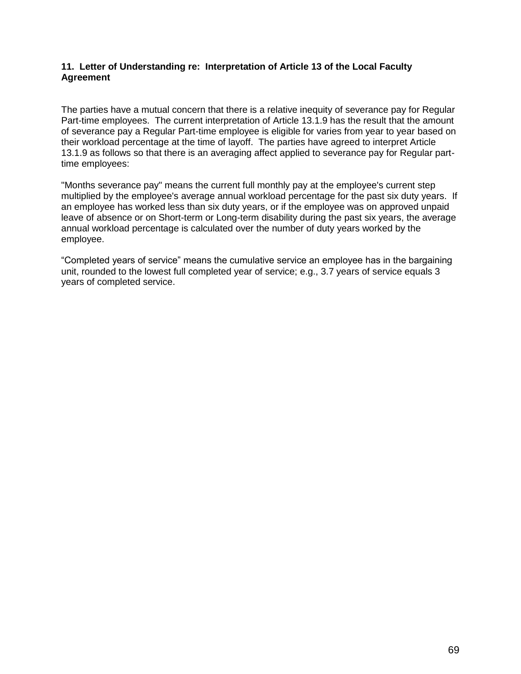### **11. Letter of Understanding re: Interpretation of Article 13 of the Local Faculty Agreement**

The parties have a mutual concern that there is a relative inequity of severance pay for Regular Part-time employees. The current interpretation of Article 13.1.9 has the result that the amount of severance pay a Regular Part-time employee is eligible for varies from year to year based on their workload percentage at the time of layoff. The parties have agreed to interpret Article 13.1.9 as follows so that there is an averaging affect applied to severance pay for Regular parttime employees:

"Months severance pay" means the current full monthly pay at the employee's current step multiplied by the employee's average annual workload percentage for the past six duty years. If an employee has worked less than six duty years, or if the employee was on approved unpaid leave of absence or on Short-term or Long-term disability during the past six years, the average annual workload percentage is calculated over the number of duty years worked by the employee.

"Completed years of service" means the cumulative service an employee has in the bargaining unit, rounded to the lowest full completed year of service; e.g., 3.7 years of service equals 3 years of completed service.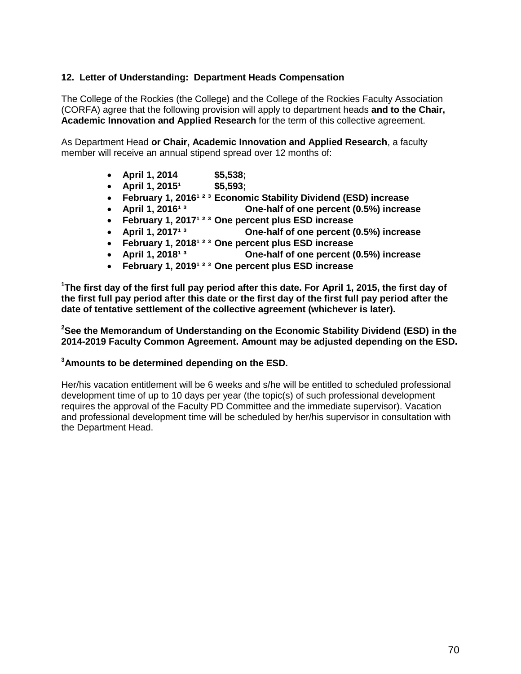### **12. Letter of Understanding: Department Heads Compensation**

The College of the Rockies (the College) and the College of the Rockies Faculty Association (CORFA) agree that the following provision will apply to department heads **and to the Chair, Academic Innovation and Applied Research** for the term of this collective agreement.

As Department Head **or Chair, Academic Innovation and Applied Research**, a faculty member will receive an annual stipend spread over 12 months of:

- **April 1, 2014 \$5,538;**
- **4** April 1, 2015<sup>1</sup> \$5,593;
- **•** February 1, 2016<sup>123</sup> Economic Stability Dividend (ESD) increase
- **•** April 1, 2016<sup>13</sup> **One-half of one percent (0.5%) increase**
- **February 1, 2017<sup>1 2 3</sup> One percent plus ESD increase**
- **•** April 1, 2017<sup>13</sup> **One-half of one percent (0.5%) increase**
- **February 1, 2018<sup>1 2 3</sup> One percent plus ESD increase**
- April 1, 2018<sup>13</sup> **One-half of one percent (0.5%) increase**
- **February 1, 2019<sup>1 2 3</sup> One percent plus ESD increase**

**<sup>1</sup>The first day of the first full pay period after this date. For April 1, 2015, the first day of the first full pay period after this date or the first day of the first full pay period after the date of tentative settlement of the collective agreement (whichever is later).**

**<sup>2</sup>See the Memorandum of Understanding on the Economic Stability Dividend (ESD) in the 2014-2019 Faculty Common Agreement. Amount may be adjusted depending on the ESD.** 

### **<sup>3</sup>Amounts to be determined depending on the ESD.**

Her/his vacation entitlement will be 6 weeks and s/he will be entitled to scheduled professional development time of up to 10 days per year (the topic(s) of such professional development requires the approval of the Faculty PD Committee and the immediate supervisor). Vacation and professional development time will be scheduled by her/his supervisor in consultation with the Department Head.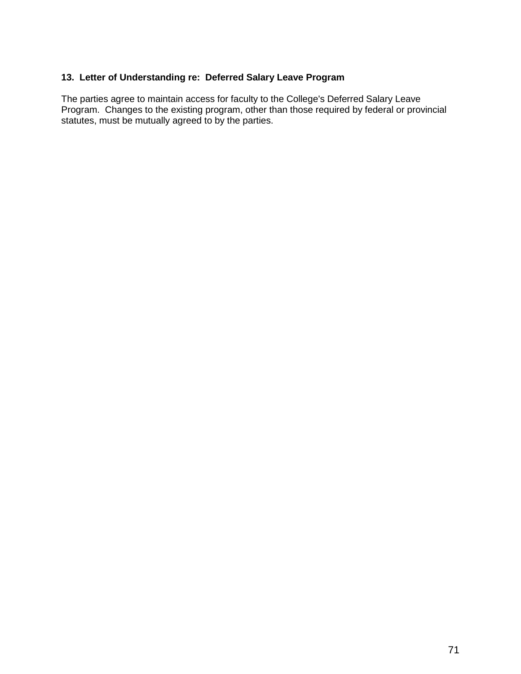# **13. Letter of Understanding re: Deferred Salary Leave Program**

The parties agree to maintain access for faculty to the College's Deferred Salary Leave Program. Changes to the existing program, other than those required by federal or provincial statutes, must be mutually agreed to by the parties.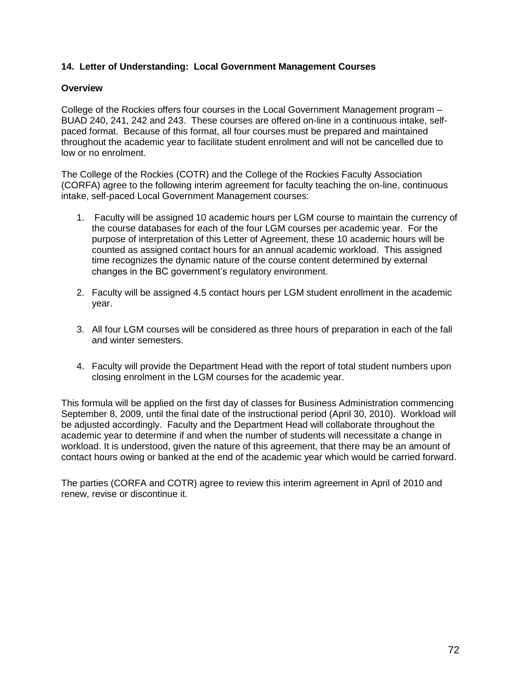## **14. Letter of Understanding: Local Government Management Courses**

#### **Overview**

College of the Rockies offers four courses in the Local Government Management program – BUAD 240, 241, 242 and 243. These courses are offered on-line in a continuous intake, selfpaced format. Because of this format, all four courses must be prepared and maintained throughout the academic year to facilitate student enrolment and will not be cancelled due to low or no enrolment.

The College of the Rockies (COTR) and the College of the Rockies Faculty Association (CORFA) agree to the following interim agreement for faculty teaching the on-line, continuous intake, self-paced Local Government Management courses:

- 1. Faculty will be assigned 10 academic hours per LGM course to maintain the currency of the course databases for each of the four LGM courses per academic year. For the purpose of interpretation of this Letter of Agreement, these 10 academic hours will be counted as assigned contact hours for an annual academic workload. This assigned time recognizes the dynamic nature of the course content determined by external changes in the BC government's regulatory environment.
- 2. Faculty will be assigned 4.5 contact hours per LGM student enrollment in the academic year.
- 3. All four LGM courses will be considered as three hours of preparation in each of the fall and winter semesters.
- 4. Faculty will provide the Department Head with the report of total student numbers upon closing enrolment in the LGM courses for the academic year.

This formula will be applied on the first day of classes for Business Administration commencing September 8, 2009, until the final date of the instructional period (April 30, 2010). Workload will be adjusted accordingly. Faculty and the Department Head will collaborate throughout the academic year to determine if and when the number of students will necessitate a change in workload. It is understood, given the nature of this agreement, that there may be an amount of contact hours owing or banked at the end of the academic year which would be carried forward.

The parties (CORFA and COTR) agree to review this interim agreement in April of 2010 and renew, revise or discontinue it.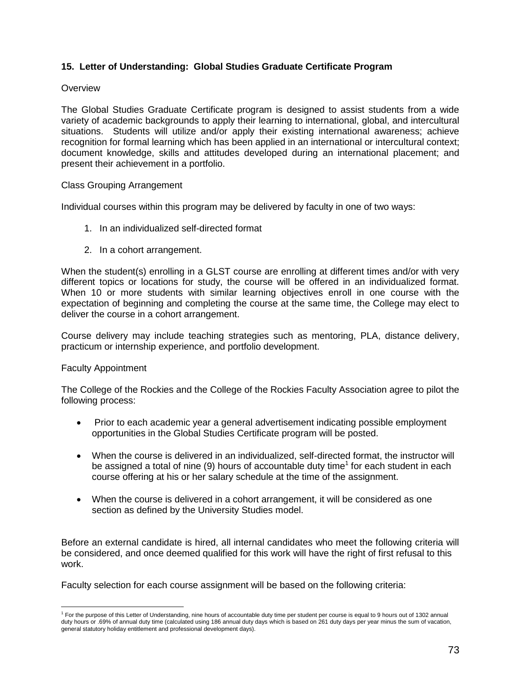## **15. Letter of Understanding: Global Studies Graduate Certificate Program**

### **Overview**

The Global Studies Graduate Certificate program is designed to assist students from a wide variety of academic backgrounds to apply their learning to international, global, and intercultural situations. Students will utilize and/or apply their existing international awareness; achieve recognition for formal learning which has been applied in an international or intercultural context; document knowledge, skills and attitudes developed during an international placement; and present their achievement in a portfolio.

#### Class Grouping Arrangement

Individual courses within this program may be delivered by faculty in one of two ways:

- 1. In an individualized self-directed format
- 2. In a cohort arrangement.

When the student(s) enrolling in a GLST course are enrolling at different times and/or with very different topics or locations for study, the course will be offered in an individualized format. When 10 or more students with similar learning objectives enroll in one course with the expectation of beginning and completing the course at the same time, the College may elect to deliver the course in a cohort arrangement.

Course delivery may include teaching strategies such as mentoring, PLA, distance delivery, practicum or internship experience, and portfolio development.

#### Faculty Appointment

The College of the Rockies and the College of the Rockies Faculty Association agree to pilot the following process:

- Prior to each academic year a general advertisement indicating possible employment opportunities in the Global Studies Certificate program will be posted.
- When the course is delivered in an individualized, self-directed format, the instructor will be assigned a total of nine (9) hours of accountable duty time<sup>1</sup> for each student in each course offering at his or her salary schedule at the time of the assignment.
- When the course is delivered in a cohort arrangement, it will be considered as one section as defined by the University Studies model.

Before an external candidate is hired, all internal candidates who meet the following criteria will be considered, and once deemed qualified for this work will have the right of first refusal to this work.

Faculty selection for each course assignment will be based on the following criteria:

 $\overline{a}$ <sup>1</sup> For the purpose of this Letter of Understanding, nine hours of accountable duty time per student per course is equal to 9 hours out of 1302 annual duty hours or .69% of annual duty time (calculated using 186 annual duty days which is based on 261 duty days per year minus the sum of vacation, general statutory holiday entitlement and professional development days).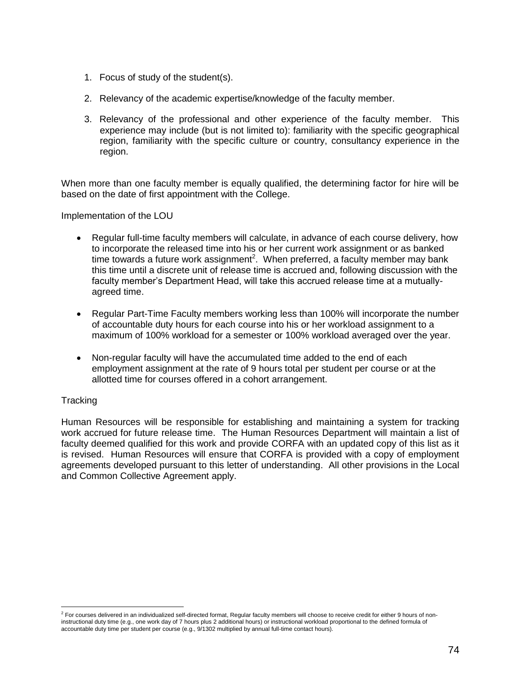- 1. Focus of study of the student(s).
- 2. Relevancy of the academic expertise/knowledge of the faculty member.
- 3. Relevancy of the professional and other experience of the faculty member. This experience may include (but is not limited to): familiarity with the specific geographical region, familiarity with the specific culture or country, consultancy experience in the region.

When more than one faculty member is equally qualified, the determining factor for hire will be based on the date of first appointment with the College.

Implementation of the LOU

- Regular full-time faculty members will calculate, in advance of each course delivery, how to incorporate the released time into his or her current work assignment or as banked time towards a future work assignment<sup>2</sup>. When preferred, a faculty member may bank this time until a discrete unit of release time is accrued and, following discussion with the faculty member's Department Head, will take this accrued release time at a mutuallyagreed time.
- Regular Part-Time Faculty members working less than 100% will incorporate the number of accountable duty hours for each course into his or her workload assignment to a maximum of 100% workload for a semester or 100% workload averaged over the year.
- Non-regular faculty will have the accumulated time added to the end of each employment assignment at the rate of 9 hours total per student per course or at the allotted time for courses offered in a cohort arrangement.

#### **Tracking**

Human Resources will be responsible for establishing and maintaining a system for tracking work accrued for future release time. The Human Resources Department will maintain a list of faculty deemed qualified for this work and provide CORFA with an updated copy of this list as it is revised. Human Resources will ensure that CORFA is provided with a copy of employment agreements developed pursuant to this letter of understanding. All other provisions in the Local and Common Collective Agreement apply.

<sup>&</sup>lt;u>.</u><br><sup>2</sup> For courses delivered in an individualized self-directed format, Regular faculty members will choose to receive credit for either 9 hours of noninstructional duty time (e.g., one work day of 7 hours plus 2 additional hours) or instructional workload proportional to the defined formula of accountable duty time per student per course (e.g., 9/1302 multiplied by annual full-time contact hours).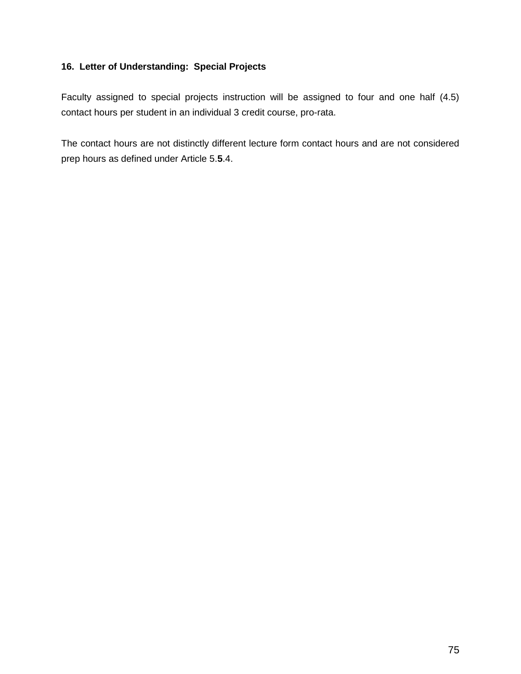## **16. Letter of Understanding: Special Projects**

Faculty assigned to special projects instruction will be assigned to four and one half (4.5) contact hours per student in an individual 3 credit course, pro-rata.

The contact hours are not distinctly different lecture form contact hours and are not considered prep hours as defined under Article 5.**5**.4.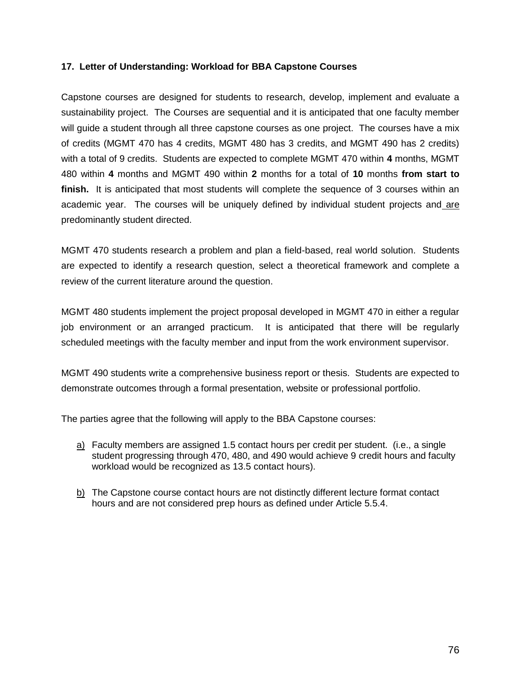### **17. Letter of Understanding: Workload for BBA Capstone Courses**

Capstone courses are designed for students to research, develop, implement and evaluate a sustainability project. The Courses are sequential and it is anticipated that one faculty member will guide a student through all three capstone courses as one project. The courses have a mix of credits (MGMT 470 has 4 credits, MGMT 480 has 3 credits, and MGMT 490 has 2 credits) with a total of 9 credits. Students are expected to complete MGMT 470 within **4** months, MGMT 480 within **4** months and MGMT 490 within **2** months for a total of **10** months **from start to finish.** It is anticipated that most students will complete the sequence of 3 courses within an academic year. The courses will be uniquely defined by individual student projects and are predominantly student directed.

MGMT 470 students research a problem and plan a field-based, real world solution. Students are expected to identify a research question, select a theoretical framework and complete a review of the current literature around the question.

MGMT 480 students implement the project proposal developed in MGMT 470 in either a regular job environment or an arranged practicum. It is anticipated that there will be regularly scheduled meetings with the faculty member and input from the work environment supervisor.

MGMT 490 students write a comprehensive business report or thesis. Students are expected to demonstrate outcomes through a formal presentation, website or professional portfolio.

The parties agree that the following will apply to the BBA Capstone courses:

- a) Faculty members are assigned 1.5 contact hours per credit per student. (i.e., a single student progressing through 470, 480, and 490 would achieve 9 credit hours and faculty workload would be recognized as 13.5 contact hours).
- b) The Capstone course contact hours are not distinctly different lecture format contact hours and are not considered prep hours as defined under Article 5.5.4.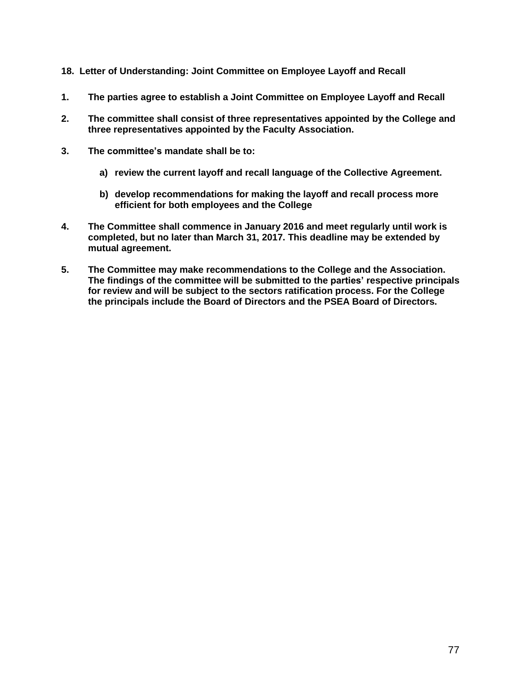- **18. Letter of Understanding: Joint Committee on Employee Layoff and Recall**
- **1. The parties agree to establish a Joint Committee on Employee Layoff and Recall**
- **2. The committee shall consist of three representatives appointed by the College and three representatives appointed by the Faculty Association.**
- **3. The committee's mandate shall be to:**
	- **a) review the current layoff and recall language of the Collective Agreement.**
	- **b) develop recommendations for making the layoff and recall process more efficient for both employees and the College**
- **4. The Committee shall commence in January 2016 and meet regularly until work is completed, but no later than March 31, 2017. This deadline may be extended by mutual agreement.**
- **5. The Committee may make recommendations to the College and the Association. The findings of the committee will be submitted to the parties' respective principals for review and will be subject to the sectors ratification process. For the College the principals include the Board of Directors and the PSEA Board of Directors.**